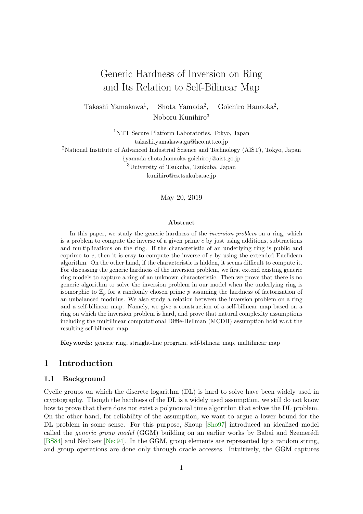# <span id="page-0-0"></span>Generic Hardness of Inversion on Ring and Its Relation to Self-Bilinear Map

Takashi Yamakawa<sup>1</sup>, Shota Yamada<sup>2</sup>, , Goichiro Hanaoka<sup>2</sup> , Noboru Kunihiro<sup>3</sup>

<sup>1</sup>NTT Secure Platform Laboratories, Tokyo, Japan

takashi.yamakawa.ga@hco.ntt.co.jp

<sup>2</sup>National Institute of Advanced Industrial Science and Technology (AIST), Tokyo, Japan

{yamada-shota,hanaoka-goichiro}@aist.go.jp <sup>3</sup>University of Tsukuba, Tsukuba, Japan

kunihiro@cs.tsukuba.ac.jp

May 20, 2019

#### Abstract

In this paper, we study the generic hardness of the *inversion problem* on a ring, which is a problem to compute the inverse of a given prime  $c$  by just using additions, subtractions and multiplications on the ring. If the characteristic of an underlying ring is public and coprime to  $c$ , then it is easy to compute the inverse of  $c$  by using the extended Euclidean algorithm. On the other hand, if the characteristic is hidden, it seems difficult to compute it. For discussing the generic hardness of the inversion problem, we first extend existing generic ring models to capture a ring of an unknown characteristic. Then we prove that there is no generic algorithm to solve the inversion problem in our model when the underlying ring is isomorphic to  $\mathbb{Z}_n$  for a randomly chosen prime p assuming the hardness of factorization of an unbalanced modulus. We also study a relation between the inversion problem on a ring and a self-bilinear map. Namely, we give a construction of a self-bilinear map based on a ring on which the inversion problem is hard, and prove that natural complexity assumptions including the multilinear computational Diffie-Hellman (MCDH) assumption hold w.r.t the resulting sef-bilinear map.

Keywords: generic ring, straight-line program, self-bilinear map, multilinear map

# 1 Introduction

## 1.1 Background

Cyclic groups on which the discrete logarithm (DL) is hard to solve have been widely used in cryptography. Though the hardness of the DL is a widely used assumption, we still do not know how to prove that there does not exist a polynomial time algorithm that solves the DL problem. On the other hand, for reliability of the assumption, we want to argue a lower bound for the DL problem in some sense. For this purpose, Shoup [\[Sho97\]](#page-35-0) introduced an idealized model called the *generic group model* (GGM) building on an earlier works by Babai and Szemerédi [\[BS84\]](#page-33-0) and Nechaev [\[Nec94\]](#page-35-1). In the GGM, group elements are represented by a random string, and group operations are done only through oracle accesses. Intuitively, the GGM captures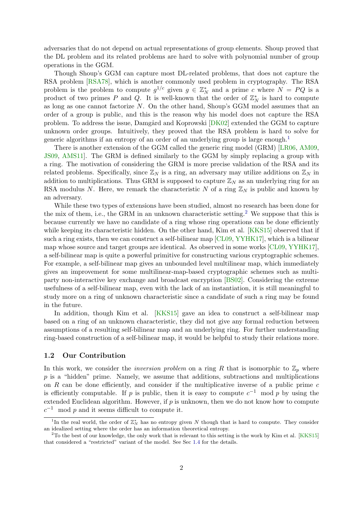<span id="page-1-2"></span>adversaries that do not depend on actual representations of group elements. Shoup proved that the DL problem and its related problems are hard to solve with polynomial number of group operations in the GGM.

Though Shoup's GGM can capture most DL-related problems, that does not capture the RSA problem [\[RSA78\]](#page-35-2), which is another commonly used problem in cryptography. The RSA problem is the problem to compute  $g^{1/c}$  given  $g \in \mathbb{Z}_N^*$  and a prime c where  $N = PQ$  is a product of two primes P and Q. It is well-known that the order of  $\mathbb{Z}_N^*$  is hard to compute as long as one cannot factorize  $N$ . On the other hand, Shoup's GGM model assumes that an order of a group is public, and this is the reason why his model does not capture the RSA problem. To address the issue, Damgård and Koprowski  $[DK02]$  extended the GGM to capture unknown order groups. Intuitively, they proved that the RSA problem is hard to solve for generic algorithms if an entropy of an order of an underlying group is large enough. $<sup>1</sup>$  $<sup>1</sup>$  $<sup>1</sup>$ </sup>

There is another extension of the GGM called the generic ring model (GRM) [\[LR06,](#page-34-0) [AM09,](#page-32-0) [JS09,](#page-34-1) [AMS11\]](#page-32-1). The GRM is defined similarly to the GGM by simply replacing a group with a ring. The motivation of considering the GRM is more precise validation of the RSA and its related problems. Specifically, since  $\mathbb{Z}_N$  is a ring, an adversary may utilize additions on  $\mathbb{Z}_N$  in addition to multiplications. Thus GRM is supposed to capture  $\mathbb{Z}_N$  as an underlying ring for an RSA modulus N. Here, we remark the characteristic N of a ring  $\mathbb{Z}_N$  is public and known by an adversary.

While these two types of extensions have been studied, almost no research has been done for the mix of them, i.e., the GRM in an unknown characteristic setting.<sup>[2](#page-1-1)</sup> We suppose that this is because currently we have no candidate of a ring whose ring operations can be done efficiently while keeping its characteristic hidden. On the other hand, Kim et al. [\[KKS15\]](#page-34-2) observed that if such a ring exists, then we can construct a self-bilinear map [\[CL09,](#page-33-2) [YYHK17\]](#page-35-3), which is a bilinear map whose source and target groups are identical. As observed in some works [\[CL09,](#page-33-2) [YYHK17\]](#page-35-3), a self-bilinear map is quite a powerful primitive for constructing various cryptographic schemes. For example, a self-bilinear map gives an unbounded level multilinear map, which immediately gives an improvement for some multilinear-map-based cryptographic schemes such as multiparty non-interactive key exchange and broadcast encryption [\[BS02\]](#page-33-3). Considering the extreme usefulness of a self-bilinear map, even with the lack of an instantiation, it is still meaningful to study more on a ring of unknown characteristic since a candidate of such a ring may be found in the future.

In addition, though Kim et al. [\[KKS15\]](#page-34-2) gave an idea to construct a self-bilinear map based on a ring of an unknown characteristic, they did not give any formal reduction between assumptions of a resulting self-bilinear map and an underlying ring. For further understanding ring-based construction of a self-bilinear map, it would be helpful to study their relations more.

## 1.2 Our Contribution

In this work, we consider the *inversion problem* on a ring R that is isomorphic to  $\mathbb{Z}_p$  where  $p$  is a "hidden" prime. Namely, we assume that additions, subtractions and multiplications on R can be done efficiently, and consider if the multiplicative inverse of a public prime  $c$ is efficiently computable. If p is public, then it is easy to compute  $c^{-1}$  mod p by using the extended Euclidean algorithm. However, if  $p$  is unknown, then we do not know how to compute  $c^{-1}$  mod p and it seems difficult to compute it.

<span id="page-1-0"></span><sup>&</sup>lt;sup>1</sup>In the real world, the order of  $\mathbb{Z}_N^*$  has no entropy given N though that is hard to compute. They consider an idealized setting where the order has an information theoretical entropy.

<span id="page-1-1"></span> $2^2$ To the best of our knowledge, the only work that is relevant to this setting is the work by Kim et al. [\[KKS15\]](#page-34-2) that considered a "restricted" variant of the model. See Sec [1.4](#page-4-0) for the details.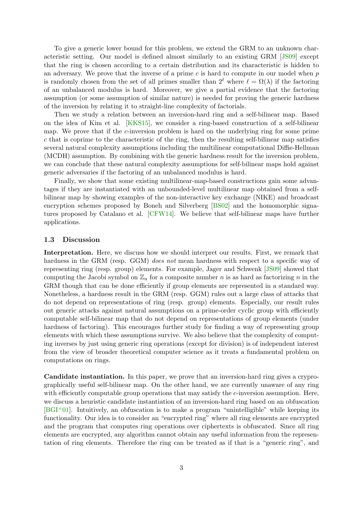<span id="page-2-0"></span>To give a generic lower bound for this problem, we extend the GRM to an unknown characteristic setting. Our model is defined almost similarly to an existing GRM [\[JS09\]](#page-34-1) except that the ring is chosen according to a certain distribution and its characteristic is hidden to an adversary. We prove that the inverse of a prime  $c$  is hard to compute in our model when  $p$ is randomly chosen from the set of all primes smaller than  $2^\ell$  where  $\ell = \Omega(\lambda)$  if the factoring of an unbalanced modulus is hard. Moreover, we give a partial evidence that the factoring assumption (or some assumption of similar nature) is needed for proving the generic hardness of the inversion by relating it to straight-line complexity of factorials.

Then we study a relation between an inversion-hard ring and a self-bilinear map. Based on the idea of Kim et al. [\[KKS15\]](#page-34-2), we consider a ring-based construction of a self-bilinear map. We prove that if the  $c$ -inversion problem is hard on the underlying ring for some prime c that is coprime to the characteristic of the ring, then the resulting self-bilinear map satisfies several natural complexity assumptions including the multilinear computational Diffie-Hellman (MCDH) assumption. By combining with the generic hardness result for the inversion problem, we can conclude that these natural complexity assumptions for self-bilinear maps hold against generic adversaries if the factoring of an unbalanced modulus is hard.

Finally, we show that some existing multilinear-map-based constructions gain some advantages if they are instantiated with an unbounded-level multilinear map obtained from a selfbilinear map by showing examples of the non-interactive key exchange (NIKE) and broadcast encryption schemes proposed by Boneh and Silverberg [\[BS02\]](#page-33-3) and the homomorphic signatures proposed by Catalano et al. [\[CFW14\]](#page-33-4). We believe that self-bilinear maps have further applications.

#### 1.3 Discussion

Interpretation. Here, we discuss how we should interpret our results. First, we remark that hardness in the GRM (resp. GGM) does not mean hardness with respect to a specific way of representing ring (resp. group) elements. For example, Jager and Schwenk [\[JS09\]](#page-34-1) showed that computing the Jacobi symbol on  $\mathbb{Z}_n$  for a composite number n is as hard as factorizing n in the GRM though that can be done efficiently if group elements are represented in a standard way. Nonetheless, a hardness result in the GRM (resp. GGM) rules out a large class of attacks that do not depend on representations of ring (resp. group) elements. Especially, our result rules out generic attacks against natural assumptions on a prime-order cyclic group with efficiently computable self-bilinear map that do not depend on representations of group elements (under hardness of factoring). This encourages further study for finding a way of representing group elements with which these assumptions survive. We also believe that the complexity of computing inverses by just using generic ring operations (except for division) is of independent interest from the view of broader theoretical computer science as it treats a fundamental problem on computations on rings.

Candidate instantiation. In this paper, we prove that an inversion-hard ring gives a cryprographically useful self-bilinear map. On the other hand, we are currently unaware of any ring with efficiently computable group operations that may satisfy the *c*-inversion assumption. Here, we discuss a heuristic candidate instantiation of an inversion-hard ring based on an obfuscation  $[BGI<sup>+</sup>01]$  $[BGI<sup>+</sup>01]$ . Intuitively, an obfuscation is to make a program "unintelligible" while keeping its functionality. Our idea is to consider an "encrypted ring" where all ring elements are encrypted and the program that computes ring operations over ciphertexts is obfuscated. Since all ring elements are encrypted, any algorithm cannot obtain any useful information from the representation of ring elements. Therefore the ring can be treated as if that is a "generic ring", and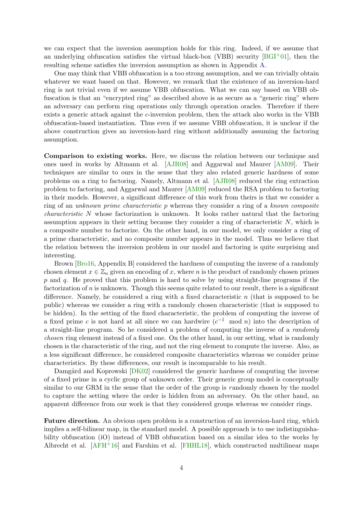<span id="page-3-0"></span>we can expect that the inversion assumption holds for this ring. Indeed, if we assume that an underlying obfuscation satisfies the virtual black-box (VBB) security  $[**BGI** + 01]$ , then the resulting scheme satisfies the inversion assumption as shown in Appendix [A.](#page-35-4)

One may think that VBB obfuscation is a too strong assumption, and we can trivially obtain whatever we want based on that. However, we remark that the existence of an inversion-hard ring is not trivial even if we assume VBB obfuscation. What we can say based on VBB obfuscation is that an "encrypted ring" as described above is as secure as a "generic ring" where an adversary can perform ring operations only through operation oracles. Therefore if there exists a generic attack against the c-inversion problem, then the attack also works in the VBB obfuscation-based instantiation. Thus even if we assume VBB obfuscation, it is unclear if the above construction gives an inversion-hard ring without additionally assuming the factoring assumption.

Comparison to existing works. Here, we discuss the relation between our technique and ones used in works by Altmann et al. [\[AJR08\]](#page-32-2) and Aggarwal and Maurer [\[AM09\]](#page-32-0). Their techniques are similar to ours in the sense that they also related generic hardness of some problems on a ring to factoring. Namely, Altmann et al. [\[AJR08\]](#page-32-2) reduced the ring extraction problem to factoring, and Aggarwal and Maurer [\[AM09\]](#page-32-0) reduced the RSA problem to factoring in their models. However, a significant difference of this work from theirs is that we consider a ring of an unknown prime characteristic p whereas they consider a ring of a known composite *characteristic*  $N$  whose factorization is unknown. It looks rather natural that the factoring assumption appears in their setting because they consider a ring of characteristic  $N$ , which is a composite number to factorize. On the other hand, in our model, we only consider a ring of a prime characteristic, and no composite number appears in the model. Thus we believe that the relation between the inversion problem in our model and factoring is quite surprising and interesting.

Brown [\[Bro16,](#page-33-6) Appendix B] considered the hardness of computing the inverse of a randomly chosen element  $x \in \mathbb{Z}_n$  given an encoding of x, where n is the product of randomly chosen primes  $p$  and  $q$ . He proved that this problem is hard to solve by using straight-line programs if the factorization of  $n$  is unknown. Though this seems quite related to our result, there is a significant difference. Namely, he considered a ring with a fixed characteristic  $n$  (that is supposed to be public) whereas we consider a ring with a randomly chosen characteristic (that is supposed to be hidden). In the setting of the fixed characteristic, the problem of computing the inverse of a fixed prime c is not hard at all since we can hardwire  $(c^{-1} \mod n)$  into the description of a straight-line program. So he considered a problem of computing the inverse of a randomly chosen ring element instead of a fixed one. On the other hand, in our setting, what is randomly chosen is the characteristic of the ring, and not the ring element to compute the inverse. Also, as a less significant difference, he considered composite characteristics whereas we consider prime characteristics. By these differences, our result is incomparable to his result.

Damgård and Koprowski [\[DK02\]](#page-33-1) considered the generic hardness of computing the inverse of a fixed prime in a cyclic group of unknown order. Their generic group model is conceptually similar to our GRM in the sense that the order of the group is randomly chosen by the model to capture the setting where the order is hidden from an adversary. On the other hand, an apparent difference from our work is that they considered groups whereas we consider rings.

Future direction. An obvious open problem is a construction of an inversion-hard ring, which implies a self-bilinear map, in the standard model. A possible approach is to use indistinguishability obfuscation (iO) instead of VBB obfuscation based on a similar idea to the works by Albrecht et al.  $[AFH<sup>+</sup>16]$  and Farshim et al.  $[FHH<sup>18</sup>]$ , which constructed multilinear maps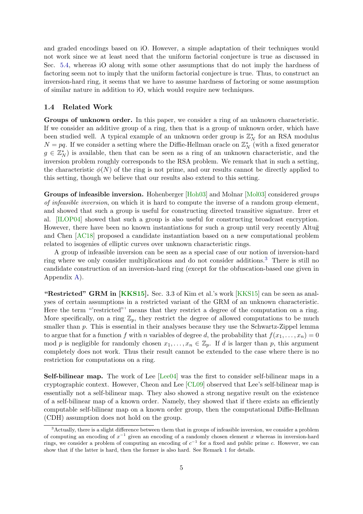<span id="page-4-2"></span>and graded encodings based on iO. However, a simple adaptation of their techniques would not work since we at least need that the uniform factorial conjecture is true as discussed in Sec. [5.4,](#page-17-0) whereas iO along with some other assumptions that do not imply the hardness of factoring seem not to imply that the uniform factorial conjecture is true. Thus, to construct an inversion-hard ring, it seems that we have to assume hardness of factoring or some assumption of similar nature in addition to iO, which would require new techniques.

#### <span id="page-4-0"></span>1.4 Related Work

Groups of unknown order. In this paper, we consider a ring of an unknown characteristic. If we consider an additive group of a ring, then that is a group of unknown order, which have been studied well. A typical example of an unknown order group is  $\mathbb{Z}_N^*$  for an RSA modulus  $N = pq$ . If we consider a setting where the Diffie-Hellman oracle on  $\mathbb{Z}_N^*$  (with a fixed generator  $g \in \mathbb{Z}_N^*$  is available, then that can be seen as a ring of an unknown characteristic, and the inversion problem roughly corresponds to the RSA problem. We remark that in such a setting, the characteristic  $\phi(N)$  of the ring is not prime, and our results cannot be directly applied to this setting, though we believe that our results also extend to this setting.

Groups of infeasible inversion. Hohenberger [\[Hoh03\]](#page-34-3) and Molnar [\[Mol03\]](#page-34-4) considered groups of infeasible inversion, on which it is hard to compute the inverse of a random group element, and showed that such a group is useful for constructing directed transitive signature. Irrer et al. [\[ILOP04\]](#page-34-5) showed that such a group is also useful for constructing broadcast encryption. However, there have been no known instantiations for such a group until very recently Altuğ and Chen [\[AC18\]](#page-32-4) proposed a candidate instantiation based on a new computational problem related to isogenies of elliptic curves over unknown characteristic rings.

A group of infeasible inversion can be seen as a special case of our notion of inversion-hard ring where we only consider multiplications and do not consider additions.[3](#page-4-1) There is still no candidate construction of an inversion-hard ring (except for the obfuscation-based one given in Appendix [A\)](#page-35-4).

"Restricted" GRM in  $[KKS15]$ . Sec. 3.3 of Kim et al.'s work  $[KKS15]$  can be seen as analyses of certain assumptions in a restricted variant of the GRM of an unknown characteristic. Here the term "'restricted"' means that they restrict a degree of the computation on a ring. More specifically, on a ring  $\mathbb{Z}_p$ , they restrict the degree of allowed computations to be much smaller than  $p$ . This is essential in their analyses because they use the Schwartz-Zippel lemma to argue that for a function f with n variables of degree d, the probability that  $f(x_1, \ldots, x_n) = 0$ mod p is negligible for randomly chosen  $x_1, \ldots, x_n \in \mathbb{Z}_p$ . If d is larger than p, this argument completely does not work. Thus their result cannot be extended to the case where there is no restriction for computations on a ring.

Self-bilinear map. The work of Lee [\[Lee04\]](#page-34-6) was the first to consider self-bilinear maps in a cryptographic context. However, Cheon and Lee [\[CL09\]](#page-33-2) observed that Lee's self-bilinear map is essentially not a self-bilinear map. They also showed a strong negative result on the existence of a self-bilinear map of a known order. Namely, they showed that if there exists an efficiently computable self-bilinear map on a known order group, then the computational Diffie-Hellman (CDH) assumption does not hold on the group.

<span id="page-4-1"></span> $3$ Actually, there is a slight difference between them that in groups of infeasible inversion, we consider a problem of computing an encoding of  $x^{-1}$  given an encoding of a randomly chosen element x whereas in inversion-hard rings, we consider a problem of computing an encoding of  $c^{-1}$  for a fixed and public prime c. However, we can show that if the latter is hard, then the former is also hard. See Remark [1](#page-15-0) for details.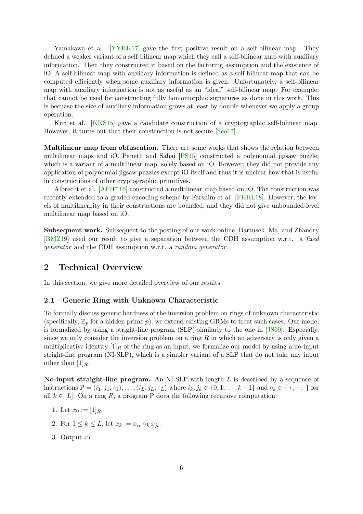<span id="page-5-0"></span>Yamakawa et al. [\[YYHK17\]](#page-35-3) gave the first positive result on a self-bilinear map. They defined a weaker variant of a self-bilinear map which they call a self-bilinear map with auxiliary information. Then they constructed it based on the factoring assumption and the existence of iO. A self-bilinear map with auxiliary information is defined as a self-bilinear map that can be computed efficiently when some auxiliary information is given. Unfortunately, a self-bilinear map with auxiliary information is not as useful as an "ideal" self-bilinear map. For example, that cannot be used for constructing fully homomorphic signatures as done in this work. This is becuase the size of auxiliary information grows at least by double whenever we apply a group operation.

Kim et al. [\[KKS15\]](#page-34-2) gave a candidate construction of a cryptographic self-bilinear map. However, it turns out that their construction is not secure [\[Seo17\]](#page-35-5).

Multilinear map from obfuscation. There are some works that shows the relation between multilinear maps and iO. Paneth and Sahai [\[PS15\]](#page-35-6) constructed a polynomial jigsaw puzzle, which is a variant of a multilinear map, solely based on iO. However, they did not provide any application of polynomial jigsaw puzzles except iO itself and thus it is unclear how that is useful in constructions of other cryptographic primitives.

Albrecht et al.  $[AFH^+16]$  constructed a multilinear map based on iO. The construction was recently extended to a graded encoding scheme by Farshim et al. [\[FHHL18\]](#page-33-7). However, the levels of multilinearity in their constructions are bounded, and they did not give unbounded-level multilinear map based on iO.

Subsequent work. Subsequent to the posting of our work online, Bartusek, Ma, and Zhandry [\[BMZ19\]](#page-33-8) used our result to give a separation between the CDH assumption w.r.t. a fixed generator and the CDH assumption w.r.t. a random generator.

# 2 Technical Overview

In this section, we give more detailed overview of our results.

#### 2.1 Generic Ring with Unknown Characteristic

To formally discuss generic hardness of the inversion problem on rings of unknown characteristic (specifically,  $\mathbb{Z}_p$  for a hidden prime p), we extend existing GRMs to treat such cases. Our model is formalized by using a stright-line program (SLP) similarly to the one in [\[JS09\]](#page-34-1). Especially, since we only consider the inversion problem on a ring  $R$  in which an adversary is only given a multiplicative identity  $[1]_R$  of the ring as an input, we formalize our model by using a no-input stright-line program (NI-SLP), which is a simpler variant of a SLP that do not take any input other than  $[1]_R$ .

No-input straight-line program. An NI-SLP with length  $L$  is described by a sequence of instructions  $P = (i_1, j_1, \circ_1), \ldots, (i_L, j_L, \circ_L)$  where  $i_k, j_k \in \{0, 1, \ldots, k-1\}$  and  $\circ_k \in \{+, -, \cdot\}$  for all  $k \in [L]$ . On a ring R, a program P does the following recursive computation.

- 1. Let  $x_0 := [1]_R$ .
- 2. For  $1 \leq k \leq L$ , let  $x_k := x_{i_k} \circ_k x_{j_k}$ .
- 3. Output  $x_L$ .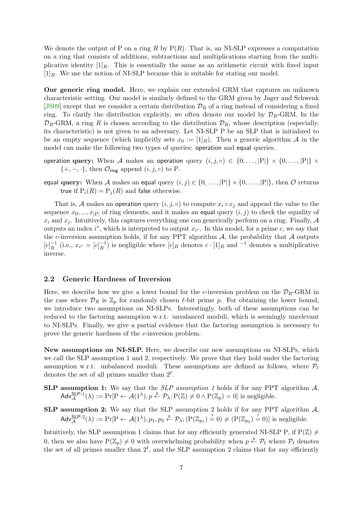<span id="page-6-0"></span>We denote the output of P on a ring R by  $P(R)$ . That is, an NI-SLP expresses a computation on a ring that consists of additions, subtractions and multiplications starting from the multiplicative identity  $[1]_R$ . This is essentially the same as an arithmetic circuit with fixed input  $[1]_R$ . We use the notion of NI-SLP because this is suitable for stating our model.

Our generic ring model. Here, we explain our extended GRM that captures an unknown characteristic setting. Our model is similarly defined to the GRM given by Jager and Schwenk [\[JS09\]](#page-34-1) except that we consider a certain distribution  $\mathcal{D}_R$  of a ring instead of considering a fixed ring. To clarify the distribution explicitly, we often denote our model by  $\mathcal{D}_R$ -GRM. In the  $\mathcal{D}_R$ -GRM, a ring R is chosen according to the distribution  $\mathcal{D}_R$ , whose description (especially, its characteristic) is not given to an adversary. Let NI-SLP P be an SLP that is initialized to be an empty sequence (which implicitly sets  $x_0 := [1]_R$ ). Then a generic algorithm A in the model can make the following two types of queries: operation and equal queries.

operation query: When A makes an operation query  $(i, j, o) \in \{0, ..., |P|\} \times \{0, ..., |P|\} \times$  $\{+, -, \cdot\}$ , then  $\mathcal{O}_{\text{ring}}$  append  $(i, j, \circ)$  to P.

equal query: When A makes an equal query  $(i, j) \in \{0, \ldots, |P|\} \times \{0, \ldots, |P|\}$ , then O returns true if  $P_i(R) = P_i(R)$  and false otherwise.

That is, A makes an operation query  $(i, j, \circ)$  to compute  $x_i \circ x_j$  and append the value to the sequence  $x_0, ..., x_{|\mathcal{P}|}$  of ring elements, and it makes an equal query  $(i, j)$  to check the equality of  $x_i$  and  $x_j$ . Intuitively, this captures everything one can generically perform on a ring. Finally,  $\mathcal A$ outputs an index  $i^*$ , which is interpreted to output  $x_{i^*}$ . In this model, for a prime c, we say that the c-inversion assumption holds, if for any PPT algorithm  $A$ , the probability that  $A$  outputs  $[c]_R^{-1}$  $^{-1}_{R}$  (i.e.,  $x_{i^*} = [c]_R^{-1}$  $\binom{-1}{R}$  is negligible where  $[c]_R$  denotes  $c \cdot [1]_R$  and  $\binom{-1}{R}$  denotes a multiplicative inverse.

## 2.2 Generic Hardness of Inversion

Here, we describe how we give a lower bound for the c-inversion problem on the  $\mathcal{D}_R$ -GRM in the case where  $\mathcal{D}_R$  is  $\mathbb{Z}_p$  for randomly chosen  $\ell$ -bit prime p. For obtaining the lower bound, we introduce two assumptions on NI-SLPs. Interestingly, both of these assumptions can be reduced to the factoring assumption w.r.t. unvalanced moduli, which is seemingly unrelevant to NI-SLPs. Finally, we give a partial evidence that the factoring assumption is necessary to prove the generic hardness of the c-inversion problem.

New assumptions on NI-SLP. Here, we describe our new assumptions on NI-SLPs, which we call the SLP assumption 1 and 2, respectively. We prove that they hold under the factoring assumption w.r.t. unbalanced moduli. These assumptions are defined as follows, where  $\mathcal{P}_{\ell}$ denotes the set of all primes smaller than  $2^{\ell}$ .

- **SLP** assumption 1: We say that the  $SLP$  assumption 1 holds if for any PPT algorithm  $\mathcal{A}$ ,  $\mathsf{Adv}_{\mathcal{A}}^{\mathsf{SLP-1}}(\lambda) := \Pr[\mathrm{P} \leftarrow \mathcal{A}(1^{\lambda}), p \stackrel{\$}{\leftarrow} \mathcal{P}_{\lambda}; \mathrm{P}(\mathbb{Z}) \neq 0 \wedge \mathrm{P}(\mathbb{Z}_p) = 0]$  is negligible.
- **SLP assumption 2:** We say that the SLP assumption 2 holds if for any PPT algorithm  $\mathcal{A}$ ,  $\mathsf{Adv}_{\mathcal{A}}^{\mathsf{SLP-2}}(\lambda) := \Pr[P \leftarrow \mathcal{A}(1^{\lambda}), p_1, p_2 \stackrel{\hspace{0.1em}\mathsf{\scriptscriptstyle\$}}{\leftarrow} \mathcal{P}_{\lambda}; (\mathrm{P}(\mathbb{Z}_{p_1}) \stackrel{?}{=} 0) \neq (\mathrm{P}(\mathbb{Z}_{p_2}) \stackrel{?}{=} 0)]$  is negligible.

Intuitively, the SLP assumption 1 claims that for any efficiently generated NI-SLP P, if  $P(\mathbb{Z}) \neq$ 0, then we also have  $P(\mathbb{Z}_p) \neq 0$  with overwhelming probability when  $p \stackrel{\$}{\leftarrow} \mathcal{P}_{\ell}$  where  $\mathcal{P}_{\ell}$  denotes the set of all primes smaller than  $2^{\ell}$ , and the SLP assumption 2 claims that for any efficiently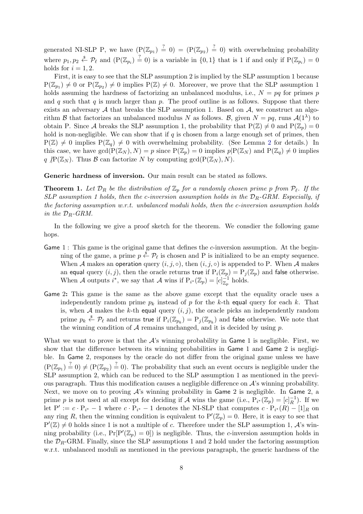generated NI-SLP P, we have  $(P(\mathbb{Z}_{p_1}) \stackrel{?}{=} 0) = (P(\mathbb{Z}_{p_2}) \stackrel{?}{=} 0)$  with overwhelming probability where  $p_1, p_2 \stackrel{\$}{\leftarrow} \mathcal{P}_{\ell}$  and  $(P(\mathbb{Z}_{p_i}) \stackrel{?}{=} 0)$  is a variable in  $\{0,1\}$  that is 1 if and only if  $P(\mathbb{Z}_{p_i}) = 0$ holds for  $i = 1, 2$ .

First, it is easy to see that the SLP assumption 2 is implied by the SLP assumption 1 because  $P(\mathbb{Z}_{p_1}) \neq 0$  or  $P(\mathbb{Z}_{p_2}) \neq 0$  implies  $P(\mathbb{Z}) \neq 0$ . Moreover, we prove that the SLP assumption 1 holds assuming the hardness of factorizing an unbalanced modulus, i.e.,  $N = pq$  for primes p and q such that q is much larger than  $p$ . The proof outline is as follows. Suppose that there exists an adversary  $A$  that breaks the SLP assumption 1. Based on  $A$ , we construct an algorithm B that factorizes an unbalanced modulus N as follows. B, given  $N = pq$ , runs  $\mathcal{A}(1^{\lambda})$  to obtain P. Since A breaks the SLP assumption 1, the probability that  $P(\mathbb{Z}) \neq 0$  and  $P(\mathbb{Z}_p) = 0$ hold is non-negligible. We can show that if  $q$  is chosen from a large enough set of primes, then  $P(\mathbb{Z}) \neq 0$  implies  $P(\mathbb{Z}_q) \neq 0$  with overwhelming probability. (See Lemma [2](#page-13-0) for details.) In this case, we have  $gcd(P(\mathbb{Z}_N), N) = p$  since  $P(\mathbb{Z}_p) = 0$  implies  $p|P(\mathbb{Z}_N)$  and  $P(\mathbb{Z}_q) \neq 0$  implies q  $/P(\mathbb{Z}_N)$ . Thus  $\mathcal B$  can factorize N by computing gcd( $P(\mathbb{Z}_N)$ , N).

Generic hardness of inversion. Our main result can be stated as follows.

<span id="page-7-0"></span>**Theorem 1.** Let  $\mathcal{D}_R$  be the distribution of  $\mathbb{Z}_p$  for a randomly chosen prime p from  $\mathcal{P}_\ell$ . If the SLP assumption 1 holds, then the c-inversion assumption holds in the  $\mathcal{D}_R$ -GRM. Especially, if the factoring assumption w.r.t. unbalanced moduli holds, then the c-inversion assumption holds in the  $\mathcal{D}_R$ -GRM.

In the following we give a proof sketch for the theorem. We consdier the following game hops.

- Game 1 : This game is the original game that defines the c-inversion assumption. At the beginning of the game, a prime  $p \stackrel{\$}{\leftarrow} \mathcal{P}_{\ell}$  is chosen and P is initialized to be an empty sequence. When A makes an operation query  $(i, j, \circ)$ , then  $(i, j, \circ)$  is appended to P. When A makes an equal query  $(i, j)$ , then the oracle returns true if  $P_i(\mathbb{Z}_p) = P_j(\mathbb{Z}_p)$  and false otherwise. When A outputs i<sup>\*</sup>, we say that A wins if  $P_{i^*}(\mathbb{Z}_p) = [c]_{\mathbb{Z}_p}^{-1}$  holds.
- Game 2: This game is the same as the above game except that the equality oracle uses a independently random prime  $p_k$  instead of p for the k-th equal query for each k. That is, when A makes the k-th equal query  $(i, j)$ , the oracle picks an independently random prime  $p_k \stackrel{\hspace{0.1em}\mathsf{\scriptscriptstyle\$}}{\leftarrow} \mathcal{P}_\ell$  and returns true if  $\mathrm{P}_i(\mathbb{Z}_{p_k}) = \mathrm{P}_j(\mathbb{Z}_{p_k})$  and false otherwise. We note that the winning condition of  $A$  remains unchanged, and it is decided by using  $p$ .

What we want to prove is that the  $\mathcal{A}$ 's winning probability in Game 1 is negligible. First, we show that the difference between its winning probabilities in Game 1 and Game 2 is negligible. In Game 2, responses by the oracle do not differ from the original game unless we have  $(P(\mathbb{Z}_{p_1}) \stackrel{?}{=} 0) \neq (P(\mathbb{Z}_{p_2}) \stackrel{?}{=} 0)$ . The probability that such an event occurs is negligible under the SLP assumption 2, which can be reduced to the SLP assumption 1 as mentioned in the previous paragraph. Thus this modification causes a negligible difference on  $\mathcal{A}$ 's winning probability. Next, we move on to proving  $\mathcal{A}$ 's winning probability in Game 2 is negligible. In Game 2, a prime p is not used at all except for deciding if A wins the game (i.e.,  $P_{i^*}(\mathbb{Z}_p) = [c]_R^{-1}$  $\frac{-1}{R}$ ). If we let  $P' := c \cdot P_{i^*} - 1$  where  $c \cdot P_{i^*} - 1$  denotes the NI-SLP that computes  $c \cdot P_{i^*}(R) - [1]_R$  on any ring R, then the winning condition is equivalent to  $P'(\mathbb{Z}_p) = 0$ . Here, it is easy to see that  $P'(\mathbb{Z}) \neq 0$  holds since 1 is not a multiple of c. Therefore under the SLP assumption 1, A's winning probability (i.e.,  $Pr[P(\mathbb{Z}_p) = 0]$ ) is negligible. Thus, the c-inversion assumption holds in the  $\mathcal{D}_R$ -GRM. Finally, since the SLP assumptions 1 and 2 hold under the factoring assumption w.r.t. unbalanced moduli as mentioned in the previous paragraph, the generic hardness of the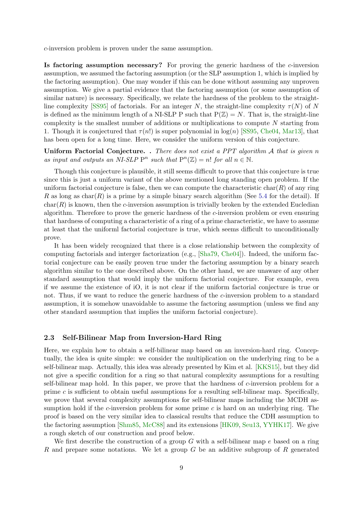<span id="page-8-0"></span>c-inversion problem is proven under the same assumption.

Is factoring assumption necessary? For proving the generic hardness of the  $c$ -inversion assumption, we assumed the factoring assumption (or the SLP assumption 1, which is implied by the factoring assumption). One may wonder if this can be done without assuming any unproven assumption. We give a partial evidence that the factoring assumption (or some assumption of similar nature) is necessary. Specifically, we relate the hardness of the problem to the straight-line complexity [\[SS95\]](#page-35-7) of factorials. For an integer N, the straight-line complexity  $\tau(N)$  of N is defined as the minimum length of a NI-SLP P such that  $P(\mathbb{Z}) = N$ . That is, the straight-line complexity is the smallest number of additions or multiplications to compute N starting from 1. Though it is conjectured that  $\tau(n!)$  is super polynomial in  $\log(n)$  [\[SS95,](#page-35-7) [Che04,](#page-33-9) [Mar13\]](#page-34-7), that has been open for a long time. Here, we consider the uniform version of this conjecture.

Uniform Factorial Conjecture. . There does not exist a PPT algorithm  $A$  that is given n as input and outputs an NI-SLP  $P^n$  such that  $P^n(\mathbb{Z}) = n!$  for all  $n \in \mathbb{N}$ .

Though this conjecture is plausible, it still seems difficult to prove that this conjecture is true since this is just a uniform variant of the above mentioned long standing open problem. If the uniform factorial conjecture is false, then we can compute the characteristic char( $R$ ) of any ring R as long as  $char(R)$  is a prime by a simple binary search algorithm (See [5.4](#page-17-0) for the detail). If  $char(R)$  is known, then the c-inversion assumption is trivially broken by the extended Eucledian algorithm. Therefore to prove the generic hardness of the c-inversion problem or even ensuring that hardness of computing a characteristic of a ring of a prime characteristic, we have to assume at least that the uniforml factorial conjecture is true, which seems difficult to unconditionally prove.

It has been widely recognized that there is a close relationship between the complexity of computing factorials and interger factorization (e.g., [\[Sha79,](#page-35-8) [Che04\]](#page-33-9)). Indeed, the uniform factorial conjecture can be easily proven true under the factoring assumption by a binary search algorithm similar to the one described above. On the other hand, we are unaware of any other standard assumption that would imply the uniform factorial conjecture. For example, even if we assume the existence of iO, it is not clear if the uniform factorial conjecture is true or not. Thus, if we want to reduce the generic hardness of the c-inversion problem to a standard assumption, it is somehow unavoidable to assume the factoring assumption (unless we find any other standard assumption that implies the uniform factorial conjecture).

#### 2.3 Self-Bilinear Map from Inversion-Hard Ring

Here, we explain how to obtain a self-bilinear map based on an inversion-hard ring. Conceptually, the idea is quite simple: we consider the multiplication on the underlying ring to be a self-bilinear map. Actually, this idea was already presented by Kim et al. [\[KKS15\]](#page-34-2), but they did not give a specific condition for a ring so that natural complexity assumptions for a resulting self-bilinear map hold. In this paper, we prove that the hardness of c-inversion problem for a prime c is sufficient to obtain useful assumptions for a resulting self-bilinear map. Specifically, we prove that several complexity assumptions for self-bilinear maps including the MCDH assumption hold if the  $c$ -inversion problem for some prime  $c$  is hard on an underlying ring. The proof is based on the very similar idea to classical results that reduce the CDH assumption to the factoring assumption [\[Shm85,](#page-35-9) [McC88\]](#page-34-8) and its extensions [\[HK09,](#page-34-9) [Seu13,](#page-35-10) [YYHK17\]](#page-35-3). We give a rough sketch of our construction and proof below.

We first describe the construction of a group  $G$  with a self-bilinear map  $e$  based on a ring R and prepare some notations. We let a group G be an additive subgroup of R generated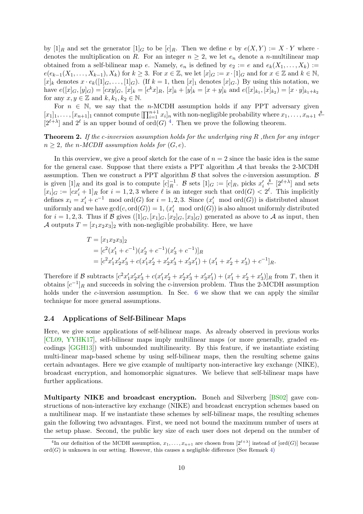<span id="page-9-2"></span>by  $[1]_R$  and set the generator  $[1]_G$  to be  $[c]_R$ . Then we define e by  $e(X, Y) := X \cdot Y$  where  $\cdot$ denotes the multiplication on R. For an integer  $n \geq 2$ , we let  $e_n$  denote a *n*-multilinear map obtained from a self-bilinear map e. Namely,  $e_n$  is defined by  $e_2 := e$  and  $e_k(X_1, \ldots, X_k) :=$  $e(e_{k-1}(X_1,\ldots,X_{k-1}),X_k)$  for  $k\geq 3$ . For  $x\in\mathbb{Z}$ , we let  $[x]_G:=x\cdot[1]_G$  and for  $x\in\mathbb{Z}$  and  $k\in\mathbb{N}$ ,  $[x]_k$  denotes  $x \cdot e_k([1]_G, \ldots, [1]_G)$ . (If  $k = 1$ , then  $[x]_1$  denotes  $[x]_G$ .) By using this notation, we have  $e([x]_G,[y]_G) = [cxy]_G$ ,  $[x]_k = [c^kx]_R$ ,  $[x]_k + [y]_k = [x+y]_k$  and  $e([x]_{k_1},[x]_{k_2}) = [x \cdot y]_{k_1+k_2}$ for any  $x, y \in \mathbb{Z}$  and  $k, k_1, k_2 \in \mathbb{N}$ .

For  $n \in \mathbb{N}$ , we say that the n-MCDH assumption holds if any PPT adversary given  $[x_1]_1, \ldots, [x_{n+1}]_1$  cannot compute  $\prod_{i=1}^{n+1} x_i]_n$  with non-negligible probability where  $x_1, \ldots, x_{n+1} \stackrel{\$}{\leftarrow}$  $[2^{\ell+\lambda}]$  and  $2^{\ell}$  is an upper bound of ord $(G)$ <sup>[4](#page-9-0)</sup>. Then we prove the following theorem.

<span id="page-9-1"></span>**Theorem 2.** If the c-inversion assumption holds for the underlying ring R, then for any integer  $n \geq 2$ , the n-MCDH assumption holds for  $(G, e)$ .

In this overview, we give a proof sketch for the case of  $n = 2$  since the basic idea is the same for the general case. Suppose that there exists a PPT algorithm  $A$  that breaks the 2-MCDH assumption. Then we construct a PPT algorithm  $\beta$  that solves the c-inversion assumption.  $\beta$ is given  $[1]_R$  and its goal is to compute  $[c]_R^{-1}$  $R^{-1}$ . B sets  $[1]_G := [c]_R$ , picks  $x'_i \stackrel{\$}{\leftarrow} [2^{\ell+\lambda}]$  and sets  $[x_i]_G := [cx_i' + 1]_R$  for  $i = 1, 2, 3$  where  $\ell$  is an integer such that ord $(G) < 2^{\ell}$ . This implicitly defines  $x_i = x'_i + c^{-1} \mod ord(G)$  for  $i = 1, 2, 3$ . Since  $(x'_i \mod ord(G))$  is distributed almost uniformly and we have  $gcd(c, ord(G)) = 1, (x_i' \mod ord(G))$  is also almost uniformly distributed for  $i = 1, 2, 3$ . Thus if B gives  $([1]_G, [x_1]_G, [x_2]_G, [x_3]_G)$  generated as above to A as input, then A outputs  $T = [x_1x_2x_3]_2$  with non-negligible probability. Here, we have

$$
T = [x_1 x_2 x_3]_2
$$
  
=  $[c^2 (x'_1 + c^{-1})(x'_2 + c^{-1})(x'_3 + c^{-1})]_R$   
=  $[c^2 x'_1 x'_2 x'_3 + c(x'_1 x'_2 + x'_2 x'_3 + x'_3 x'_1) + (x'_1 + x'_2 + x'_3) + c^{-1}]_R$ .

Therefore if B subtracts  $[c^2x'_1x'_2x'_3 + c(x'_1x'_2 + x'_2x'_3 + x'_3x'_1) + (x'_1 + x'_2 + x'_3)]_R$  from T, then it obtains  $[c^{-1}]_R$  and succeeds in solving the *c*-inversion problem. Thus the 2-MCDH assumption holds under the c-inversion assumption. In Sec. [6](#page-18-0) we show that we can apply the similar technique for more general assumptions.

#### 2.4 Applications of Self-Bilinear Maps

Here, we give some applications of self-bilinear maps. As already observed in previous works [\[CL09,](#page-33-2) [YYHK17\]](#page-35-3), self-bilinear maps imply multilinear maps (or more generally, graded encodings [\[GGH13\]](#page-33-10)) with unbounded multilinearity. By this feature, if we instantiate existing multi-linear map-based scheme by using self-bilinear maps, then the resulting scheme gains certain advantages. Here we give example of multiparty non-interactive key exchange (NIKE), broadcast encryption, and homomorphic signatures. We believe that self-bilinear maps have further applications.

Multiparty NIKE and broadcast encryption. Boneh and Silverberg [\[BS02\]](#page-33-3) gave constructions of non-interactive key exchange (NIKE) and broadcast encryption schemes based on a multilinear map. If we instantiate these schemes by self-bilinear maps, the resulting schemes gain the following two advantages. First, we need not bound the maximum number of users at the setup phase. Second, the public key size of each user does not depend on the number of

<span id="page-9-0"></span><sup>&</sup>lt;sup>4</sup>In our definition of the MCDH assumption,  $x_1, \ldots, x_{n+1}$  are chosen from  $[2^{\ell+\lambda}]$  instead of  $[\text{ord}(G)]$  because  $\mathrm{ord}(G)$  is unknown in our setting. However, this causes a negligible difference (See Remark [4\)](#page-19-0)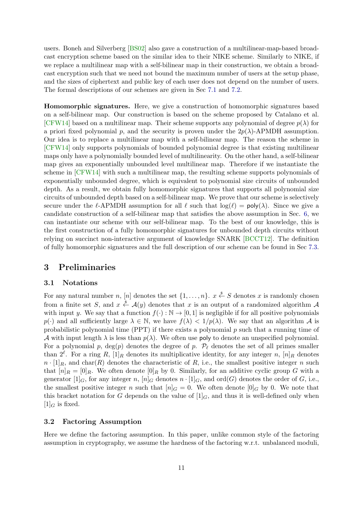<span id="page-10-0"></span>users. Boneh and Silverberg [\[BS02\]](#page-33-3) also gave a construction of a multilinear-map-based broadcast encryption scheme based on the similar idea to their NIKE scheme. Similarly to NIKE, if we replace a multilinear map with a self-bilinear map in their construction, we obtain a broadcast encryption such that we need not bound the maximum number of users at the setup phase, and the sizes of ciphertext and public key of each user does not depend on the number of users. The formal descriptions of our schemes are given in Sec [7.1](#page-25-0) and [7.2.](#page-27-0)

Homomorphic signatures. Here, we give a construction of homomorphic signatures based on a self-bilinear map. Our construction is based on the scheme proposed by Catalano et al. [\[CFW14\]](#page-33-4) based on a multilinear map. Their scheme supports any polynomial of degree  $p(\lambda)$  for a priori fixed polynomial p, and the security is proven under the  $2p(\lambda)$ -APMDH assumption. Our idea is to replace a multilinear map with a self-bilinear map. The reason the scheme in [\[CFW14\]](#page-33-4) only supports polynomials of bounded polynomial degree is that existing multilinear maps only have a polynomially bounded level of multilinearity. On the other hand, a self-bilinear map gives an exponentially unbounded level multilinear map. Therefore if we instantiate the scheme in [\[CFW14\]](#page-33-4) with such a multilinear map, the resulting scheme supports polynomials of exponentially unbounded degree, which is equivalent to polynomial size circuits of unbounded depth. As a result, we obtain fully homomorphic signatures that supports all polynomial size circuits of unbounded depth based on a self-bilinear map. We prove that our scheme is selectively secure under the  $\ell$ -APMDH assumption for all  $\ell$  such that  $\log(\ell) = \text{poly}(\lambda)$ . Since we give a candidate construction of a self-bilinear map that satisfies the above assumption in Sec. [6,](#page-18-0) we can instantiate our scheme with our self-bilinear map. To the best of our knowledge, this is the first construction of a fully homomorphic signatures for unbounded depth circuits without relying on succinct non-interactive argument of knowledge SNARK [\[BCCT12\]](#page-32-5). The definition of fully homomorphic signatures and the full description of our scheme can be found in Sec [7.3.](#page-28-0)

## 3 Preliminaries

#### 3.1 Notations

For any natural number n, [n] denotes the set  $\{1,\ldots,n\}$ .  $x \stackrel{\$}{\leftarrow} S$  denotes x is randomly chosen from a finite set S, and  $x \stackrel{\$}{\leftarrow} A(y)$  denotes that x is an output of a randomized algorithm A with input y. We say that a function  $f(\cdot): \mathbb{N} \to [0, 1]$  is negligible if for all positive polynomials  $p(\cdot)$  and all sufficiently large  $\lambda \in \mathbb{N}$ , we have  $f(\lambda) < 1/p(\lambda)$ . We say that an algorithm A is probabilistic polynomial time (PPT) if there exists a polynomial  $p$  such that a running time of A with input length  $\lambda$  is less than  $p(\lambda)$ . We often use poly to denote an unspecified polynomial. For a polynomial p,  $deg(p)$  denotes the degree of p.  $\mathcal{P}_{\ell}$  denotes the set of all primes smaller than  $2^{\ell}$ . For a ring R,  $[1]_R$  denotes its multiplicative identity, for any integer n,  $[n]_R$  denotes  $n \cdot [1]_R$ , and char(R) denotes the characteristic of R, i.e., the smallest positive integer n such that  $[n]_R = [0]_R$ . We often denote  $[0]_R$  by 0. Similarly, for an additive cyclic group G with a generator  $[1]_G$ , for any integer n,  $[n]_G$  denotes  $n \cdot [1]_G$ , and ord $(G)$  denotes the order of G, i.e., the smallest positive integer n such that  $[n]_G = 0$ . We often denote  $[0]_G$  by 0. We note that this bracket notation for G depends on the value of  $[1]_G$ , and thus it is well-defined only when  $[1]_G$  is fixed.

## 3.2 Factoring Assumption

Here we define the factoring assumption. In this paper, unlike common style of the factoring assumption in cryptography, we assume the hardness of the factoring w.r.t. unbalanced moduli,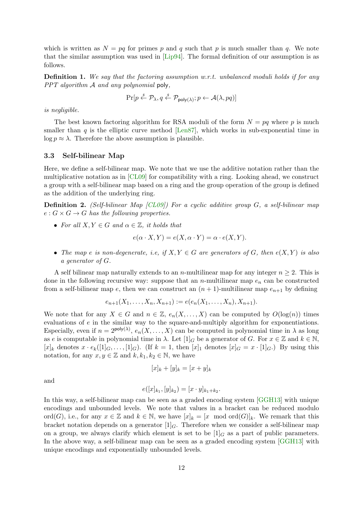<span id="page-11-1"></span>which is written as  $N = pq$  for primes p and q such that p is much smaller than q. We note that the similar assumption was used in [\[Lip94\]](#page-34-10). The formal definition of our assumption is as follows.

**Definition 1.** We say that the factoring assumption w.r.t. unbalanced moduli holds if for any PPT algorithm A and any polynomial poly,

$$
\Pr[p \stackrel{\$}{\leftarrow} \mathcal{P}_{\lambda}, q \stackrel{\$}{\leftarrow} \mathcal{P}_{\mathsf{poly}(\lambda)}; p \leftarrow \mathcal{A}(\lambda, pq)]
$$

is negligible.

The best known factoring algorithm for RSA moduli of the form  $N = pq$  where p is much smaller than  $q$  is the elliptic curve method  $\text{[Len87]}$ , which works in sub-exponential time in  $\log p \approx \lambda$ . Therefore the above assumption is plausible.

#### 3.3 Self-bilinear Map

Here, we define a self-bilinear map. We note that we use the additive notation rather than the multiplicative notation as in [\[CL09\]](#page-33-2) for compatibility with a ring. Looking ahead, we construct a group with a self-bilinear map based on a ring and the group operation of the group is defined as the addition of the underlying ring.

<span id="page-11-0"></span>Definition 2. (Self-bilinear Map [\[CL09\]](#page-33-2)) For a cyclic additive group G, a self-bilinear map  $e: G \times G \rightarrow G$  has the following properties.

• For all  $X, Y \in G$  and  $\alpha \in \mathbb{Z}$ , it holds that

$$
e(\alpha \cdot X, Y) = e(X, \alpha \cdot Y) = \alpha \cdot e(X, Y).
$$

• The map e is non-degenerate, i.e, if  $X, Y \in G$  are generators of G, then  $e(X, Y)$  is also a generator of G.

A self bilinear map naturally extends to an *n*-multilinear map for any integer  $n \geq 2$ . This is done in the following recursive way: suppose that an n-multilinear map  $e_n$  can be constructed from a self-bilinear map e, then we can construct an  $(n + 1)$ -multilinear map  $e_{n+1}$  by defining

$$
e_{n+1}(X_1,\ldots,X_n,X_{n+1}) := e(e_n(X_1,\ldots,X_n),X_{n+1}).
$$

We note that for any  $X \in G$  and  $n \in \mathbb{Z}$ ,  $e_n(X, \ldots, X)$  can be computed by  $O(\log(n))$  times evaluations of e in the similar way to the square-and-multiply algorithm for exponentiations. Especially, even if  $n = 2^{\text{poly}(\lambda)}$ ,  $e_n(X, \ldots, X)$  can be computed in polynomial time in  $\lambda$  as long as e is computable in polynomial time in  $\lambda$ . Let  $[1]_G$  be a generator of G. For  $x \in \mathbb{Z}$  and  $k \in \mathbb{N}$ ,  $[x]_k$  denotes  $x \cdot e_k([1]_G, \ldots, [1]_G)$ . (If  $k = 1$ , then  $[x]_1$  denotes  $[x]_G = x \cdot [1]_G$ .) By using this notation, for any  $x, y \in \mathbb{Z}$  and  $k, k_1, k_2 \in \mathbb{N}$ , we have

$$
[x]_k + [y]_k = [x + y]_k
$$

and

$$
e([x]_{k_1}, [y]_{k_2}) = [x \cdot y]_{k_1 + k_2}.
$$

In this way, a self-bilinear map can be seen as a graded encoding system [\[GGH13\]](#page-33-10) with unique encodings and unbounded levels. We note that values in a bracket can be reduced modulo ord(G), i.e., for any  $x \in \mathbb{Z}$  and  $k \in \mathbb{N}$ , we have  $[x]_k = [x \mod \text{ord}(G)]_k$ . We remark that this bracket notation depends on a generator  $[1]_G$ . Therefore when we consider a self-bilinear map on a group, we always clarify which element is set to be  $[1]_G$  as a part of public parameters. In the above way, a self-bilinear map can be seen as a graded encoding system [\[GGH13\]](#page-33-10) with unique encodings and exponentially unbounded levels.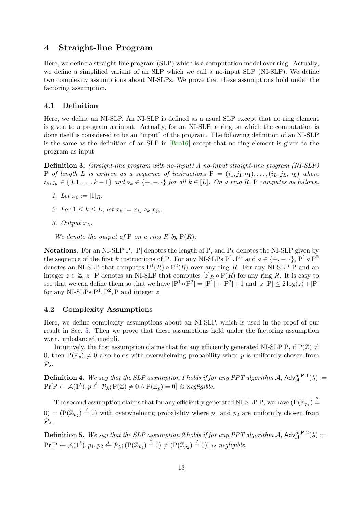## <span id="page-12-0"></span>4 Straight-line Program

Here, we define a straight-line program (SLP) which is a computation model over ring. Actually, we define a simplified variant of an SLP which we call a no-input SLP (NI-SLP). We define two complexity assumptions about NI-SLPs. We prove that these assumptions hold under the factoring assumption.

## 4.1 Definition

Here, we define an NI-SLP. An NI-SLP is defined as a usual SLP except that no ring element is given to a program as input. Actually, for an NI-SLP, a ring on which the computation is done itself is considered to be an "input" of the program. The following definition of an NI-SLP is the same as the definition of an SLP in [\[Bro16\]](#page-33-6) except that no ring element is given to the program as input.

Definition 3. (straight-line program with no-input) A no-input straight-line program (NI-SLP) P of length L is written as a sequence of instructions  $P = (i_1, j_1, \circ_1), \ldots, (i_L, j_L, \circ_L)$  where  $i_k, j_k \in \{0, 1, \ldots, k-1\}$  and  $\circ_k \in \{+, -, \cdot\}$  for all  $k \in [L]$ . On a ring R, P computes as follows.

- 1. Let  $x_0 := [1]_R$ .
- 2. For  $1 \leq k \leq L$ , let  $x_k := x_{i_k} \circ_k x_{j_k}$ .
- 3. Output  $x_L$ .

We denote the output of P on a ring R by  $P(R)$ .

**Notations.** For an NI-SLP P, |P| denotes the length of P, and  $P_k$  denotes the NI-SLP given by the sequence of the first k instructions of P. For any NI-SLPs  $P^1$ ,  $P^2$  and  $\circ \in \{+,-, \cdot\}$ ,  $P^1 \circ P^2$ denotes an NI-SLP that computes  $P^1(R) \circ P^2(R)$  over any ring R. For any NI-SLP P and an integer  $z \in \mathbb{Z}$ ,  $z \cdot P$  denotes an NI-SLP that computes  $[z]_R \circ P(R)$  for any ring R. It is easy to see that we can define them so that we have  $|P^1 \circ P^2| = |P^1| + |P^2| + 1$  and  $|z \cdot P| \leq 2 \log(z) + |P|$ for any NI-SLPs  $P^1$ ,  $P^2$ , P and integer z.

#### 4.2 Complexity Assumptions

Here, we define complexity assumptions about an NI-SLP, which is used in the proof of our result in Sec. [5.](#page-14-0) Then we prove that these assumptions hold under the factoring assumption w.r.t. unbalanced moduli.

Intuitively, the first assumption claims that for any efficiently generated NI-SLP P, if  $P(\mathbb{Z}) \neq$ 0, then  $P(\mathbb{Z}_p) \neq 0$  also holds with overwhelming probability when p is uniformly chosen from  $\mathcal{P}_{\lambda}$ .

**Definition 4.** We say that the SLP assumption 1 holds if for any PPT algorithm A,  $\text{Adv}_{\mathcal{A}}^{\text{SLP-1}}(\lambda) :=$  $\Pr[P \leftarrow \mathcal{A}(1^{\lambda}), p \stackrel{s}{\leftarrow} \mathcal{P}_{\lambda}; P(\mathbb{Z}) \neq 0 \wedge P(\mathbb{Z}_p) = 0]$  is negligible.

The second assumption claims that for any efficiently generated NI-SLP P, we have  $(P(\mathbb{Z}_{p_1}) \stackrel{?}{=}$  $(0) = (P(\mathbb{Z}_{p_2}) \stackrel{?}{=} 0)$  with overwhelming probability where  $p_1$  and  $p_2$  are uniformly chosen from  $\mathcal{P}_{\lambda}$ .

**Definition 5.** We say that the SLP assumption 2 holds if for any PPT algorithm A,  $\text{Adv}_{\mathcal{A}}^{\text{SLP-2}}(\lambda) :=$  $\Pr[P \leftarrow \mathcal{A}(1^{\lambda}), p_1, p_2 \stackrel{s}{\leftarrow} \mathcal{P}_{\lambda}; (\mathrm{P}(\mathbb{Z}_{p_1}) \stackrel{?}{=} 0) \neq (\mathrm{P}(\mathbb{Z}_{p_2}) \stackrel{?}{=} 0)]$  is negligible.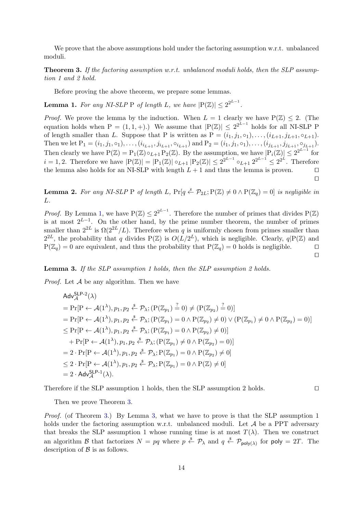We prove that the above assumptions hold under the factoring assumption w.r.t. unbalanced moduli.

<span id="page-13-2"></span>**Theorem 3.** If the factoring assumption w.r.t. unbalanced moduli holds, then the SLP assumption 1 and 2 hold.

Before proving the above theorem, we prepare some lemmas.

<span id="page-13-1"></span>**Lemma 1.** For any NI-SLP P of length L, we have  $|P(\mathbb{Z})| \leq 2^{2^{L-1}}$ .

*Proof.* We prove the lemma by the induction. When  $L = 1$  clearly we have  $P(\mathbb{Z}) \leq 2$ . (The equation holds when  $P = (1, 1, +)$ .) We assume that  $|P(\mathbb{Z})| \leq 2^{2^{L-1}}$  holds for all NI-SLP P of length smaller than L. Suppose that P is written as  $P = (i_1, j_1, o_1), \ldots, (i_{L+1}, j_{L+1}, o_{L+1}).$ Then we let  $P_1 = (i_1, j_1, o_1), \ldots, (i_{i_{L+1}}, j_{i_{L+1}}, o_{i_{L+1}})$  and  $P_2 = (i_1, j_1, o_1), \ldots, (i_{j_{L+1}}, j_{j_{L+1}}, o_{j_{L+1}})$ . Then clearly we have  $P(\mathbb{Z}) = P_1(\mathbb{Z}) \circ_{L+1} P_2(\mathbb{Z})$ . By the assumption, we have  $|P_i(\mathbb{Z})| \leq 2^{2^{L-1}}$  for  $i = 1, 2$ . Therefore we have  $|P(\mathbb{Z})| = |P_1(\mathbb{Z})| \circ_{L+1} |P_2(\mathbb{Z})| \leq 2^{2^{L-1}} \circ_{L+1} 2^{2^{L-1}} \leq 2^{2^L}$ . Therefore the lemma also holds for an NI-SLP with length  $L + 1$  and thus the lemma is proven.  $\square$  $\Box$ 

<span id="page-13-0"></span>**Lemma 2.** For any NI-SLP P of length L,  $Pr[q \stackrel{s}{\leftarrow} \mathcal{P}_{2L}; P(\mathbb{Z}) \neq 0 \wedge P(\mathbb{Z}_q) = 0]$  is negligible in L.

*Proof.* By Lemma [1,](#page-13-1) we have  $P(\mathbb{Z}) \leq 2^{2^{L-1}}$ . Therefore the number of primes that divides  $P(\mathbb{Z})$ is at most  $2^{L-1}$ . On the other hand, by the prime number theorem, the number of primes smaller than  $2^{2L}$  is  $\Omega(2^{2L}/L)$ . Therefore when q is uniformly chosen from primes smaller than  $2^{2L}$ , the probability that q divides  $P(\mathbb{Z})$  is  $O(L/2^L)$ , which is negligible. Clearly,  $q|P(\mathbb{Z})$  and  $P(\mathbb{Z}_q) = 0$  are equivalent, and thus the probability that  $P(\mathbb{Z}_q) = 0$  holds is negligible.  $\Box$  $\Box$ 

<span id="page-13-3"></span>Lemma 3. If the SLP assumption 1 holds, then the SLP assumption 2 holds.

*Proof.* Let  $A$  be any algorithm. Then we have

$$
Adv_{\mathcal{A}}^{\mathsf{SLP-2}}(\lambda)
$$
\n
$$
= \Pr[P \leftarrow \mathcal{A}(1^{\lambda}), p_1, p_2 \stackrel{\$}{\leftarrow} \mathcal{P}_{\lambda}; (P(\mathbb{Z}_{p_1}) \stackrel{?}{=} 0) \neq (P(\mathbb{Z}_{p_2}) \stackrel{?}{=} 0)]
$$
\n
$$
= \Pr[P \leftarrow \mathcal{A}(1^{\lambda}), p_1, p_2 \stackrel{\$}{\leftarrow} \mathcal{P}_{\lambda}; (P(\mathbb{Z}_{p_1}) = 0 \land P(\mathbb{Z}_{p_2}) \neq 0) \lor (P(\mathbb{Z}_{p_1}) \neq 0 \land P(\mathbb{Z}_{p_2}) = 0)]
$$
\n
$$
\leq \Pr[P \leftarrow \mathcal{A}(1^{\lambda}), p_1, p_2 \stackrel{\$}{\leftarrow} \mathcal{P}_{\lambda}; (P(\mathbb{Z}_{p_1}) = 0 \land P(\mathbb{Z}_{p_2}) \neq 0)]
$$
\n
$$
+ \Pr[P \leftarrow \mathcal{A}(1^{\lambda}), p_1, p_2 \stackrel{\$}{\leftarrow} \mathcal{P}_{\lambda}; (P(\mathbb{Z}_{p_1}) \neq 0 \land P(\mathbb{Z}_{p_2}) = 0)]
$$
\n
$$
= 2 \cdot \Pr[P \leftarrow \mathcal{A}(1^{\lambda}), p_1, p_2 \stackrel{\$}{\leftarrow} \mathcal{P}_{\lambda}; P(\mathbb{Z}_{p_1}) = 0 \land P(\mathbb{Z}_{p_2}) \neq 0]
$$
\n
$$
\leq 2 \cdot \Pr[P \leftarrow \mathcal{A}(1^{\lambda}), p_1, p_2 \stackrel{\$}{\leftarrow} \mathcal{P}_{\lambda}; P(\mathbb{Z}_{p_1}) = 0 \land P(\mathbb{Z}) \neq 0]
$$
\n
$$
= 2 \cdot \text{Adv}_{\mathcal{A}}^{\mathsf{SLP-1}}(\lambda).
$$

Therefore if the SLP assumption 1 holds, then the SLP assumption 2 holds.  $\square$ 

Then we prove Theorem [3.](#page-13-2)

Proof. (of Theorem [3.](#page-13-2)) By Lemma [3,](#page-13-3) what we have to prove is that the SLP assumption 1 holds under the factoring assumption w.r.t. unbalanced moduli. Let  $A$  be a PPT adversary that breaks the SLP assumption 1 whose running time is at most  $T(\lambda)$ . Then we construct an algorithm B that factorizes  $N = pq$  where  $p \stackrel{s}{\leftarrow} \mathcal{P}_{\lambda}$  and  $q \stackrel{s}{\leftarrow} \mathcal{P}_{poly(\lambda)}$  for poly  $= 2T$ . The description of  $\beta$  is as follows.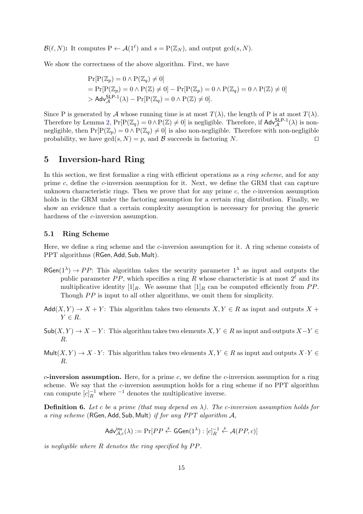$\mathcal{B}(\ell, N)$ : It computes  $P \leftarrow \mathcal{A}(1^{\ell})$  and  $s = P(\mathbb{Z}_N)$ , and output  $gcd(s, N)$ .

We show the correctness of the above algorithm. First, we have

$$
Pr[P(\mathbb{Z}_p) = 0 \land P(\mathbb{Z}_q) \neq 0]
$$
  
= 
$$
Pr[P(\mathbb{Z}_p) = 0 \land P(\mathbb{Z}) \neq 0] - Pr[P(\mathbb{Z}_p) = 0 \land P(\mathbb{Z}_q) = 0 \land P(\mathbb{Z}) \neq 0]
$$
  
> 
$$
Adv_{\mathcal{A}}^{\text{SLP-1}}(\lambda) - Pr[P(\mathbb{Z}_q) = 0 \land P(\mathbb{Z}) \neq 0].
$$

Since P is generated by A whose running time is at most  $T(\lambda)$ , the length of P is at most  $T(\lambda)$ . Therefore by Lemma [2,](#page-13-0)  $Pr[P(\mathbb{Z}_q) = 0 \wedge P(\mathbb{Z}) \neq 0]$  is negligible. Therefore, if  $\text{Adv}_{\mathcal{A}}^{\text{SLP-1}}(\lambda)$  is nonnegligible, then  $Pr[P(\mathbb{Z}_p) = 0 \wedge P(\mathbb{Z}_q) \neq 0]$  is also non-negligible. Therefore with non-negligible probability, we have  $gcd(s, N) = p$ , and  $\beta$  succeeds in factoring N.

# <span id="page-14-0"></span>5 Inversion-hard Ring

In this section, we first formalize a ring with efficient operations as a *ring scheme*, and for any prime  $c$ , define the c-inversion assumption for it. Next, we define the GRM that can capture unknown characteristic rings. Then we prove that for any prime c, the  $c$ -inversion assumption holds in the GRM under the factoring assumption for a certain ring distribution. Finally, we show an evidence that a certain complexity assumption is necessary for proving the generic hardness of the *c*-inversion assumption.

## 5.1 Ring Scheme

Here, we define a ring scheme and the c-inversion assumption for it. A ring scheme consists of PPT algorithms (RGen, Add, Sub, Mult).

- $RGen(1^{\lambda}) \rightarrow PP$ : This algorithm takes the security parameter  $1^{\lambda}$  as input and outputs the public parameter PP, which specifies a ring R whose characteristic is at most  $2^\ell$  and its multiplicative identity  $[1]_R$ . We assume that  $[1]_R$  can be computed efficiently from PP. Though PP is input to all other algorithms, we omit them for simplicity.
- $Add(X, Y) \to X + Y$ : This algorithm takes two elements  $X, Y \in R$  as input and outputs  $X +$  $Y \in R$ .
- $\mathsf{Sub}(X, Y) \to X Y$ : This algorithm takes two elements  $X, Y \in R$  as input and outputs  $X Y \in$ R.
- Mult(X, Y)  $\to X \cdot Y$ : This algorithm takes two elements  $X, Y \in R$  as input and outputs  $X \cdot Y \in$ R.

 $c$ -inversion assumption. Here, for a prime  $c$ , we define the  $c$ -inversion assumption for a ring scheme. We say that the c-inversion assumption holds for a ring scheme if no PPT algorithm can compute  $[c]_R^{-1}$  where  $^{-1}$  denotes the multiplicative inverse.

**Definition 6.** Let c be a prime (that may depend on  $\lambda$ ). The c-inversion assumption holds for a ring scheme (RGen, Add, Sub, Mult) if for any PPT algorithm  $A$ ,

> $\mathsf{Adv}_{\mathcal{A},c}^{\mathsf{inv}}(\lambda) := \Pr[PP \overset{\hspace{0.1em}\mathsf{\scriptscriptstyle\$}}{\leftarrow} \mathsf{GGen}(1^{\lambda}) : [c]_R^{-1}$  $R^{-1} \overset{\&}{\leftarrow} \mathcal{A}(PP, c)$

is negligible where  $R$  denotes the ring specified by  $PP$ .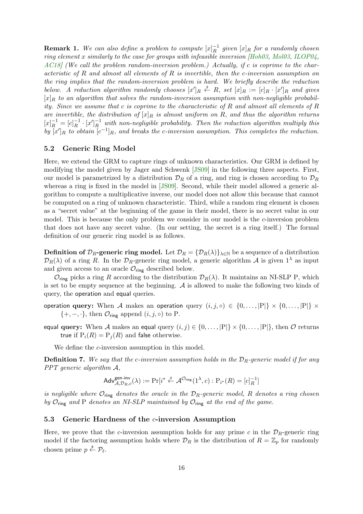<span id="page-15-2"></span><span id="page-15-0"></span>**Remark 1.** We can also define a problem to compute  $[x]_R^{-1}$  $R^{-1}$  given  $[x]_R$  for a randomly chosen ring element x similarly to the case for groups with infeasible inversion [\[Hoh03,](#page-34-3) [Mol03,](#page-34-4) [ILOP04,](#page-34-5) [AC18\]](#page-32-4) (We call the problem random-inversion problem.) Actually, if c is coprime to the characteristic of R and almost all elements of R is invertible, then the c-inversion assumption on the ring implies that the random-inversion problem is hard. We briefly describe the reduction below. A reduction algorithm randomly chooses  $[x']_R \stackrel{s}{\leftarrow} R$ , set  $[x]_R := [c]_R \cdot [x']_R$  and gives  $[x]_R$  to an algorithm that solves the random-inversion assumption with non-negligible probability. Since we assume that c is coprime to the characteristic of  $R$  and almost all elements of  $R$ are invertible, the distribution of  $[x]_R$  is almost uniform on R, and thus the algorithm returns  $[x]_R^{-1} = [c]_R^{-1}$  $\frac{1}{R}$   $\cdot$   $[x']_R^{-1}$  with non-negligible probability. Then the reduction algorithm multiply this by  $[x']_R$  to obtain  $[c^{-1}]_R$ , and breaks the c-inversion assumption. This completes the reduction.

## <span id="page-15-1"></span>5.2 Generic Ring Model

Here, we extend the GRM to capture rings of unknown characteristics. Our GRM is defined by modifying the model given by Jager and Schwenk [\[JS09\]](#page-34-1) in the following three aspects. First, our model is parametrized by a distribution  $\mathcal{D}_R$  of a ring, and ring is chosen according to  $\mathcal{D}_R$ whereas a ring is fixed in the model in [\[JS09\]](#page-34-1). Second, while their model allowed a generic algorithm to compute a multiplicative inverse, our model does not allow this because that cannot be computed on a ring of unknown characteristic. Third, while a random ring element is chosen as a "secret value" at the beginning of the game in their model, there is no secret value in our model. This is because the only problem we consider in our model is the c-inversion problem that does not have any secret value. (In our setting, the secret is a ring itself.) The formal definition of our generic ring model is as follows.

**Definition of**  $\mathcal{D}_R$ **-generic ring model.** Let  $\mathcal{D}_R = {\mathcal{D}_R(\lambda)}_{\lambda \in \mathbb{N}}$  be a sequence of a distribution  $\mathcal{D}_R(\lambda)$  of a ring R. In the  $\mathcal{D}_R$ -generic ring model, a generic algorithm A is given  $1^{\lambda}$  as input and given access to an oracle  $\mathcal{O}_{\text{ring}}$  described below.

 $\mathcal{O}_{\text{ring}}$  picks a ring R according to the distribution  $\mathcal{D}_R(\lambda)$ . It maintains an NI-SLP P, which is set to be empty sequence at the beginning.  $A$  is allowed to make the following two kinds of query, the operation and equal queries.

- operation query: When A makes an operation query  $(i, j, \circ) \in \{0, ..., |P|\} \times \{0, ..., |P|\} \times$  $\{+, -, \cdot\}$ , then  $\mathcal{O}_{\text{ring}}$  append  $(i, j, \circ)$  to P.
- equal query: When A makes an equal query  $(i, j) \in \{0, \ldots, |P|\} \times \{0, \ldots, |P|\}$ , then O returns true if  $P_i(R) = P_i(R)$  and false otherwise.

We define the *c*-inversion assumption in this model.

**Definition 7.** We say that the c-inversion assumption holds in the  $\mathcal{D}_R$ -generic model if for any PPT generic algorithm A,

$$
\mathsf{Adv}_{\mathcal{A},\mathcal{D}_R,c}^{\mathsf{gen-inv}}(\lambda) := \Pr[i^* \overset{\hspace{0.1em}\mathsf{\scriptscriptstyle\$}}{\leftarrow} \mathcal{A}^{\mathcal{O}_{\mathsf{ring}}}(1^\lambda,c) : \mathsf{P}_{i^*}(R) = [c]_R^{-1}]
$$

is negligible where  $\mathcal{O}_{\text{ring}}$  denotes the oracle in the  $\mathcal{D}_R$ -generic model, R denotes a ring chosen by  $\mathcal{O}_{\text{ring}}$  and P denotes an NI-SLP maintained by  $\mathcal{O}_{\text{ring}}$  at the end of the game.

#### 5.3 Generic Hardness of the c-inversion Assumption

Here, we prove that the c-inversion assumption holds for any prime c in the  $\mathcal{D}_R$ -generic ring model if the factoring assumption holds where  $\mathcal{D}_R$  is the distribution of  $R = \mathbb{Z}_p$  for randomly chosen prime  $p \overset{\hspace{0.1em}\mathsf{\scriptscriptstyle\$}}{\leftarrow} \mathcal{P}_{\ell}$ .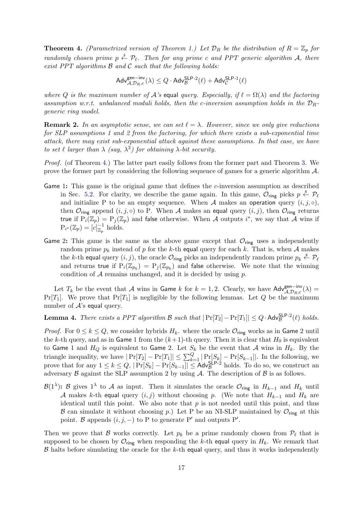<span id="page-16-0"></span>**Theorem 4.** (Parametrized version of Theorem [1.](#page-7-0)) Let  $\mathcal{D}_R$  be the distribution of  $R = \mathbb{Z}_p$  for randomly chosen prime  $p \stackrel{s}{\leftarrow} \mathcal{P}_{\ell}$ . Then for any prime c and PPT generic algorithm A, there exist PPT algorithms  $\beta$  and  $\beta$  such that the following holds:

$$
\mathsf{Adv}_{\mathcal{A},\mathcal{D}_R,c}^{\mathsf{gen-inv}}(\lambda) \leq Q\cdot \mathsf{Adv}_{\mathcal{B}}^{\mathsf{SLP-2}}(\ell) + \mathsf{Adv}_{\mathcal{C}}^{\mathsf{SLP-1}}(\ell)
$$

where Q is the maximum number of A's equal query. Especially, if  $\ell = \Omega(\lambda)$  and the factoring assumption w.r.t. unbalanced moduli holds, then the c-inversion assumption holds in the  $\mathcal{D}_R$ generic ring model.

**Remark 2.** In an asymptotic sense, we can set  $\ell = \lambda$ . However, since we only give reductions for SLP assumptions 1 and 2 from the factoring, for which there exists a sub-exponential time attack, there may exist sub-exponential attack against these assumptions. In that case, we have to set  $\ell$  larger than  $\lambda$  (say,  $\lambda^3$ ) for obtaining  $\lambda$ -bit security.

Proof. (of Theorem [4.](#page-16-0)) The latter part easily follows from the former part and Theorem [3.](#page-13-2) We prove the former part by considering the following sequence of games for a generic algorithm A.

- Game 1: This game is the original game that defines the c-inversion assumption as described in Sec. [5.2.](#page-15-1) For clarity, we describe the game again. In this game,  $\mathcal{O}_{ring}$  picks  $p \stackrel{\$}{\leftarrow} \mathcal{P}_{\ell}$ and initialize P to be an empty sequence. When A makes an operation query  $(i, j, \circ),$ then  $\mathcal{O}_{\text{ring}}$  append  $(i, j, \circ)$  to P. When A makes an equal query  $(i, j)$ , then  $\mathcal{O}_{\text{ring}}$  returns true if  $\text{P}_i(\mathbb{Z}_p)=\text{P}_j(\mathbb{Z}_p)$  and false otherwise. When  $\mathcal A$  outputs  $i^*$ , we say that  $\tilde{\mathcal A}$  wins if  $P_{i^*}(\mathbb{Z}_p) = [c]_{\mathbb{Z}_p}^{-1}$  holds.
- Game 2: This game is the same as the above game except that  $\mathcal{O}_{ring}$  uses a independently random prime  $p_k$  instead of p for the k-th equal query for each k. That is, when A makes the k-th equal query  $(i, j)$ , the oracle  $\mathcal{O}_{\text{ring}}$  picks an independently random prime  $p_k \overset{\$}{\leftarrow} \mathcal{P}_{\ell}$ and returns true if  $P_i(\mathbb{Z}_{p_k}) = P_j(\mathbb{Z}_{p_k})$  and false otherwise. We note that the winning condition of  $A$  remains unchanged, and it is decided by using  $p$ .

Let  $T_k$  be the event that A wins in Game k for  $k = 1, 2$ . Clearly, we have  $\mathsf{Adv}_{\mathcal{A},\mathcal{D}_R,c}^{\text{gen-inv}}(\lambda) =$  $Pr[T_1]$ . We prove that  $Pr[T_1]$  is negligible by the following lemmas. Let Q be the maximum number of  $A$ 's equal query.

**Lemma 4.** There exists a PPT algorithm B such that  $|\Pr[T_2] - \Pr[T_1]| \leq Q \cdot \text{Adv}_{\mathcal{B}}^{\text{SLP-2}}(\ell)$  holds.

*Proof.* For  $0 \le k \le Q$ , we consider hybrids  $H_k$ . where the oracle  $\mathcal{O}_{\text{ring}}$  works as in Game 2 until the k-th query, and as in Game 1 from the  $(k+1)$ -th query. Then it is clear that  $H_0$  is equivalent to Game 1 and  $H_Q$  is equivalent to Game 2. Let  $S_k$  be the event that A wins in  $H_k$ . By the triangle inequality, we have  $|\Pr[T_2] - \Pr[T_1]| \leq \sum_{k=1}^Q |\Pr[S_k] - \Pr[S_{k-1}]|$ . In the following, we prove that for any  $1 \leq k \leq Q$ ,  $|\Pr[S_k] - \Pr[S_{k-1}]| \leq \text{Adv}_{\mathcal{B}}^{\text{SLP-2}}$  holds. To do so, we construct an adversary  $\beta$  against the SLP assumption 2 by using  $\mathcal A$ . The description of  $\beta$  is as follows.

 $\mathcal{B}(1^{\lambda})$ : B gives 1<sup>\1</sup> to A as input. Then it simulates the oracle  $\mathcal{O}_{\text{ring}}$  in  $H_{k-1}$  and  $H_k$  until A makes k-th equal query  $(i, j)$  without choosing p. (We note that  $H_{k-1}$  and  $H_k$  are identical until this point. We also note that  $p$  is not needed until this point, and thus B can simulate it without choosing p.) Let P be an NI-SLP maintained by  $\mathcal{O}_{\text{ring}}$  at this point. B appends  $(i, j, -)$  to P to generate P' and outputs P'.

Then we prove that B works correctly. Let  $p_k$  be a prime randomly chosen from  $\mathcal{P}_\ell$  that is supposed to be chosen by  $\mathcal{O}_{ring}$  when responding the k-th equal query in  $H_k$ . We remark that  $\beta$  halts before simulating the oracle for the k-th equal query, and thus it works independently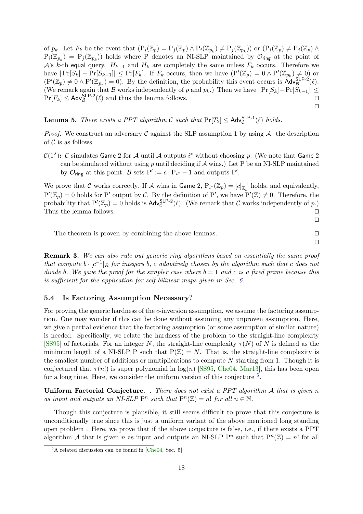<span id="page-17-2"></span>of  $p_k$ . Let  $F_k$  be the event that  $(P_i(\mathbb{Z}_p) = P_j(\mathbb{Z}_p) \wedge P_i(\mathbb{Z}_{p_k}) \neq P_j(\mathbb{Z}_{p_k}))$  or  $(P_i(\mathbb{Z}_p) \neq P_j(\mathbb{Z}_p) \wedge P_j(\mathbb{Z}_{p_k})$  $P_i(\mathbb{Z}_{p_k}) = P_j(\mathbb{Z}_{p_k})$  holds where P denotes an NI-SLP maintained by  $\mathcal{O}_{\text{ring}}$  at the point of A's k-th equal query.  $H_{k-1}$  and  $H_k$  are completely the same unless  $F_k$  occurs. Therefore we have  $|\Pr[S_k] - \Pr[S_{k-1}]| \leq \Pr[F_k]$ . If  $F_k$  occurs, then we have  $(\Pr(\mathbb{Z}_p) = 0 \wedge \Pr(\mathbb{Z}_{p_k}) \neq 0)$  or  $(P'(\mathbb{Z}_p) \neq 0 \wedge P'(\mathbb{Z}_{p_k}) = 0)$ . By the definition, the probability this event occurs is  $\text{Adv}_{\mathcal{B}}^{\text{SLP-2}}(\ell)$ . (We remark again that B works independently of p and  $p_k$ .) Then we have  $|Pr[S_k]-Pr[S_{k-1}]| \leq$  $\Pr[F_k] \leq \mathsf{Adv}_{\mathcal{B}}^{\mathsf{SLP-2}}(\ell)$  and thus the lemma follows.

**Lemma 5.** There exists a PPT algorithm C such that  $Pr[T_2] \leq \text{Adv}_{\mathcal{C}}^{\text{SLP-1}}(\ell)$  holds.

*Proof.* We construct an adversary C against the SLP assumption 1 by using  $A$ . the description of  $\mathcal C$  is as follows.

 $\Box$ 

 $\Box$ 

 $\Box$ 

 $\mathcal{C}(1^{\lambda})$ : C simulates Game 2 for A until A outputs i\* without choosing p. (We note that Game 2 can be simulated without using p until deciding if  $\mathcal A$  wins.) Let P be an NI-SLP maintained by  $\mathcal{O}_{\text{ring}}$  at this point. B sets  $P' := c \cdot P_{i^*} - 1$  and outputs  $P'$ .

We prove that C works correctly. If A wins in Game 2,  $P_{i^*}(\mathbb{Z}_p) = [c]_{\mathbb{Z}_p}^{-1}$  holds, and equivalently,  $P'(\mathbb{Z}_p) = 0$  holds for P' output by C. By the definition of P', we have  $P'(\mathbb{Z}) \neq 0$ . Therefore, the probability that  $P'(\mathbb{Z}_p) = 0$  holds is  $\mathsf{Adv}_{\mathcal{C}}^{\mathsf{SLP-2}}(\ell)$ . (We remark that C works independently of p.) Thus the lemma follows.  $\Box$ 

The theorem is proven by combining the above lemmas.  $\Box$ 

**Remark 3.** We can also rule out generic ring algorithms based on essentially the same proof that compute  $b \cdot [c^{-1}]_R$  for integers b, c adaptively chosen by the algorithm such that c does not divide b. We gave the proof for the simpler case where  $b = 1$  and c is a fixed prime because this is sufficient for the application for self-bilinear maps given in Sec. [6.](#page-18-0)

## <span id="page-17-0"></span>5.4 Is Factoring Assumption Necessary?

For proving the generic hardness of the c-inversion assumption, we assume the factoring assumption. One may wonder if this can be done without assuming any unproven assumption. Here, we give a partial evidence that the factoring assumption (or some assumption of similar nature) is needed. Specifically, we relate the hardness of the problem to the straight-line complexity [\[SS95\]](#page-35-7) of factorials. For an integer N, the straight-line complexity  $\tau(N)$  of N is defined as the minimum length of a NI-SLP P such that  $P(\mathbb{Z}) = N$ . That is, the straight-line complexity is the smallest number of additions or multiplications to compute N starting from 1. Though it is conjectured that  $\tau(n!)$  is super polynomial in log(n) [\[SS95,](#page-35-7) [Che04,](#page-33-9) [Mar13\]](#page-34-7), this has been open for a long time. Here, we consider the uniform version of this conjecture  $<sup>5</sup>$  $<sup>5</sup>$  $<sup>5</sup>$ .</sup>

Uniform Factorial Conjecture. . There does not exist a PPT algorithm  $A$  that is given n as input and outputs an NI-SLP  $P^n$  such that  $P^n(\mathbb{Z}) = n!$  for all  $n \in \mathbb{N}$ .

Though this conjecture is plausible, it still seems difficult to prove that this conjecture is unconditionally true since this is just a uniform variant of the above mentioned long standing open problem . Here, we prove that if the above conjecture is false, i.e., if there exists a PPT algorithm A that is given n as input and outputs an NI-SLP P<sup>n</sup> such that  $P^{n}(\mathbb{Z}) = n!$  for all

<span id="page-17-1"></span> ${}^{5}$ A related discussion can be found in [\[Che04,](#page-33-9) Sec. 5]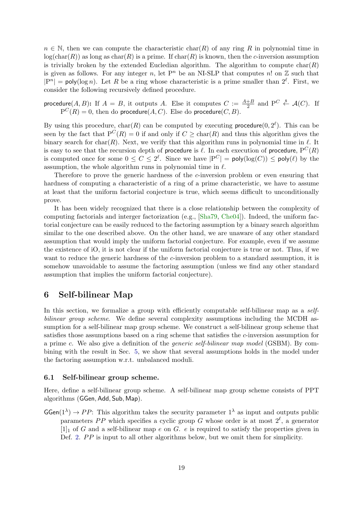<span id="page-18-2"></span> $n \in \mathbb{N}$ , then we can compute the characteristic char(R) of any ring R in polynomial time in  $log(char(R))$  as long as  $char(R)$  is a prime. If  $char(R)$  is known, then the c-inversion assumption is trivially broken by the extended Eucledian algorithm. The algorithm to compute  $char(R)$ is given as follows. For any integer n, let  $P<sup>n</sup>$  be an NI-SLP that computes n! on Z such that  $|P^n| = \text{poly}(\log n)$ . Let R be a ring whose characteristic is a prime smaller than  $2^{\ell}$ . First, we consider the following recursively defined procedure.

procedure $(A, B)$ : If  $A = B$ , it outputs A. Else it computes  $C := \frac{A+B}{2}$  and  $P^C \stackrel{\$}{\leftarrow} \mathcal{A}(C)$ . If  $P^{C}(R) = 0$ , then do procedure $(A, C)$ . Else do procedure $(C, B)$ .

By using this procedure, char(R) can be computed by executing **procedure** $(0, 2^{\ell})$ . This can be seen by the fact that  $P^{C}(R) = 0$  if and only if  $C \geq \text{char}(R)$  and thus this algorithm gives the binary search for char(R). Next, we verify that this algorithm runs in polynomial time in  $\ell$ . It is easy to see that the recursion depth of procedure is  $\ell$ . In each execution of procedure,  $P^{C}(R)$ is computed once for some  $0 \leq C \leq 2^{\ell}$ . Since we have  $|P^{C}| = \text{poly}(\log(C)) \leq \text{poly}(\ell)$  by the assumption, the whole algorithm runs in polynomial time in  $\ell$ .

Therefore to prove the generic hardness of the c-inversion problem or even ensuring that hardness of computing a characteristic of a ring of a prime characteristic, we have to assume at least that the uniform factorial conjecture is true, which seems difficult to unconditionally prove.

It has been widely recognized that there is a close relationship between the complexity of computing factorials and interger factorization (e.g., [\[Sha79,](#page-35-8) [Che04\]](#page-33-9)). Indeed, the uniform factorial conjecture can be easily reduced to the factoring assumption by a binary search algorithm similar to the one described above. On the other hand, we are unaware of any other standard assumption that would imply the uniform factorial conjecture. For example, even if we assume the existence of iO, it is not clear if the uniform factorial conjecture is true or not. Thus, if we want to reduce the generic hardness of the c-inversion problem to a standard assumption, it is somehow unavoidable to assume the factoring assumption (unless we find any other standard assumption that implies the uniform factorial conjecture).

## <span id="page-18-0"></span>6 Self-bilinear Map

In this section, we formalize a group with efficiently computable self-bilinear map as a selfbilinear group scheme. We define several complexity assumptions including the MCDH assumption for a self-bilinear map group scheme. We construct a self-bilinear group scheme that satisfies those assumptions based on a ring scheme that satisfies the c-inversion assumption for a prime c. We also give a definition of the generic self-bilinear map model (GSBM). By combining with the result in Sec. [5,](#page-14-0) we show that several assumptions holds in the model under the factoring assumption w.r.t. unbalanced moduli.

## <span id="page-18-1"></span>6.1 Self-bilinear group scheme.

Here, define a self-bilinear group scheme. A self-bilinear map group scheme consists of PPT algorithms (GGen, Add, Sub, Map).

 $\mathsf{GGen}(1^{\lambda}) \to PP:$  This algorithm takes the security parameter  $1^{\lambda}$  as input and outputs public parameters PP which specifies a cyclic group G whose order is at most  $2^{\ell}$ , a generator  $[1]_1$  of G and a self-bilinear map e on G. e is required to satisfy the properties given in Def. [2.](#page-11-0) PP is input to all other algorithms below, but we omit them for simplicity.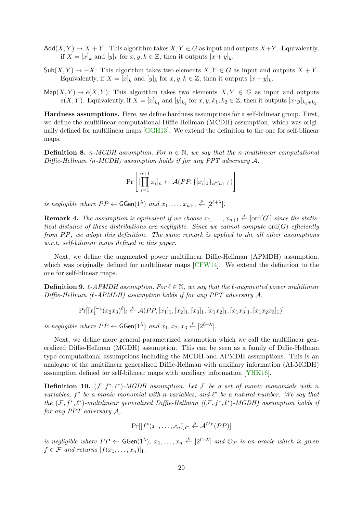- <span id="page-19-1"></span> $Add(X, Y) \to X + Y$ : This algorithm takes  $X, Y \in G$  as input and outputs  $X + Y$ . Equivalently, if  $X = [x]_k$  and  $[y]_k$  for  $x, y, k \in \mathbb{Z}$ , then it outputs  $[x + y]_k$ .
- $\mathsf{Sub}(X, Y) \to -X$ : This algorithm takes two elements  $X, Y \in G$  as input and outputs  $X + Y$ . Equivalently, if  $X = [x]_k$  and  $[y]_k$  for  $x, y, k \in \mathbb{Z}$ , then it outputs  $[x - y]_k$ .
- $\textsf{Map}(X, Y) \to e(X, Y)$ : This algorithm takes two elements  $X, Y \in G$  as input and outputs  $e(X,Y)$ . Equivalently, if  $X = [x]_{k_1}$  and  $[y]_{k_2}$  for  $x, y, k_1, k_2 \in \mathbb{Z}$ , then it outputs  $[x \cdot y]_{k_1+k_2}$ .

Hardness assumptions. Here, we define hardness assumptions for a self-bilinear group. First, we define the multilinear computational Diffie-Hellman (MCDH) assumption, which was originally defined for multilinear maps [\[GGH13\]](#page-33-10). We extend the definition to the one for self-blinear maps.

**Definition 8.** n-MCDH assumption. For  $n \in \mathbb{N}$ , we say that the n-multilinear computational Diffie-Hellman (n-MCDH) assumption holds if for any PPT adversary A,

$$
\Pr\left[\left[\prod_{i=1}^{n+1} x_i\right]_n \leftarrow \mathcal{A}(PP, \{[x_i]_1\}_{i \in [n+1]})\right]
$$

is negligible where  $PP \leftarrow \mathsf{GGen}(1^{\lambda})$  and  $x_1, \ldots, x_{n+1} \stackrel{s}{\leftarrow} [2^{\ell+\lambda}]$ .

<span id="page-19-0"></span>**Remark 4.** The assumption is equivalent if we choose  $x_1, \ldots, x_{n+1} \stackrel{s}{\leftarrow} [\text{ord}[G]]$  since the statistical distance of these distributions are negligible. Since we cannot compute  $\text{ord}(G)$  efficiently from  $PP$ , we adopt this definition. The same remark is applied to the all other assumptions w.r.t. self-bilinear maps defined in this paper.

Next, we define the augmented power multilinear Diffie-Hellman (APMDH) assumption, which was originally defined for multilinear maps [\[CFW14\]](#page-33-4). We extend the definition to the one for self-blinear maps.

**Definition 9.**  $\ell$ -APMDH assumption. For  $\ell \in \mathbb{N}$ , we say that the  $\ell$ -augmented power multilinear Diffie-Hellman ( $\ell$ -APMDH) assumption holds if for any PPT adversary A,

$$
\Pr[[x_1^{\ell-1}(x_2x_3)^{\ell}]_{\ell} \stackrel{\hspace{0.1em}\mathsf{\scriptscriptstyle\$}}{\leftarrow} \mathcal{A}(PP,[x_1]_1,[x_2]_1,[x_3]_1,[x_1x_2]_1,[x_1x_3]_1,[x_1x_2x_3]_1)]
$$

is negligible where  $PP \leftarrow \mathsf{GGen}(1^{\lambda})$  and  $x_1, x_2, x_3 \stackrel{s}{\leftarrow} [2^{\ell+\lambda}]$ .

Next, we define more general parametrized assumption which we call the multilinear generalized Diffie-Hellman (MGDH) assumption. This can be seen as a family of Diffie-Hellman type computational assumptions including the MCDH and APMDH assumptions. This is an analogue of the multilinear generalized Diffie-Hellman with auxiliary information (AI-MGDH) assumption defined for self-bilinear maps with auxiliary information [\[YHK16\]](#page-35-11).

**Definition 10.**  $(\mathcal{F}, f^*, \ell^*)$ -MGDH assumption. Let  $\mathcal{F}$  be a set of monic monomials with n variables,  $f^*$  be a monic monomial with n variables, and  $\ell^*$  be a natural number. We say that the  $(F, f^*, \ell^*)$ -multilinear generalized Diffie-Hellman  $((F, f^*, \ell^*)$ -MGDH) assumption holds if for any PPT adversary A,

$$
\Pr[[f^*(x_1,\ldots,x_n)]_{\ell^*} \stackrel{\hspace{0.1em}\mathsf{\scriptscriptstyle\$}}{\leftarrow} \mathcal{A}^{\mathcal{O}_{\mathcal{F}}}(PP)]
$$

is negligible where  $PP \leftarrow \mathsf{GGen}(1^{\lambda}), x_1, \ldots, x_n \stackrel{s}{\leftarrow} [2^{\ell+\lambda}]$  and  $\mathcal{O}_{\mathcal{F}}$  is an oracle which is given  $f \in \mathcal{F}$  and returns  $[f(x_1, \ldots, x_n)]_1$ .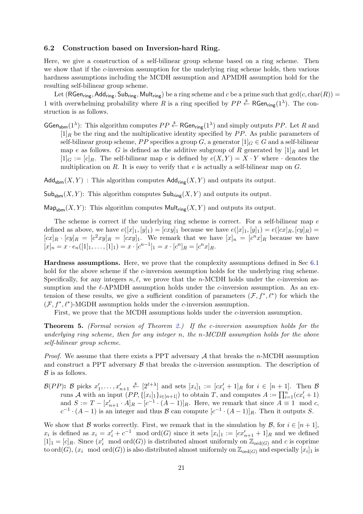#### 6.2 Construction based on Inversion-hard Ring.

Here, we give a construction of a self-bilinear group scheme based on a ring scheme. Then we show that if the c-inversion assumption for the underlying ring scheme holds, then various hardness assumptions including the MCDH assumption and APMDH assumption hold for the resulting self-bilinear group scheme.

Let (RGen<sub>ring</sub>, Add<sub>ring</sub>, Sub<sub>ring</sub>, Mult<sub>ring</sub>) be a ring scheme and c be a prime such that  $gcd(c, char(R))$  = 1 with overwhelming probability where R is a ring specified by  $PP \stackrel{\$}{\leftarrow} \mathsf{RGen}_{ring}(1^{\lambda})$ . The construction is as follows.

GGen<sub>sbm</sub>(1<sup> $\lambda$ </sup>): This algorithm computes  $PP \stackrel{\$}{\leftarrow} \textsf{RGen}_{ring}(1^{\lambda})$  and simply outputs  $PP$ . Let R and  $[1]_R$  be the ring and the multiplicative identity specified by PP. As public parameters of self-bilinear group scheme, PP specifies a group G, a generator  $[1]_G \in G$  and a self-bilinear map e as follows. G is defined as the additive subgroup of R generated by  $[1]_R$  and let  $[1]_G := [c]_B$ . The self-bilinear map e is defined by  $e(X, Y) = X \cdot Y$  where  $\cdot$  denotes the multiplication on  $R$ . It is easy to verify that  $e$  is actually a self-bilinear map on  $G$ .

 $\mathsf{Add_{sbm}}(X, Y)$ : This algorithm computes  $\mathsf{Add_{ring}}(X, Y)$  and outputs its output.

 $\mathsf{Sub}_{\mathsf{sbm}}(X, Y)$ : This algorithm computes  $\mathsf{Sub}_{\mathsf{ring}}(X, Y)$  and outputs its output.

 $\textsf{Map}_{\textsf{sbm}}(X, Y)$ : This algorithm computes  $\textsf{Mult}_{\textsf{ring}}(X, Y)$  and outputs its output.

The scheme is correct if the underlying ring scheme is correct. For a self-bilinear map e defined as above, we have  $e([x]_1,[y]_1) = [cxy]_1$  because we have  $e([x]_1,[y]_1) = e([cx]_R,[cy]_R)$  $[cx]_R \cdot [cy]_R = [c^2xy]_R = [cxy]_1$ . We remark that we have  $[x]_n = [c^n x]_R$  because we have  $[x]_n = x \cdot e_n([1]_1, \ldots, [1]_1) = x \cdot [c^{n-1}]_1 = x \cdot [c^n]_R = [c^n x]_R.$ 

Hardness assumptions. Here, we prove that the complexity assumptions defined in Sec [6.1](#page-18-1) hold for the above scheme if the *c*-inversion assumption holds for the underlying ring scheme. Specifically, for any integers  $n, \ell$ , we prove that the n-MCDH holds under the c-inversion assumption and the  $\ell$ -APMDH assumption holds under the c-inversion assumption. As an extension of these results, we give a sufficient condition of parameters  $(\mathcal{F}, f^*, \ell^*)$  for which the  $(\mathcal{F}, f^*, \ell^*)$ -MGDH assumption holds under the c-inversion assumption.

First, we prove that the MCDH assumptions holds under the c-inversion assumption.

<span id="page-20-0"></span>Theorem 5. (Formal version of Theorem [2.](#page-9-1)) If the c-inversion assumption holds for the underlying ring scheme, then for any integer n, the n-MCDH assumption holds for the above self-bilinear group scheme.

*Proof.* We assume that there exists a PPT adversary  $A$  that breaks the n-MCDH assumption and construct a PPT adversary  $\beta$  that breaks the c-inversion assumption. The description of  $\mathcal B$  is as follows.

 $\mathcal{B}(PP)$ : B picks  $x'_1, \ldots, x'_{n+1} \stackrel{\$}{\leftarrow} [2^{\ell+\lambda}]$  and sets  $[x_i]_1 := [cx'_i + 1]_R$  for  $i \in [n+1]$ . Then B runs A with an input  $(PP, \{[x_i]_1\}_{i \in [n+1]})$  to obtain T, and computes  $A := \prod_{i=1}^n (cx'_i + 1)$ and  $S := T - [x'_{n+1} \cdot A]_R - [c^{-1} \cdot (A-1)]_R$ . Here, we remark that since  $A \equiv 1 \mod c$ ,  $c^{-1} \cdot (A-1)$  is an integer and thus B can compute  $[c^{-1} \cdot (A-1)]_R$ . Then it outputs S.

We show that B works correctly. First, we remark that in the simulation by B, for  $i \in [n+1]$ ,  $x_i$  is defined as  $x_i = x'_i + c^{-1} \mod ord(G)$  since it sets  $[x_i]_1 := [cx'_{n+1} + 1]_R$  and we defined  $[1]_1 = [c]_R$ . Since  $(x'_i \mod \text{ord}(G))$  is distributed almost uniformly on  $\mathbb{Z}_{\text{ord}(G)}$  and c is coprime to ord $(G)$ ,  $(x_i \mod \text{ord}(G))$  is also distributed almost uniformly on  $\mathbb{Z}_{\text{ord}(G)}$  and especially  $[x_i]_1$  is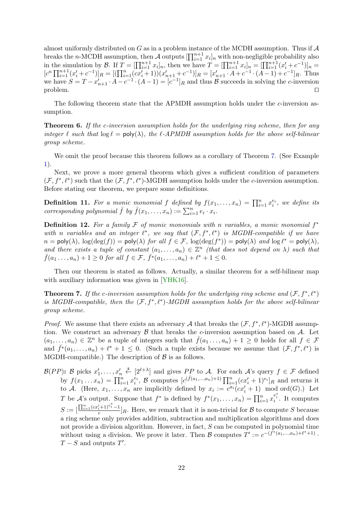<span id="page-21-2"></span>almost uniformly distributed on G as in a problem instance of the MCDH assumption. Thus if  $\mathcal A$ breaks the n-MCDH assumption, then A outputs  $\prod_{i=1}^{n+1} x_i$ , with non-negligible probability also in the simulation by B. If  $T = \prod_{i=1}^{n+1} x_i]_n$ , then we have  $T = \prod_{i=1}^{n+1} x_i]_n = \prod_{i=1}^{n+1} (x'_i + c^{-1})]_n =$  $[c<sup>n</sup>  $\prod_{i=1}^{n+1} (x'_i + c^{-1})]_R = [(\prod_{i=1}^{n} (cx'_i + 1))(x'_{n+1} + c^{-1})]_R = [x'_{n+1} \cdot A + c^{-1} \cdot (A-1) + c^{-1}]_R$ . Thus$ we have  $S = T - x'_{n+1} \cdot A - c^{-1} \cdot (A - 1) = [c^{-1}]_R$  and thus  $\mathcal B$  succeeds in solving the c-inversion  $\Box$  problem.  $\Box$ 

The following theorem state that the APMDH assumption holds under the c-inversion assumption.

<span id="page-21-1"></span>**Theorem 6.** If the c-inversion assumption holds for the underlying ring scheme, then for any integer  $\ell$  such that  $\log \ell = \text{poly}(\lambda)$ , the  $\ell$ -APMDH assumption holds for the above self-bilinear group scheme.

We omit the proof because this theorem follows as a corollary of Theorem [7.](#page-21-0) (See Example [1\)](#page-23-0).

Next, we prove a more general theorem which gives a sufficient condition of parameters  $(\mathcal{F}, f^*, \ell^*)$  such that the  $(\mathcal{F}, f^*, \ell^*)$ -MGDH assumption holds under the *c*-inversion assumption. Before stating our theorem, we prepare some definitions.

**Definition 11.** For a monic monomial f defined by  $f(x_1, \ldots, x_n) = \prod_{i=1}^n x_i^{e_i}$ , we define its corresponding polynomial  $\bar{f}$  by  $\bar{f}(x_1, \ldots, x_n) := \sum_{i=1}^n e_i \cdot x_i$ .

**Definition 12.** For a family  $\mathcal F$  of monic monomials with n variables, a monic monomial  $f^*$ with n variables and an integer  $\ell^*$ , we say that  $(\mathcal{F}, f^*, \ell^*)$  is MGDH-compatible if we have  $n = \text{poly}(\lambda)$ ,  $\log(\deg(f)) = \text{poly}(\lambda)$  for all  $f \in \mathcal{F}$ ,  $\log(\deg(f^*)) = \text{poly}(\lambda)$  and  $\log \ell^* = \text{poly}(\lambda)$ , and there exists a tuple of constant  $(a_1, \ldots, a_n) \in \mathbb{Z}^n$  (that does not depend on  $\lambda$ ) such that  $\bar{f}(a_1, ..., a_n) + 1 \ge 0$  for all  $f \in \mathcal{F}, \ \bar{f}^*(a_1, ..., a_n) + \ell^* + 1 \le 0.$ 

Then our theorem is stated as follows. Actually, a similar theorem for a self-bilinear map with auxiliary information was given in [\[YHK16\]](#page-35-11).

<span id="page-21-0"></span>**Theorem 7.** If the c-inversion assumption holds for the underlying ring scheme and  $(\mathcal{F}, f^*, \ell^*)$ is MGDH-compatible, then the  $(\mathcal{F}, f^*, \ell^*)$ -MGDH assumption holds for the above self-bilinear group scheme.

*Proof.* We assume that there exists an adversary A that breaks the  $(\mathcal{F}, f^*, \ell^*)$ -MGDH assumption. We construct an adversary  $\beta$  that breaks the c-inversion assumption based on  $\mathcal{A}$ . Let  $(a_1,\ldots,a_n)\in\mathbb{Z}^n$  be a tuple of integers such that  $\bar{f}(a_1\ldots,a_n)+1\geq 0$  holds for all  $f\in\mathcal{F}$ and  $\bar{f}^*(a_1,\ldots,a_n)+\ell^*+1\leq 0$ . (Such a tuple exists because we assume that  $(\mathcal{F},f^*,\ell^*)$  is MGDH-compatible.) The description of  $\beta$  is as follows.

 $\mathcal{B}(PP)$ : B picks  $x'_1,\ldots,x'_n \stackrel{\$}{\leftarrow} [2^{\ell+\lambda}]$  and gives  $PP$  to A. For each A's query  $f \in \mathcal{F}$  defined by  $f(x_1 ... x_n) = \prod_{i=1}^n x_i^{e_i}, \mathcal{B}$  computes  $[c^{(\bar{f}(a_1,...,a_n)+1)}] \prod_{i=1}^n (cx'_i + 1)^{e_i}]_R$  and returns it to A. (Here,  $x_1, \ldots, x_n$  are implicitly defined by  $x_i := c^{a_i}(cx'_i + 1) \mod ord(G)$ .) Let T be A's output. Suppose that  $f^*$  is defined by  $f^*(x_1,\ldots,x_n) = \prod_{i=1}^n x_i^{e_i^*}$ . It computes  $S := [\frac{\prod_{i=1}^n(cx'_i+1)^{e_i^*}-1}{c}]$  $\left[\frac{1}{c} + \frac{1}{c}\right]R$ . Here, we remark that it is non-trivial for  $\beta$  to compute S because a ring scheme only provides addition, subtraction and multiplication algorithms and does not provide a division algorithm. However, in fact,  $S$  can be computed in polynomial time without using a division. We prove it later. Then B computes  $T' := c^{-(f^*(a_1,...,a_n)+\ell^*+1)}$ .  $T-S$  and outputs  $T'$ .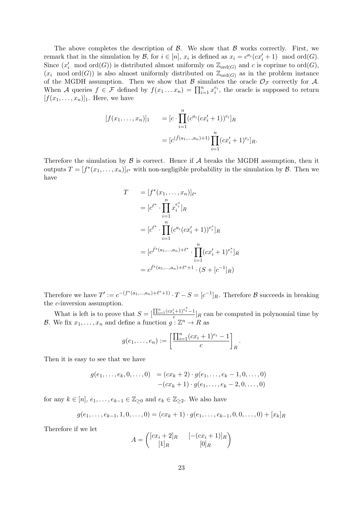The above completes the description of  $\mathcal{B}$ . We show that  $\mathcal{B}$  works correctly. First, we remark that in the simulation by  $\mathcal{B}$ , for  $i \in [n]$ ,  $x_i$  is defined as  $x_i = c^{a_i}(cx'_i + 1) \mod ord(G)$ . Since  $(x'_i \mod \text{ord}(G))$  is distributed almost uniformly on  $\mathbb{Z}_{\text{ord}(G)}$  and c is coprime to  $\text{ord}(G)$ ,  $(x_i \mod ord(G))$  is also almost uniformly distributed on  $\mathbb{Z}_{\text{ord}(G)}$  as in the problem instance of the MGDH assumption. Then we show that  $\beta$  simulates the oracle  $\mathcal{O}_{\mathcal{F}}$  correctly for  $\mathcal{A}$ . When A queries  $f \in \mathcal{F}$  defined by  $f(x_1 \ldots x_n) = \prod_{i=1}^n x_i^{e_i}$ , the oracle is supposed to return  $[f(x_1, \ldots, x_n)]_1$ . Here, we have

$$
[f(x_1, ..., x_n)]_1 = [c \cdot \prod_{i=1}^n (c^{a_i} (cx'_i + 1))^{e_i}]_R
$$
  
= 
$$
[c^{(\bar{f}(a_1, ..., a_n)+1)} \prod_{i=1}^n (cx'_i + 1)^{e_i}]_R.
$$

Therefore the simulation by  $\beta$  is correct. Hence if  $\mathcal A$  breaks the MGDH assumption, then it outputs  $T = [f^*(x_1, \ldots, x_n)]_{\ell^*}$  with non-negligible probability in the simulation by  $\mathcal{B}$ . Then we have

$$
T = [f^*(x_1, ..., x_n)]_{\ell^*}
$$
  
\n
$$
= [c^{\ell^*} \cdot \prod_{i=1}^n x_i^{e_i^*}]_R
$$
  
\n
$$
= [c^{\ell^*} \cdot \prod_{i=1}^n (c^{a_i}(cx'_i + 1))^{e_i^*}]_R
$$
  
\n
$$
= [c^{\bar{f}^*(a_1, ..., a_n) + \ell^*} \cdot \prod_{i=1}^n (cx'_i + 1)^{e_i^*}]_R
$$
  
\n
$$
= c^{\bar{f}^*(a_1, ..., a_n) + \ell^* + 1} \cdot (S + [c^{-1}]_R)
$$

Therefore we have  $T' := c^{-(f^*(a_1,\ldots,a_n)+\ell^*+1)} \cdot T - S = [c^{-1}]_R$ . Therefore B succeeds in breaking the c-inversion assumption.

What is left is to prove that  $S = \left[\frac{\prod_{i=1}^{n} (cx_i^{\prime}+1)^{e_i^*}-1}{c}\right]$  $\frac{1}{c}$   $\frac{1}{c}$  an be computed in polynomial time by B. We fix  $x_1, \ldots, x_n$  and define a function  $g: \mathbb{Z}^n \to \mathbb{R}$  as

$$
g(e_1, ..., e_n) := \left[\frac{\prod_{i=1}^n (cx_i + 1)^{e_i} - 1}{c}\right]_R.
$$

Then it is easy to see that we have

$$
g(e_1, \ldots, e_k, 0, \ldots, 0) = (cx_k + 2) \cdot g(e_1, \ldots, e_k - 1, 0, \ldots, 0)
$$
  

$$
-(cx_k + 1) \cdot g(e_1, \ldots, e_k - 2, 0, \ldots, 0)
$$

for any  $k \in [n], e_1, \ldots, e_{k-1} \in \mathbb{Z}_{\geq 0}$  and  $e_k \in \mathbb{Z}_{\geq 2}$ . We also have

$$
g(e_1,\ldots,e_{k-1},1,0,\ldots,0)=(cx_k+1)\cdot g(e_1,\ldots,e_{k-1},0,0,\ldots,0)+[x_k]_R
$$

Therefore if we let

$$
A = \begin{pmatrix} [cx_i + 2]_R & [-(cx_i + 1)]_R \\ [1]_R & [0]_R \end{pmatrix}
$$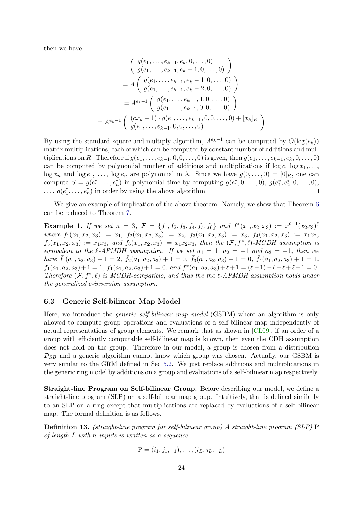<span id="page-23-1"></span>then we have

$$
\begin{pmatrix}\ng(e_1, \ldots, e_{k-1}, e_k, 0, \ldots, 0) \\
g(e_1, \ldots, e_{k-1}, e_k - 1, 0, \ldots, 0) \\
= A\begin{pmatrix}\ng(e_1, \ldots, e_{k-1}, e_k - 1, 0, \ldots, 0) \\
g(e_1, \ldots, e_{k-1}, e_k - 2, 0, \ldots, 0)\n\end{pmatrix} \\
= A^{e_k - 1} \begin{pmatrix}\ng(e_1, \ldots, e_{k-1}, 1, 0, \ldots, 0) \\
g(e_1, \ldots, e_{k-1}, 0, 0, \ldots, 0)\n\end{pmatrix} \\
= A^{e_k - 1} \begin{pmatrix}\n(cx_k + 1) \cdot g(e_1, \ldots, e_{k-1}, 0, 0, \ldots, 0) + [x_k]_R \\
g(e_1, \ldots, e_{k-1}, 0, 0, \ldots, 0)\n\end{pmatrix}
$$

By using the standard square-and-multiply algorithm,  $A^{e_k-1}$  can be computed by  $O(\log(e_k))$ matrix multiplications, each of which can be computed by constant number of additions and multiplications on R. Therefore if  $g(e_1, \ldots, e_{k-1}, 0, 0, \ldots, 0)$  is given, then  $g(e_1, \ldots, e_{k-1}, e_k, 0, \ldots, 0)$ can be computed by polynomial number of additions and multiplications if  $\log c$ ,  $\log x_1, \ldots$ ,  $\log x_n$  and  $\log e_1, \ldots, \log e_n$  are polynomial in  $\lambda$ . Since we have  $g(0, \ldots, 0) = [0]_R$ , one can compute  $S = g(e_1^*, \ldots, e_n^*)$  in polynomial time by computing  $g(e_1^*, 0, \ldots, 0), g(e_1^*, e_2^*, 0, \ldots, 0),$ ...,  $g(e_1^*, \ldots, e_n^*)$  in order by using the above algorithm.  $□$ 

We give an example of implication of the above theorem. Namely, we show that Theorem [6](#page-21-1) can be reduced to Theorem [7.](#page-21-0)

<span id="page-23-0"></span>**Example 1.** If we set  $n = 3$ ,  $\mathcal{F} = \{f_1, f_2, f_3, f_4, f_5, f_6\}$  and  $f^*(x_1, x_2, x_3) := x_1^{\ell-1}(x_2x_3)^{\ell}$ where  $f_1(x_1, x_2, x_3) := x_1$ ,  $f_2(x_1, x_2, x_3) := x_2$ ,  $f_3(x_1, x_2, x_3) := x_3$ ,  $f_4(x_1, x_2, x_3) := x_1x_2$ ,  $f_5(x_1, x_2, x_3) := x_1x_3$ , and  $f_6(x_1, x_2, x_3) := x_1x_2x_3$ , then the  $(\mathcal{F}, f^*, \ell)$ -MGDH assumption is equivalent to the  $\ell$ -APMDH assumption. If we set  $a_1 = 1$ ,  $a_2 = -1$  and  $a_3 = -1$ , then we have  $\bar{f}_1(a_1, a_2, a_3) + 1 = 2$ ,  $\bar{f}_2(a_1, a_2, a_3) + 1 = 0$ ,  $\bar{f}_3(a_1, a_2, a_3) + 1 = 0$ ,  $\bar{f}_4(a_1, a_2, a_3) + 1 = 1$ ,  $\bar{f}_1(a_1, a_2, a_3)+1=1, \ \bar{f}_1(a_1, a_2, a_3)+1=0, \ and \ \bar{f}^*(a_1, a_2, a_3)+\ell+1=(\ell-1)-\ell-\ell+\ell+1=0.$ Therefore  $(F, f^*, \ell)$  is MGDH-compatible, and thus the the  $\ell$ -APMDH assumption holds under the generalized c-inversion assumption.

#### 6.3 Generic Self-bilinear Map Model

Here, we introduce the generic self-bilinear map model (GSBM) where an algorithm is only allowed to compute group operations and evaluations of a self-bilinear map independently of actual representations of group elements. We remark that as shown in [\[CL09\]](#page-33-2), if an order of a group with efficiently computable self-bilinear map is known, then even the CDH assumption does not hold on the group. Therefore in our model, a group is chosen from a distribution  $\mathcal{D}_{SB}$  and a generic algorithm cannot know which group was chosen. Actually, our GSBM is very similar to the GRM defined in Sec [5.2.](#page-15-1) We just replace additions and multiplications in the generic ring model by additions on a group and evaluations of a self-bilinear map respectively.

Straight-line Program on Self-bilinear Group. Before describing our model, we define a straight-line program (SLP) on a self-bilinear map group. Intuitively, that is defined similarly to an SLP on a ring except that multiplications are replaced by evaluations of a self-bilinear map. The formal definition is as follows.

Definition 13. (straight-line program for self-bilinear group) A straight-line program (SLP) P of length L with n inputs is written as a sequence

$$
\mathbf{P} = (i_1, j_1, \circ_1), \dots, (i_L, j_L, \circ_L)
$$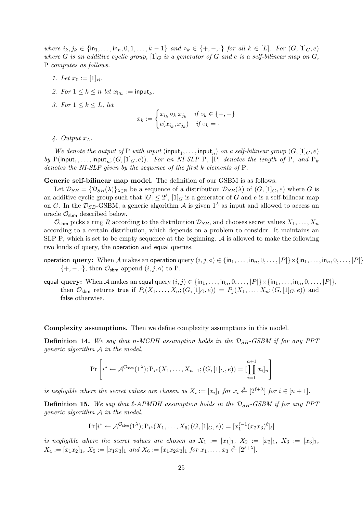where  $i_k, j_k \in \{\text{in}_1, \ldots, \text{in}_n, 0, 1, \ldots, k-1\}$  and  $\circ_k \in \{+,-,\cdot\}$  for all  $k \in [L]$ . For  $(G, [1]_G, e)$ where G is an additive cyclic group,  $[1]_G$  is a generator of G and e is a self-bilinear map on G, P computes as follows.

- 1. Let  $x_0 := [1]_R$ .
- 2. For  $1 \leq k \leq n$  let  $x_{\mathsf{in}_k} := \mathsf{input}_k$ .
- 3. For  $1 \leq k \leq L$ , let

$$
x_k := \begin{cases} x_{i_k} \circ_k x_{j_k} & \text{if } \circ_k \in \{+, -\} \\ e(x_{i_k}, x_{j_k}) & \text{if } \circ_k = \cdot \end{cases}
$$

4. Output  $x_L$ .

We denote the output of P with input  $(\text{input}_1, \ldots, \text{input}_n)$  on a self-bilinear group  $(G, [1]_G, e)$ by  $P(\text{input}_1, \ldots, \text{input}_n; (G, [1]_G, e))$ . For an NI-SLP P,  $|P|$  denotes the length of P, and  $P_k$ denotes the NI-SLP given by the sequence of the first k elements of P.

Generic self-bilinear map model. The definition of our GSBM is as follows.

Let  $\mathcal{D}_{SB} = {\{\mathcal{D}_{SB}(\lambda)\}}_{\lambda \in \mathbb{N}}$  be a sequence of a distribution  $\mathcal{D}_{SB}(\lambda)$  of  $(G, [1]_G, e)$  where G is an additive cyclic group such that  $|G| \leq 2^{\ell}$ ,  $[1]_G$  is a generator of G and e is a self-bilinear map on G. In the  $\mathcal{D}_{SB}$ -GSBM, a generic algorithm A is given  $1^{\lambda}$  as input and allowed to access an oracle  $\mathcal{O}_{\text{sbm}}$  described below.

 $\mathcal{O}_{\text{sbm}}$  picks a ring R according to the distribution  $\mathcal{D}_{SB}$ , and chooses secret values  $X_1, \ldots, X_n$ according to a certain distribution, which depends on a problem to consider. It maintains an SLP P, which is set to be empty sequence at the beginning.  $A$  is allowed to make the following two kinds of query, the operation and equal queries.

- operation query: When A makes an operation query  $(i, j, \circ) \in \{\text{in}_1, \ldots, \text{in}_n, 0, \ldots, |P|\} \times \{\text{in}_1, \ldots, \text{in}_n, 0, \ldots, |P|\}$  $\{+, -, \cdot\}$ , then  $\mathcal{O}_{\mathsf{sbm}}$  append  $(i, j, \circ)$  to P.
- equal query: When A makes an equal query  $(i, j) \in \{\text{in}_1, \ldots, \text{in}_n, 0, \ldots, |P|\} \times \{\text{in}_1, \ldots, \text{in}_n, 0, \ldots, |P|\}$ , then  $\mathcal{O}_{\text{sbm}}$  returns true if  $P_i(X_1,\ldots,X_n;(G,[1]_G,e)) = P_i(X_1,\ldots,X_n;(G,[1]_G,e))$  and false otherwise.

Complexity assumptions. Then we define complexity assumptions in this model.

**Definition 14.** We say that n-MCDH assumption holds in the  $D_{SB}$ -GSBM if for any PPT *generic algorithm*  $\mathcal A$  *in the model,* 

$$
\Pr\left[i^* \leftarrow \mathcal{A}^{\mathcal{O}_{\mathsf{sbm}}}(1^{\lambda}); P_{i^*}(X_1, \dots, X_{n+1}; (G, [1]_G, e)) = [\prod_{i=1}^{n+1} x_i]_n\right]
$$

is negligible where the secret values are chosen as  $X_i := [x_i]_1$  for  $x_i \stackrel{s}{\leftarrow} [2^{\ell+\lambda}]$  for  $i \in [n+1]$ .

**Definition 15.** We say that  $\ell$ -APMDH assumption holds in the  $\mathcal{D}_{SB}$ -GSBM if for any PPT generic algorithm A in the model,

$$
Pr[i^* \leftarrow \mathcal{A}^{\mathcal{O}_{\text{sbm}}}(1^{\lambda}); P_{i^*}(X_1, \dots, X_6; (G, [1]_G, e)) = [x_1^{\ell-1}(x_2x_3)^{\ell}]_{\ell}]
$$

is negligible where the secret values are chosen as  $X_1 := [x_1]_1$ ,  $X_2 := [x_2]_1$ ,  $X_3 := [x_3]_1$ ,  $X_4 := [x_1x_2]_1, X_5 := [x_1x_3]_1$  and  $X_6 := [x_1x_2x_3]_1$  for  $x_1, \ldots, x_3 \stackrel{s}{\leftarrow} [2^{\ell+\lambda}]$ .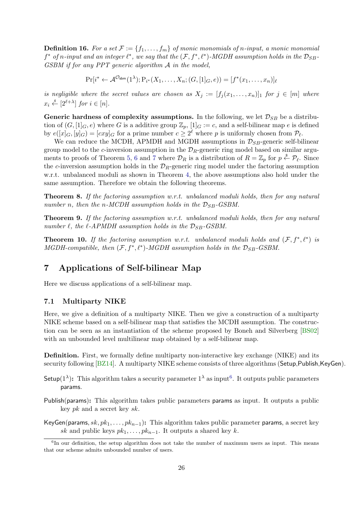<span id="page-25-2"></span>**Definition 16.** For a set  $\mathcal{F} := \{f_1, \ldots, f_m\}$  of monic monomials of n-input, a monic monomial  $f^*$  of n-input and an integer  $\ell^*$ , we say that the  $(\mathcal{F}, f^*, \ell^*)$ -MGDH assumption holds in the  $\mathcal{D}_{SB}$ -GSBM if for any PPT generic algorithm A in the model,

 $\Pr[i^* \leftarrow \mathcal{A}^{\mathcal{O}_{\mathsf{sbm}}}(1^{\lambda}); \mathrm{P}_{i^*}(X_1, \ldots, X_n; (G, [1]_G, e)) = [f^*(x_1, \ldots, x_n)]_\ell$ 

is negligible where the secret values are chosen as  $X_j := [f_j(x_1, \ldots, x_n)]_1$  for  $j \in [m]$  where  $x_i \stackrel{\hspace{0.1em}\mathsf{\scriptscriptstyle\$}}{\leftarrow} [2^{\ell+\lambda}] \ \textit{for} \ i \in [n].$ 

Generic hardness of complexity assumptions. In the following, we let  $\mathcal{D}_{SB}$  be a distribution of  $(G,[1]_G,e)$  where G is a additive group  $\mathbb{Z}_p$ ,  $[1]_G := c$ , and a self-bilinear map e is defined by  $e([x]_G, [y]_G) = [cxy]_G$  for a prime number  $c \geq 2^{\ell}$  where p is uniformly chosen from  $\mathcal{P}_{\ell}$ .

We can reduce the MCDH, APMDH and MGDH assumptions in  $\mathcal{D}_{SB}$ -generic self-bilinear group model to the c-inversion assumption in the  $\mathcal{D}_R$ -generic ring model based on similar argu-ments to proofs of Theorem [5,](#page-20-0) [6](#page-21-1) and [7](#page-21-0) where  $\mathcal{D}_R$  is a distribution of  $R = \mathbb{Z}_p$  for  $p \stackrel{\$}{\leftarrow} \mathcal{P}_{\ell}$ . Since the c-inversion assumption holds in the  $\mathcal{D}_R$ -generic ring model under the factoring assumption w.r.t. unbalanced moduli as shown in Theorem [4,](#page-16-0) the above assumptions also hold under the same assumption. Therefore we obtain the following theorems.

Theorem 8. If the factoring assumption w.r.t. unbalanced moduli holds, then for any natural number n, then the n-MCDH assumption holds in the  $\mathcal{D}_{SB}$ -GSBM.

**Theorem 9.** If the factoring assumption w.r.t. unbalanced moduli holds, then for any natural number  $\ell$ , the  $\ell$ -APMDH assumption holds in the  $\mathcal{D}_{SB}$ -GSBM.

**Theorem 10.** If the factoring assumption w.r.t. unbalanced moduli holds and  $(\mathcal{F}, f^*, \ell^*)$  is MGDH-compatible, then  $(\mathcal{F}, f^*, \ell^*)$ -MGDH assumption holds in the  $\mathcal{D}_{SB}$ -GSBM.

# 7 Applications of Self-bilinear Map

Here we discuss applications of a self-bilinear map.

## <span id="page-25-0"></span>7.1 Multiparty NIKE

Here, we give a definition of a multiparty NIKE. Then we give a construction of a multiparty NIKE scheme based on a self-bilinear map that satisfies the MCDH assumption. The construction can be seen as an instantiation of the scheme proposed by Boneh and Silverberg [\[BS02\]](#page-33-3) with an unbounded level multilinear map obtained by a self-bilinear map.

Definition. First, we formally define multiparty non-interactive key exchange (NIKE) and its security following [\[BZ14\]](#page-33-11). A multiparty NIKE scheme consists of three algorithms (Setup,Publish,KeyGen).

Setup( $1^{\lambda}$ ): This algorithm takes a security parameter  $1^{\lambda}$  as input<sup>[6](#page-25-1)</sup>. It outputs public parameters params.

Publish(params): This algorithm takes public parameters params as input. It outputs a public key pk and a secret key sk.

KeyGen(params,  $sk, pk_1, \ldots, pk_{n-1}$ ): This algorithm takes public parameter params, a secret key sk and public keys  $pk_1, \ldots, pk_{n-1}$ . It outputs a shared key k.

<span id="page-25-1"></span><sup>&</sup>lt;sup>6</sup>In our definition, the setup algorithm does not take the number of maximum users as input. This means that our scheme admits unbounded number of users.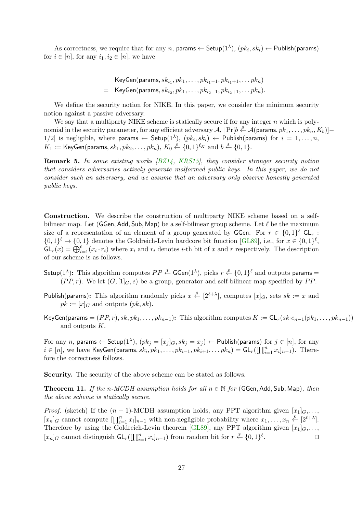<span id="page-26-0"></span>As correctness, we require that for any n, params  $\leftarrow$  Setup $(1^{\lambda})$ ,  $(pk_i, sk_i) \leftarrow$  Publish(params) for  $i \in [n]$ , for any  $i_1, i_2 \in [n]$ , we have

$$
\begin{array}{ll}\n\textsf{KeyGen}(\textsf{params}, sk_{i_1}, pk_1, \ldots, pk_{i_1-1}, pk_{i_1+1}, \ldots pk_n) \\
= & \textsf{KeyGen}(\textsf{params}, sk_{i_2}, pk_1, \ldots, pk_{i_2-1}, pk_{i_2+1}, \ldots pk_n).\n\end{array}
$$

We define the security notion for NIKE. In this paper, we consider the minimum security notion against a passive adversary.

We say that a multiparty NIKE scheme is statically secure if for any integer  $n$  which is polynomial in the security parameter, for any efficient adversary  $\mathcal{A},$   $|\Pr[b \stackrel{\$}{\leftarrow} \mathcal{A}({\sf params},pk_1,\ldots,pk_n,K_b)] -$ 1/2| is negligible, where params  $\leftarrow$  Setup $(1^{\lambda})$ ,  $(pk_i, sk_i) \leftarrow$  Publish(params) for  $i = 1, ..., n$ ,  $K_1:=\mathsf{KeyGen}(\mathsf{params}, sk_1, pk_2, \ldots, pk_n),\, K_0 \stackrel{\hspace{0.1em}\mathsf{\scriptscriptstyle\$}}{\leftarrow} \{0,1\}^{\ell_K} \text{ and } b \stackrel{\hspace{0.1em}\mathsf{\scriptscriptstyle\$}}{\leftarrow} \{0,1\}.$ 

Remark 5. In some existing works [\[BZ14,](#page-33-11) [KRS15\]](#page-34-12), they consider stronger security notion that considers adversaries actively generate malformed public keys. In this paper, we do not consider such an adversary, and we assume that an adversary only observe honestly generated public keys.

Construction. We describe the construction of multiparty NIKE scheme based on a selfbilinear map. Let (GGen, Add, Sub, Map) be a self-bilinear group scheme. Let  $\ell$  be the maximum size of a representation of an element of a group generated by GGen. For  $r \in \{0,1\}^{\ell}$  GL<sub>r</sub>:  $\{0,1\}^{\ell} \to \{0,1\}$  denotes the Goldreich-Levin hardcore bit function [\[GL89\]](#page-33-12), i.e., for  $x \in \{0,1\}^{\ell}$ ,  $GL_r(x) = \bigoplus_{i=1}^{\ell} (x_i \cdot r_i)$  where  $x_i$  and  $r_i$  denotes *i*-th bit of x and r respectively. The description of our scheme is as follows.

Setup(1<sup> $\lambda$ </sup>): This algorithm computes  $PP \stackrel{\$}{\leftarrow}$  GGen(1 $\lambda$ ), picks  $r \stackrel{\$}{\leftarrow} \{0,1\}^{\ell}$  and outputs params =  $(PP, r)$ . We let  $(G, [1]_G, e)$  be a group, generator and self-bilinear map specified by PP.

Publish(params): This algorithm randomly picks  $x \stackrel{\$}{\leftarrow} [2^{\ell+\lambda}]$ , computes  $[x]_G$ , sets  $sk := x$  and  $pk := [x]_G$  and outputs  $(pk, sk)$ .

KeyGen(params =  $(PP, r)$ , sk,  $pk_1, \ldots, pk_{n-1}$ ): This algorithm computes  $K := GL_r(sk \cdot e_{n-1}(pk_1, \ldots, pk_{n-1})$ ) and outputs K.

For any n, params  $\leftarrow$  Setup $(1^{\lambda}), (pk_j = [x_j]_G, sk_j = x_j) \leftarrow$  Publish(params) for  $j \in [n]$ , for any  $i \in [n]$ , we have KeyGen(params,  $sk_i, pk_1, \ldots, pk_{i-1}, pk_{i+1}, \ldots pk_n$ ) =  $GL_r([\prod_{i=1}^n x_i]_{n-1})$ . Therefore the correctness follows.

Security. The security of the above scheme can be stated as follows.

**Theorem 11.** If the n-MCDH assumption holds for all  $n \in \mathbb{N}$  for (GGen, Add, Sub, Map), then the above scheme is statically secure.

*Proof.* (sketch) If the  $(n-1)$ -MCDH assumption holds, any PPT algorithm given  $[x_1]_G, \ldots$ ,  $[x_n]_G$  cannot compute  $\prod_{i=1}^n x_i]_{n-1}$  with non-negligible probability where  $x_1, \ldots, x_n \stackrel{\$}{\leftarrow} [2^{\ell+\lambda}]$ . Therefore by using the Goldreich-Levin theorem [\[GL89\]](#page-33-12), any PPT algorithm given  $[x_1]_G, \ldots$ ,  $[x_n]$ <sub>G</sub> cannot distinguish GL<sub>r</sub>([ $\prod_{i=1}^n x_i]_{n-1}$ ) from random bit for  $r \stackrel{\$}{\leftarrow} \{0,1\}^{\ell}$  $\blacksquare$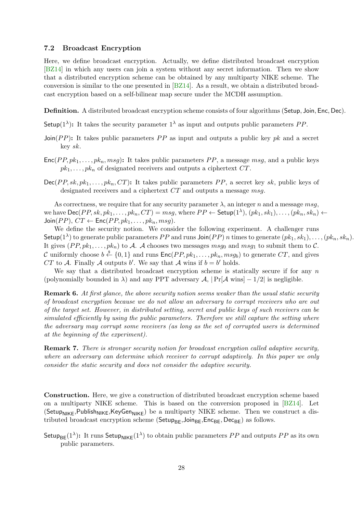#### <span id="page-27-1"></span><span id="page-27-0"></span>7.2 Broadcast Encryption

Here, we define broadcast encryption. Actually, we define distributed broadcast encryption [\[BZ14\]](#page-33-11) in which any users can join a system without any secret information. Then we show that a distributed encryption scheme can be obtained by any multiparty NIKE scheme. The conversion is similar to the one presented in [\[BZ14\]](#page-33-11). As a result, we obtain a distributed broadcast encryption based on a self-bilinear map secure under the MCDH assumption.

Definition. A distributed broadcast encryption scheme consists of four algorithms (Setup, Join, Enc, Dec).

Setup(1<sup> $\lambda$ </sup>): It takes the security parameter 1<sup> $\lambda$ </sup> as input and outputs public parameters PP.

- Join(PP): It takes public parameters PP as input and outputs a public key pk and a secret key sk.
- $Enc(PP, pk_1, \ldots, pk_n, msg)$ : It takes public parameters  $PP$ , a message msg, and a public keys  $pk_1, \ldots, pk_n$  of designated receivers and outputs a ciphertext  $CT$ .
- $Dec(PP, sk, pk_1, \ldots, pk_n, CT)$ : It takes public parameters PP, a secret key sk, public keys of designated receivers and a ciphertext CT and outputs a message msg.

As correctness, we require that for any security parameter  $\lambda$ , an integer n and a message msq, we have  $\mathsf{Dec}(PP, sk, pk_1, \ldots, pk_n, CT) = msg$ , where  $PP \leftarrow \mathsf{Setup}(1^{\lambda}), (pk_1, sk_1), \ldots, (pk_n, sk_n) \leftarrow$  $Join(PP), CT \leftarrow Enc(PP, pk_1, \ldots, pk_n, msg).$ 

We define the security notion. We consider the following experiment. A challenger runs Setup( $1^{\lambda}$ ) to generate public parameters PP and runs Join(PP) n times to generate  $(pk_1, sk_1), \ldots, (pk_n, sk_n)$ . It gives  $(PP, pk_1, \ldots, pk_n)$  to A. A chooses two messages  $msg_0$  and  $msg_1$  to submit them to C. C uniformly choose  $b \stackrel{\$}{\leftarrow} \{0,1\}$  and runs  $\mathsf{Enc}(PP, pk_1, \ldots, pk_n, msg_b)$  to generate  $CT$ , and gives CT to A. Finally A outputs b'. We say that A wins if  $b = b'$  holds.

We say that a distributed broadcast encryption scheme is statically secure if for any  $n$ (polynomially bounded in  $\lambda$ ) and any PPT adversary  $\mathcal{A}$ , |Pr[ $\mathcal{A}$  wins] - 1/2| is negligible.

Remark 6. At first glance, the above security notion seems weaker than the usual static security of broadcast encryption because we do not allow an adversary to corrupt receivers who are out of the target set. However, in distributed setting, secret and public keys of such receivers can be simulated efficiently by using the public parameters. Therefore we still capture the setting where the adversary may corrupt some receivers (as long as the set of corrupted users is determined at the beginning of the experiment).

**Remark 7.** There is stronger security notion for broadcast encryption called adaptive security, where an adversary can determine which receiver to corrupt adaptively. In this paper we only consider the static security and does not consider the adaptive security.

Construction. Here, we give a construction of distributed broadcast encryption scheme based on a multiparty NIKE scheme. This is based on the conversion proposed in [\[BZ14\]](#page-33-11). Let (Setup<sub>NIKE</sub>,Publish<sub>NIKE</sub>,KeyGen<sub>NIKE</sub>) be a multiparty NIKE scheme. Then we construct a distributed broadcast encryption scheme ( $\mathsf{Setup}_{\mathsf{RF}}$ , Join $_{\mathsf{BE}}$ , Enc $_{\mathsf{BE}}$ , Dec $_{\mathsf{BE}}$ ) as follows.

Setup<sub>BE</sub>(1<sup> $\lambda$ </sup>): It runs Setup<sub>NIKE</sub>(1<sup> $\lambda$ </sup>) to obtain public parameters *PP* and outputs *PP* as its own public parameters.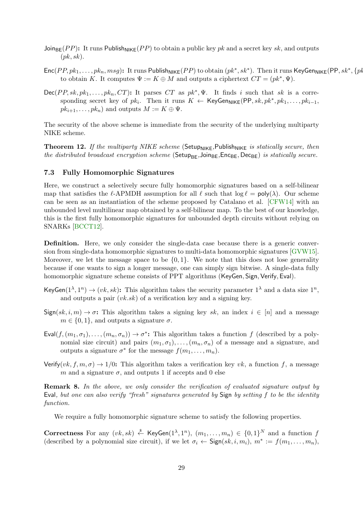- <span id="page-28-1"></span>Join<sub>BE</sub>(PP): It runs Publish<sub>NIKE</sub>(PP) to obtain a public key pk and a secret key sk, and outputs  $(pk, sk).$
- $Enc(PP, pk_1, \ldots, pk_n, msg)$ : It runs Publish<sub>NIKE</sub> $(PP)$  to obtain  $(pk^*, sk^*)$ . Then it runs KeyGen<sub>NIKE</sub> $(PP, sk^*, \{pk\})$ to obtain K. It computes  $\Psi := K \oplus M$  and outputs a ciphertext  $CT = (pk^*, \Psi)$ .
- Dec(PP, sk,  $pk_1, \ldots, pk_n$ , CT): It parses CT as  $pk^*$ ,  $\Psi$ . It finds i such that sk is a corresponding secret key of  $pk_i$ . Then it runs  $K \leftarrow \textsf{KeyGen}_{\textsf{NIKE}}(\textsf{PP}, sk, pk^*, pk_1, \ldots, pk_{i-1},$  $pk_{i+1}, \ldots, pk_n$  and outputs  $M := K \oplus \Psi$ .

The security of the above scheme is immediate from the security of the underlying multiparty NIKE scheme.

**Theorem 12.** If the multiparty NIKE scheme (Setup $_{NIKE}$ ,Publish $_{NIKE}$  is statically secure, then the distributed broadcast encryption scheme  $(\mathsf{Setup}_{BE},\mathsf{Join}_{BE},\mathsf{Enc}_{BE},\mathsf{Dec}_{BE})$  is statically secure.

#### <span id="page-28-0"></span>7.3 Fully Homomorphic Signatures

Here, we construct a selectively secure fully homomorphic signatures based on a self-bilinear map that satisfies the  $\ell$ -APMDH assumption for all  $\ell$  such that  $\log \ell$  = poly( $\lambda$ ). Our scheme can be seen as an instantiation of the scheme proposed by Catalano et al. [\[CFW14\]](#page-33-4) with an unbounded level multilinear map obtained by a self-bilinear map. To the best of our knowledge, this is the first fully homomorphic signatures for unbounded depth circuits without relying on SNARKs [\[BCCT12\]](#page-32-5).

Definition. Here, we only consider the single-data case because there is a generic conversion from single-data homomorphic signatures to multi-data homomorphic signatures [\[GVW15\]](#page-33-13). Moreover, we let the message space to be  $\{0, 1\}$ . We note that this does not lose generality because if one wants to sign a longer message, one can simply sign bitwise. A single-data fully homomorphic signature scheme consists of PPT algorithms (KeyGen, Sign, Verify, Eval).

- KeyGen( $1^{\lambda}, 1^n$ )  $\rightarrow (vk, sk)$ : This algorithm takes the security parameter  $1^{\lambda}$  and a data size  $1^n$ , and outputs a pair  $(vk.\hat{sk})$  of a verification key and a signing key.
- $Sign(sk, i, m) \rightarrow \sigma$ : This algorithm takes a signing key sk, an index  $i \in [n]$  and a message  $m \in \{0,1\}$ , and outputs a signature  $\sigma$ .
- Eval $(f, (m_1, \sigma_1), \ldots, (m_n, \sigma_n)) \to \sigma^*$ : This algorithm takes a function f (described by a polynomial size circuit) and pairs  $(m_1, \sigma_1), \ldots, (m_n, \sigma_n)$  of a message and a signature, and outputs a signature  $\sigma^*$  for the message  $f(m_1, \ldots, m_n)$ .
- Verify(vk, f, m,  $\sigma$ )  $\rightarrow$  1/0: This algorithm takes a verification key vk, a function f, a message m and a signature  $\sigma$ , and outputs 1 if accepts and 0 else

Remark 8. In the above, we only consider the verification of evaluated signature output by Eval, but one can also verify "fresh" signatures generated by Sign by setting f to be the identity function.

We require a fully homomorphic signature scheme to satisfy the following properties.

Correctness For any  $(vk, sk) \stackrel{\$}{\leftarrow}$  KeyGen $(1^{\lambda}, 1^n)$ ,  $(m_1, \ldots, m_n) \in \{0, 1\}^N$  and a function f (described by a polynomial size circuit), if we let  $\sigma_i \leftarrow \text{Sign}(sk, i, m_i), m^* := f(m_1, \ldots, m_n)$ ,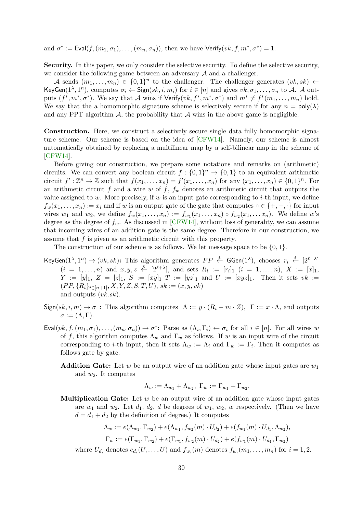<span id="page-29-0"></span>and  $\sigma^* := \text{Eval}(f, (m_1, \sigma_1), \ldots, (m_n, \sigma_n)),$  then we have  $\text{Verify}(vk, f, m^*, \sigma^*) = 1.$ 

Security. In this paper, we only consider the selective security. To define the selective security, we consider the following game between an adversary  $A$  and a challenger.

A sends  $(m_1, \ldots, m_n) \in \{0,1\}^n$  to the challenger. The challenger generates  $(vk, sk) \leftarrow$ KeyGen( $1^{\lambda}, 1^n$ ), computes  $\sigma_i \leftarrow$  Sign( $sk, i, m_i$ ) for  $i \in [n]$  and gives  $vk, \sigma_1, \ldots, \sigma_n$  to A. A outputs  $(f^*, m^*, \sigma^*)$ . We say that A wins if Verify $(vk, f^*, m^*, \sigma^*)$  and  $m^* \neq f^*(m_1, \ldots, m_n)$  hold. We say that the a homomorphic signature scheme is selectively secure if for any  $n = \text{poly}(\lambda)$ and any PPT algorithm  $\mathcal{A}$ , the probability that  $\mathcal A$  wins in the above game is negligible.

Construction. Here, we construct a selectively secure single data fully homomorphic signature scheme. Our scheme is based on the idea of [\[CFW14\]](#page-33-4). Namely, our scheme is almost automatically obtained by replacing a multilinear map by a self-bilinear map in the scheme of [\[CFW14\]](#page-33-4).

Before giving our construction, we prepare some notations and remarks on (arithmetic) circuits. We can convert any boolean circuit  $f: \{0,1\}^n \to \{0,1\}$  to an equivalent arithmetic circuit  $f': \mathbb{Z}^n \to \mathbb{Z}$  such that  $f(x_1, \ldots, x_n) = f'(x_1, \ldots, x_n)$  for any  $(x_1, \ldots, x_n) \in \{0,1\}^n$ . For an arithmetic circuit f and a wire w of f,  $f_w$  denotes an arithmetic circuit that outputs the value assigned to  $w$ . More precisely, if  $w$  is an input gate corresponding to  $i$ -th input, we define  $f_w(x_1,\ldots,x_n) := x_i$  and if w is an output gate of the gate that computes  $\circ \in \{+,-,\cdot\}$  for input wires  $w_1$  and  $w_2$ , we define  $f_w(x_1,\ldots,x_n) := f_{w_1}(x_1,\ldots,x_n) \circ f_{w_2}(x_1,\ldots,x_n)$ . We define w's degree as the degree of  $f_w$ . As discussed in [\[CFW14\]](#page-33-4), without loss of generality, we can assume that incoming wires of an addition gate is the same degree. Therefore in our construction, we assume that f is given as an arithmetic circuit with this property.

The construction of our scheme is as follows. We let message space to be  $\{0, 1\}$ .

- KeyGen $(1^{\lambda}, 1^n) \to (vk, sk)$ : This algorithm generates  $PP \stackrel{\$}{\leftarrow}$  GGen $(1^{\lambda})$ , chooses  $r_i \stackrel{\$}{\leftarrow} [2^{\ell+\lambda}]$  $(i = 1, \ldots, n)$  and  $x, y, z \stackrel{s}{\leftarrow} [2^{\ell + \lambda}],$  and sets  $R_i := [r_i]_1$   $(i = 1, \ldots, n), X := [x]_1$ ,  $Y := [y]_1, Z = [z]_1, S := [xy]_1 \, T := [yz]_1$  and  $U := [xyz]_1$ . Then it sets  $vk :=$  $(PP, \{R_i\}_{i \in [n+1]}, X, Y, Z, S, T, U), \ sk := (x, y, vk)$ and outputs  $(vk.\mathfrak{sk})$ .
- $Sign(sk, i, m) \to \sigma$ : This algorithm computes  $\Lambda := y \cdot (R_i m \cdot Z)$ ,  $\Gamma := x \cdot \Lambda$ , and outputs  $\sigma := (\Lambda, \Gamma).$
- $\textsf{Eval}(pk, f, (m_1, \sigma_1), \ldots, (m_n, \sigma_n)) \to \sigma^*$ : Parse as  $(\Lambda_i, \Gamma_i) \leftarrow \sigma_i$  for all  $i \in [n]$ . For all wires w of f, this algorithm computes  $\Lambda_w$  and  $\Gamma_w$  as follows. If w is an input wire of the circuit corresponding to *i*-th input, then it sets  $\Lambda_w := \Lambda_i$  and  $\Gamma_w := \Gamma_i$ . Then it computes as follows gate by gate.
	- **Addition Gate:** Let w be an output wire of an addition gate whose input gates are  $w_1$ and  $w_2$ . It computes

$$
\Lambda_w := \Lambda_{w_1} + \Lambda_{w_2}, \ \Gamma_w := \Gamma_{w_1} + \Gamma_{w_2}.
$$

**Multiplication Gate:** Let  $w$  be an output wire of an addition gate whose input gates are  $w_1$  and  $w_2$ . Let  $d_1, d_2, d$  be degrees of  $w_1, w_2, w$  respectively. (Then we have  $d = d_1 + d_2$  by the definition of degree.) It computes

$$
\Lambda_w := e(\Lambda_{w_1}, \Gamma_{w_2}) + e(\Lambda_{w_1}, f_{w_2}(m) \cdot U_{d_2}) + e(f_{w_1}(m) \cdot U_{d_1}, \Lambda_{w_2}),
$$
  
\n
$$
\Gamma_w := e(\Gamma_{w_1}, \Gamma_{w_2}) + e(\Gamma_{w_1}, f_{w_2}(m) \cdot U_{d_2}) + e(f_{w_1}(m) \cdot U_{d_1}, \Gamma_{w_2})
$$

where  $U_{d_i}$  denotes  $e_{d_i}(U, \ldots, U)$  and  $f_{w_i}(m)$  denotes  $f_{w_i}(m_1, \ldots, m_n)$  for  $i = 1, 2$ .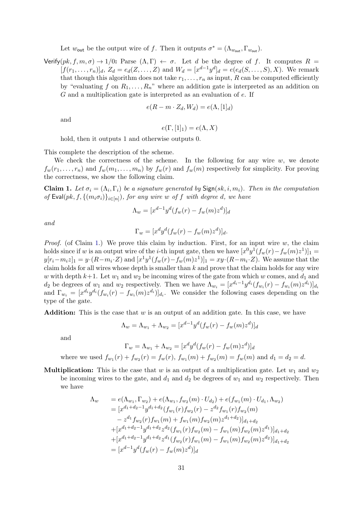Let  $w_{\text{out}}$  be the output wire of f. Then it outputs  $\sigma^* = (\Lambda_{w_{\text{out}}}, \Gamma_{w_{\text{out}}})$ .

Verify $(pk, f, m, \sigma) \rightarrow 1/0$ : Parse  $(\Lambda, \Gamma) \leftarrow \sigma$ . Let d be the degree of f. It computes  $R =$  $[f(r_1,...,r_n)]_d$ ,  $Z_d = e_d(Z,...,Z)$  and  $W_d = [x^{d-1}y^d]_d = e(e_d(S,...,S),X)$ . We remark that though this algorithm does not take  $r_1, \ldots, r_n$  as input, R can be computed efficiently by "evaluating f on  $R_1, \ldots, R_n$ " where an addition gate is interpreted as an addition on G and a multiplication gate is interpreted as an evaluation of e. If

$$
e(R - m \cdot Z_d, W_d) = e(\Lambda, [1]_d)
$$

and

$$
e(\Gamma, [1]_1) = e(\Lambda, X)
$$

hold, then it outputs 1 and otherwise outputs 0.

This complete the description of the scheme.

We check the correctness of the scheme. In the following for any wire  $w$ , we denote  $f_w(r_1,\ldots,r_n)$  and  $f_w(m_1,\ldots,m_n)$  by  $f_w(r)$  and  $f_w(m)$  respectively for simplicity. For proving the correctness, we show the following claim.

<span id="page-30-0"></span>**Claim 1.** Let  $\sigma_i = (\Lambda_i, \Gamma_i)$  be a signature generated by  $\textsf{Sign}(sk, i, m_i)$ . Then in the computation of Eval $(pk, f, \{(m_i \sigma_i)\}_{i \in [n]})$ , for any wire w of f with degree d, we have

$$
\Lambda_w = [x^{d-1}y^d(f_w(r) - f_w(m)z^d)]_d
$$

and

$$
\Gamma_w = [x^d y^d (f_w(r) - f_w(m)z^d)]_d.
$$

*Proof.* (of Claim [1.](#page-30-0)) We prove this claim by induction. First, for an input wire  $w$ , the claim holds since if w is an output wire of the *i*-th input gate, then we have  $[x^0y^1(f_w(r) - f_w(m)z^1)]_1 =$  $y[r_i-m_iz]_1=y\cdot (R-m_i\cdot Z)$  and  $[x^1y^1(f_w(r)-f_w(m)z^1)]_1=xy\cdot (R-m_i\cdot Z)$ . We assume that the claim holds for all wires whose depth is smaller than  $k$  and prove that the claim holds for any wire w with depth  $k+1$ . Let  $w_1$  and  $w_2$  be incoming wires of the gate from which w comes, and  $d_1$  and  $d_2$  be degrees of  $w_1$  and  $w_2$  respectively. Then we have  $\Lambda_{w_i} = [x^{d_i-1}y^{d_i}(f_{w_i}(r) - f_{w_i}(m)z^{d_i})]_{d_i}$ and  $\Gamma_{w_i} = [x^{d_i} y^{d_i} (f_{w_i}(r) - f_{w_i}(m) z^{d_i})]_{d_i}$ . We consider the following cases depending on the type of the gate.

**Addition:** This is the case that  $w$  is an output of an addition gate. In this case, we have

$$
\Lambda_w = \Lambda_{w_1} + \Lambda_{w_2} = [x^{d-1}y^d(f_w(r) - f_w(m)z^d)]_d
$$

and

$$
\Gamma_w = \Lambda_{w_1} + \Lambda_{w_2} = [x^d y^d (f_w(r) - f_w(m)z^d)]_d
$$
  
where we used  $f_{w_1}(r) + f_{w_2}(r) = f_w(r)$ ,  $f_{w_1}(m) + f_{w_2}(m) = f_w(m)$  and  $d_1 = d_2 = d$ .

**Multiplication:** This is the case that w is an output of a multiplication gate. Let  $w_1$  and  $w_2$ be incoming wires to the gate, and  $d_1$  and  $d_2$  be degrees of  $w_1$  and  $w_2$  respectively. Then we have

$$
\Lambda_{w} = e(\Lambda_{w_{1}}, \Gamma_{w_{2}}) + e(\Lambda_{w_{1}}, f_{w_{2}}(m) \cdot U_{d_{2}}) + e(f_{w_{1}}(m) \cdot U_{d_{1}}, \Lambda_{w_{2}})
$$
\n
$$
= [x^{d_{1} + d_{2} - 1} y^{d_{1} + d_{2}} (f_{w_{1}}(r) f_{w_{2}}(r) - z^{d_{2}} f_{w_{1}}(r) f_{w_{2}}(m) - z^{d_{1}} f_{w_{2}}(r) f_{w_{1}}(m) + f_{w_{1}}(m) f_{w_{2}}(m) z^{d_{1} + d_{2}})]_{d_{1} + d_{2}}
$$
\n
$$
+ [x^{d_{1} + d_{2} - 1} y^{d_{1} + d_{2}} z^{d_{2}} (f_{w_{1}}(r) f_{w_{2}}(m) - f_{w_{1}}(m) f_{w_{2}}(m) z^{d_{1}})]_{d_{1} + d_{2}}
$$
\n
$$
+ [x^{d_{1} + d_{2} - 1} y^{d_{1} + d_{2}} z^{d_{1}} (f_{w_{2}}(r) f_{w_{1}}(m) - f_{w_{1}}(m) f_{w_{2}}(m) z^{d_{2}})]_{d_{1} + d_{2}}
$$
\n
$$
= [x^{d - 1} y^{d} (f_{w}(r) - f_{w}(m) z^{d})]_{d}
$$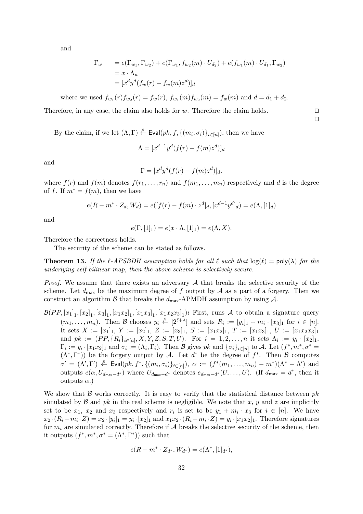and

$$
\Gamma_w = e(\Gamma_{w_1}, \Gamma_{w_2}) + e(\Gamma_{w_1}, f_{w_2}(m) \cdot U_{d_2}) + e(f_{w_1}(m) \cdot U_{d_1}, \Gamma_{w_2})
$$
  
=  $x \cdot \Lambda_w$   
=  $[x^d y^d (f_w(r) - f_w(m)z^d)]_d$ 

where we used  $f_{w_1}(r) f_{w_2}(r) = f_w(r)$ ,  $f_{w_1}(m) f_{w_2}(m) = f_w(m)$  and  $d = d_1 + d_2$ .

Therefore, in any case, the claim also holds for w. Therefore the claim holds.  $\square$ 

 $\Box$ 

By the claim, if we let  $(\Lambda, \Gamma) \stackrel{\$}{\leftarrow}$  Eval $(pk, f, \{(m_i, \sigma_i)\}_{i \in [n]})$ , then we have

$$
\Lambda = [x^{d-1}y^d(f(r) - f(m)z^d)]_d
$$

and

$$
\Gamma = [x^d y^d (f(r) - f(m)z^d)]_d.
$$

where  $f(r)$  and  $f(m)$  denotes  $f(r_1, \ldots, r_n)$  and  $f(m_1, \ldots, m_n)$  respectively and d is the degree of f. If  $m^* = f(m)$ , then we have

$$
e(R - m^* \cdot Z_d, W_d) = e([f(r) - f(m) \cdot z^d]_d, [x^{d-1}y^d]_d) = e(\Lambda, [1]_d)
$$

and

$$
e(\Gamma, [1]_1) = e(x \cdot \Lambda, [1]_1) = e(\Lambda, X).
$$

Therefore the correctness holds.

The security of the scheme can be stated as follows.

**Theorem 13.** If the  $\ell$ -APSBDH assumption holds for all  $\ell$  such that  $\log(\ell) = \text{poly}(\lambda)$  for the underlying self-bilinear map, then the above scheme is selectively secure.

*Proof.* We assume that there exists an adversary  $A$  that breaks the selective security of the scheme. Let  $d_{\text{max}}$  be the maximum degree of f output by A as a part of a forgery. Then we construct an algorithm B that breaks the  $d_{\text{max}}$ -APMDH assumption by using A.

 $\mathcal{B}(PP,[x_1]_1,[x_2]_1,[x_3]_1,[x_1x_2]_1,[x_1x_3]_1,[x_1x_2x_3]_1$ : First, runs A to obtain a signature query  $(m_1, \ldots, m_n)$ . Then B chooses  $y_i \stackrel{\$}{\leftarrow} [2^{\ell+\lambda}]$  and sets  $R_i := [y_i]_1 + m_i \cdot [x_3]_1$  for  $i \in [n]$ . It sets  $X := [x_1]_1, Y := [x_2]_1, Z := [x_3]_1, S := [x_1x_2]_1, T := [x_1x_3]_1, U := [x_1x_2x_3]_1$ and  $pk := (PP, \{R_i\}_{i \in [n]}, X, Y, Z, S, T, U)$ . For  $i = 1, 2, ..., n$  it sets  $\Lambda_i := y_i \cdot [x_2]_1$ ,  $\Gamma_i := y_i \cdot [x_1 x_2]_1$  and  $\sigma_i := (\Lambda_i, \Gamma_i)$ . Then B gives pk and  $\{\sigma_i\}_{i \in [n]}$  to A. Let  $(f^*, m^*, \sigma^* =$  $(\Lambda^*, \Gamma^*)$  be the forgery output by A. Let  $d^*$  be the degree of  $f^*$ . Then B computes  $\sigma' = (\Lambda', \Gamma') \stackrel{\$}{\leftarrow}$  Eval $(pk, f^*, \{(m_i, \sigma_i)\}_{i \in [n]}), \ \alpha := (f^*(m_1, \ldots, m_n) - m^*)(\Lambda^* - \Lambda')$  and outputs  $e(\alpha, U_{d_{\max}-d^*})$  where  $U_{d_{\max}-d^*}$  denotes  $e_{d_{\max}-d^*}(U,\ldots,U)$ . (If  $d_{\max}=d^*$ , then it outputs  $\alpha$ .)

We show that  $\beta$  works correctly. It is easy to verify that the statistical distance between  $pk$ simulated by  $\beta$  and  $pk$  in the real scheme is negligible. We note that x, y and z are implicitly set to be  $x_1, x_2$  and  $x_3$  respectively and  $r_i$  is set to be  $y_1 + m_i \cdot x_3$  for  $i \in [n]$ . We have  $x_2 \cdot (R_i - m_i \cdot Z) = x_2 \cdot [y_i]_1 = y_i \cdot [x_2]_1$  and  $x_1 x_2 \cdot (R_i - m_i \cdot Z) = y_i \cdot [x_1 x_2]_1$ . Therefore signatures for  $m_i$  are simulated correctly. Therefore if  $A$  breaks the selective security of the scheme, then it outputs  $(f^*, m^*, \sigma^* = (\Lambda^*, \Gamma^*))$  such that

$$
e(R - m^* \cdot Z_{d^*}, W_{d^*}) = e(\Lambda^*, [1]_{d^*}),
$$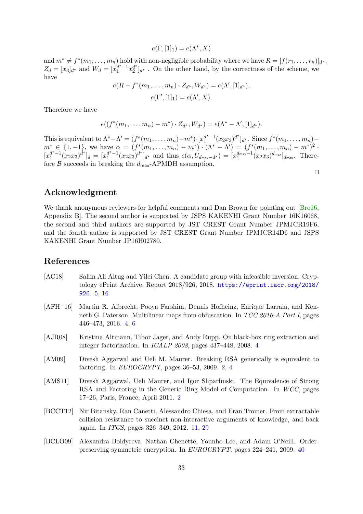$$
e(\Gamma, [1]_1) = e(\Lambda^*, X)
$$

<span id="page-32-6"></span>and  $m^* \neq f^*(m_1, \ldots, m_n)$  hold with non-negligible probability where we have  $R = [f(r_1, \ldots, r_n)]_{d^*}$ ,  $Z_d = [x_3]_{d^*}$  and  $W_d = [x_1^{d^*-1} x_2^{d^*}]$  $\binom{d^*}{2}_{d^*}$ . On the other hand, by the correctness of the scheme, we have

$$
e(R - f^*(m_1, ..., m_n) \cdot Z_{d^*}, W_{d^*}) = e(\Lambda', [1]_{d^*}),
$$
  

$$
e(\Gamma', [1]_1) = e(\Lambda', X).
$$

Therefore we have

$$
e((f^*(m_1,\ldots,m_n)-m^*)\cdot Z_{d^*},W_{d^*})=e(\Lambda^*-\Lambda',[1]_{d^*}).
$$

This is equivalent to  $\Lambda^* - \Lambda' = (f^*(m_1, \ldots, m_n) - m^*) \cdot [x_1^{d^*-1}(x_2x_3)^{d^*}]_{d^*}$ . Since  $f^*(m_1, \ldots, m_n)$  $m^* \in \{1, -1\}$ , we have  $\alpha = (f^*(m_1, \ldots, m_n) - m^*) \cdot (\Lambda^* - \Lambda') = (f^*(m_1, \ldots, m_n) - m^*)^2$ .  $[x_1^{d^*-1}(x_2x_3)^{d^*}]_d = [x_1^{d^*-1}(x_2x_3)^{d^*}]_{d^*}$  and thus  $e(\alpha, U_{d_{\text{max}}-d^*}) = [x_1^{d_{\text{max}}-1}(x_2x_3)^{d_{\text{max}}}]_{d_{\text{max}}}$ . Therefore  $\beta$  succeeds in breaking the  $d_{\text{max}}$ -APMDH assumption.

 $\Box$ 

## Acknowledgment

We thank anonymous reviewers for helpful comments and Dan Brown for pointing out [\[Bro16,](#page-33-6) Appendix B]. The second author is supported by JSPS KAKENHI Grant Number 16K16068, the second and third authors are supported by JST CREST Grant Number JPMJCR19F6, and the fourth author is supported by JST CREST Grant Number JPMJCR14D6 and JSPS KAKENHI Grant Number JP16H02780.

## References

- <span id="page-32-4"></span>[AC18] Salim Ali Altug and Yilei Chen. A candidate group with infeasible inversion. Cryptology ePrint Archive, Report 2018/926, 2018. [https://eprint.iacr.org/2018/](https://eprint.iacr.org/2018/926) [926](https://eprint.iacr.org/2018/926). [5,](#page-4-2) [16](#page-15-2)
- <span id="page-32-3"></span>[AFH+16] Martin R. Albrecht, Pooya Farshim, Dennis Hofheinz, Enrique Larraia, and Kenneth G. Paterson. Multilinear maps from obfuscation. In TCC 2016-A Part I, pages 446–473, 2016. [4,](#page-3-0) [6](#page-5-0)
- <span id="page-32-2"></span>[AJR08] Kristina Altmann, Tibor Jager, and Andy Rupp. On black-box ring extraction and integer factorization. In ICALP 2008, pages 437–448, 2008. [4](#page-3-0)
- <span id="page-32-0"></span>[AM09] Divesh Aggarwal and Ueli M. Maurer. Breaking RSA generically is equivalent to factoring. In EUROCRYPT, pages 36–53, 2009. [2,](#page-1-2) [4](#page-3-0)
- <span id="page-32-1"></span>[AMS11] Divesh Aggarwal, Ueli Maurer, and Igor Shparlinski. The Equivalence of Strong RSA and Factoring in the Generic Ring Model of Computation. In WCC, pages 17–26, Paris, France, April 2011. [2](#page-1-2)
- <span id="page-32-5"></span>[BCCT12] Nir Bitansky, Ran Canetti, Alessandro Chiesa, and Eran Tromer. From extractable collision resistance to succinct non-interactive arguments of knowledge, and back again. In ITCS, pages 326–349, 2012. [11,](#page-10-0) [29](#page-28-1)
- <span id="page-32-7"></span>[BCLO09] Alexandra Boldyreva, Nathan Chenette, Younho Lee, and Adam O'Neill. Orderpreserving symmetric encryption. In EUROCRYPT, pages 224–241, 2009. [40](#page-39-0)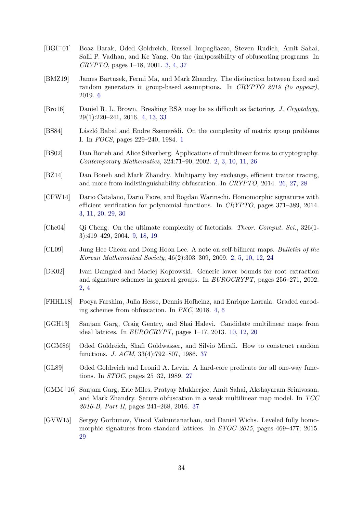- <span id="page-33-5"></span>[BGI+01] Boaz Barak, Oded Goldreich, Russell Impagliazzo, Steven Rudich, Amit Sahai, Salil P. Vadhan, and Ke Yang. On the (im)possibility of obfuscating programs. In CRYPTO, pages 1–18, 2001. [3,](#page-2-0) [4,](#page-3-0) [37](#page-36-0)
- <span id="page-33-8"></span>[BMZ19] James Bartusek, Fermi Ma, and Mark Zhandry. The distinction between fixed and random generators in group-based assumptions. In CRYPTO 2019 (to appear), 2019. [6](#page-5-0)
- <span id="page-33-6"></span>[Bro16] Daniel R. L. Brown. Breaking RSA may be as difficult as factoring. J. Cryptology, 29(1):220–241, 2016. [4,](#page-3-0) [13,](#page-12-0) [33](#page-32-6)
- <span id="page-33-0"></span>[BS84] László Babai and Endre Szemerédi. On the complexity of matrix group problems I. In FOCS, pages 229–240, 1984. [1](#page-0-0)
- <span id="page-33-3"></span>[BS02] Dan Boneh and Alice Silverberg. Applications of multilinear forms to cryptography. Contemporary Mathematics, 324:71–90, 2002. [2,](#page-1-2) [3,](#page-2-0) [10,](#page-9-2) [11,](#page-10-0) [26](#page-25-2)
- <span id="page-33-11"></span>[BZ14] Dan Boneh and Mark Zhandry. Multiparty key exchange, efficient traitor tracing, and more from indistinguishability obfuscation. In CRYPTO, 2014. [26,](#page-25-2) [27,](#page-26-0) [28](#page-27-1)
- <span id="page-33-4"></span>[CFW14] Dario Catalano, Dario Fiore, and Bogdan Warinschi. Homomorphic signatures with efficient verification for polynomial functions. In CRYPTO, pages 371–389, 2014. [3,](#page-2-0) [11,](#page-10-0) [20,](#page-19-1) [29,](#page-28-1) [30](#page-29-0)
- <span id="page-33-9"></span>[Che04] Qi Cheng. On the ultimate complexity of factorials. Theor. Comput. Sci., 326(1- 3):419–429, 2004. [9,](#page-8-0) [18,](#page-17-2) [19](#page-18-2)
- <span id="page-33-2"></span>[CL09] Jung Hee Cheon and Dong Hoon Lee. A note on self-bilinear maps. Bulletin of the Korean Mathematical Society, 46(2):303–309, 2009. [2,](#page-1-2) [5,](#page-4-2) [10,](#page-9-2) [12,](#page-11-1) [24](#page-23-1)
- <span id="page-33-1"></span>[DK02] Ivan Damgård and Maciej Koprowski. Generic lower bounds for root extraction and signature schemes in general groups. In EUROCRYPT, pages 256–271, 2002. [2,](#page-1-2) [4](#page-3-0)
- <span id="page-33-7"></span>[FHHL18] Pooya Farshim, Julia Hesse, Dennis Hofheinz, and Enrique Larraia. Graded encoding schemes from obfuscation. In PKC, 2018. [4,](#page-3-0) [6](#page-5-0)
- <span id="page-33-10"></span>[GGH13] Sanjam Garg, Craig Gentry, and Shai Halevi. Candidate multilinear maps from ideal lattices. In EUROCRYPT, pages 1–17, 2013. [10,](#page-9-2) [12,](#page-11-1) [20](#page-19-1)
- <span id="page-33-14"></span>[GGM86] Oded Goldreich, Shafi Goldwasser, and Silvio Micali. How to construct random functions. J. ACM, 33(4):792–807, 1986. [37](#page-36-0)
- <span id="page-33-12"></span>[GL89] Oded Goldreich and Leonid A. Levin. A hard-core predicate for all one-way functions. In STOC, pages 25–32, 1989. [27](#page-26-0)
- <span id="page-33-15"></span>[GMM+16] Sanjam Garg, Eric Miles, Pratyay Mukherjee, Amit Sahai, Akshayaram Srinivasan, and Mark Zhandry. Secure obfuscation in a weak multilinear map model. In TCC 2016-B, Part II, pages 241–268, 2016. [37](#page-36-0)
- <span id="page-33-13"></span>[GVW15] Sergey Gorbunov, Vinod Vaikuntanathan, and Daniel Wichs. Leveled fully homomorphic signatures from standard lattices. In *STOC 2015*, pages 469–477, 2015. [29](#page-28-1)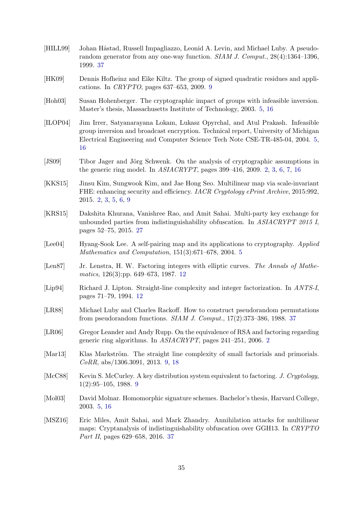- <span id="page-34-14"></span>[HILL99] Johan Håstad, Russell Impagliazzo, Leonid A. Levin, and Michael Luby. A pseudorandom generator from any one-way function. SIAM J. Comput., 28(4):1364–1396, 1999. [37](#page-36-0)
- <span id="page-34-9"></span>[HK09] Dennis Hofheinz and Eike Kiltz. The group of signed quadratic residues and applications. In CRYPTO, pages 637–653, 2009. [9](#page-8-0)
- <span id="page-34-3"></span>[Hoh03] Susan Hohenberger. The cryptographic impact of groups with infeasible inversion. Master's thesis, Massachusetts Institute of Technology, 2003. [5,](#page-4-2) [16](#page-15-2)
- <span id="page-34-5"></span>[ILOP04] Jim Irrer, Satyanarayana Lokam, Lukasz Opyrchal, and Atul Prakash. Infeasible group inversion and broadcast encryption. Technical report, University of Michigan Electrical Engineering and Computer Science Tech Note CSE-TR-485-04, 2004. [5,](#page-4-2) [16](#page-15-2)
- <span id="page-34-1"></span>[JS09] Tibor Jager and Jörg Schwenk. On the analysis of cryptographic assumptions in the generic ring model. In  $ASIACRYPT$ , pages 399–416, 2009. [2,](#page-1-2) [3,](#page-2-0) [6,](#page-5-0) [7,](#page-6-0) [16](#page-15-2)
- <span id="page-34-2"></span>[KKS15] Jinsu Kim, Sungwook Kim, and Jae Hong Seo. Multilinear map via scale-invariant FHE: enhancing security and efficiency. *IACR Cryptology ePrint Archive*, 2015:992. 2015. [2,](#page-1-2) [3,](#page-2-0) [5,](#page-4-2) [6,](#page-5-0) [9](#page-8-0)
- <span id="page-34-12"></span>[KRS15] Dakshita Khurana, Vanishree Rao, and Amit Sahai. Multi-party key exchange for unbounded parties from indistinguishability obfuscation. In ASIACRYPT 2015 I, pages 52–75, 2015. [27](#page-26-0)
- <span id="page-34-6"></span>[Lee04] Hyang-Sook Lee. A self-pairing map and its applications to cryptography. Applied Mathematics and Computation, 151(3):671–678, 2004. [5](#page-4-2)
- <span id="page-34-11"></span>[Len87] Jr. Lenstra, H. W. Factoring integers with elliptic curves. The Annals of Mathematics, 126(3):pp. 649–673, 1987. [12](#page-11-1)
- <span id="page-34-10"></span>[Lip94] Richard J. Lipton. Straight-line complexity and integer factorization. In ANTS-I, pages 71–79, 1994. [12](#page-11-1)
- <span id="page-34-13"></span>[LR88] Michael Luby and Charles Rackoff. How to construct pseudorandom permutations from pseudorandom functions. SIAM J. Comput., 17(2):373–386, 1988. [37](#page-36-0)
- <span id="page-34-0"></span>[LR06] Gregor Leander and Andy Rupp. On the equivalence of RSA and factoring regarding generic ring algorithms. In ASIACRYPT, pages 241–251, 2006. [2](#page-1-2)
- <span id="page-34-7"></span>[Mar13] Klas Markström. The straight line complexity of small factorials and primorials. CoRR, abs/1306.3091, 2013. [9,](#page-8-0) [18](#page-17-2)
- <span id="page-34-8"></span>[McC88] Kevin S. McCurley. A key distribution system equivalent to factoring. J. Cryptology, 1(2):95–105, 1988. [9](#page-8-0)
- <span id="page-34-4"></span>[Mol03] David Molnar. Homomorphic signature schemes. Bachelor's thesis, Harvard College, 2003. [5,](#page-4-2) [16](#page-15-2)
- <span id="page-34-15"></span>[MSZ16] Eric Miles, Amit Sahai, and Mark Zhandry. Annihilation attacks for multilinear maps: Cryptanalysis of indistinguishability obfuscation over GGH13. In CRYPTO Part II, pages 629–658, 2016. [37](#page-36-0)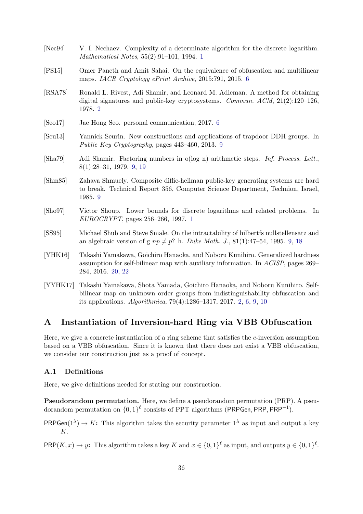- <span id="page-35-1"></span>[Nec94] V. I. Nechaev. Complexity of a determinate algorithm for the discrete logarithm. Mathematical Notes, 55(2):91–101, 1994. [1](#page-0-0)
- <span id="page-35-6"></span>[PS15] Omer Paneth and Amit Sahai. On the equivalence of obfuscation and multilinear maps. IACR Cryptology ePrint Archive, 2015:791, 2015. [6](#page-5-0)
- <span id="page-35-2"></span>[RSA78] Ronald L. Rivest, Adi Shamir, and Leonard M. Adleman. A method for obtaining digital signatures and public-key cryptosystems. *Commun. ACM*,  $21(2):120-126$ , 1978. [2](#page-1-2)
- <span id="page-35-5"></span>[Seo17] Jae Hong Seo. personal communication, 2017. [6](#page-5-0)
- <span id="page-35-10"></span>[Seu13] Yannick Seurin. New constructions and applications of trapdoor DDH groups. In Public Key Cryptography, pages 443–460, 2013. [9](#page-8-0)
- <span id="page-35-8"></span>[Sha79] Adi Shamir. Factoring numbers in o(log n) arithmetic steps. Inf. Process. Lett., 8(1):28–31, 1979. [9,](#page-8-0) [19](#page-18-2)
- <span id="page-35-9"></span>[Shm85] Zahava Shmuely. Composite diffie-hellman public-key generating systems are hard to break. Technical Report 356, Computer Science Department, Technion, Israel, 1985. [9](#page-8-0)
- <span id="page-35-0"></span>[Sho97] Victor Shoup. Lower bounds for discrete logarithms and related problems. In EUROCRYPT, pages 256–266, 1997. [1](#page-0-0)
- <span id="page-35-7"></span>[SS95] Michael Shub and Steve Smale. On the intractability of hilbertfs nullstellensatz and an algebraic version of g  $np \neq p$ ? h. Duke Math. J., 81(1):47–54, 1995. [9,](#page-8-0) [18](#page-17-2)
- <span id="page-35-11"></span>[YHK16] Takashi Yamakawa, Goichiro Hanaoka, and Noboru Kunihiro. Generalized hardness assumption for self-bilinear map with auxiliary information. In ACISP, pages 269– 284, 2016. [20,](#page-19-1) [22](#page-21-2)
- <span id="page-35-3"></span>[YYHK17] Takashi Yamakawa, Shota Yamada, Goichiro Hanaoka, and Noboru Kunihiro. Selfbilinear map on unknown order groups from indistinguishability obfuscation and its applications. Algorithmica, 79(4):1286–1317, 2017. [2,](#page-1-2) [6,](#page-5-0) [9,](#page-8-0) [10](#page-9-2)

## <span id="page-35-4"></span>A Instantiation of Inversion-hard Ring via VBB Obfuscation

Here, we give a concrete instantiation of a ring scheme that satisfies the  $c$ -inversion assumption based on a VBB obfuscation. Since it is known that there does not exist a VBB obfuscation, we consider our construction just as a proof of concept.

## <span id="page-35-12"></span>A.1 Definitions

Here, we give definitions needed for stating our construction.

Pseudorandom permutation. Here, we define a pseudorandom permutation (PRP). A pseudorandom permutation on  $\{0,1\}^{\ell}$  consists of PPT algorithms (PRPGen, PRP, PRP<sup>-1</sup>).

**PRPGen**( $1^{\lambda}$ )  $\rightarrow$  K: This algorithm takes the security parameter  $1^{\lambda}$  as input and output a key K.

 $\mathsf{PRP}(K,x) \to y$ : This algorithm takes a key K and  $x \in \{0,1\}^{\ell}$  as input, and outputs  $y \in \{0,1\}^{\ell}$ .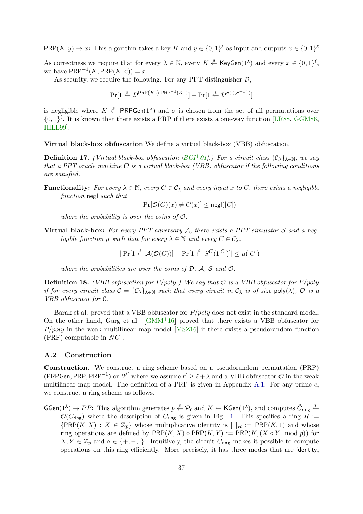<span id="page-36-0"></span>PRP $(K, y) \to x$ : This algorithm takes a key K and  $y \in \{0, 1\}^{\ell}$  as input and outputs  $x \in \{0, 1\}^{\ell}$ 

As correctness we require that for every  $\lambda \in \mathbb{N}$ , every  $K \stackrel{\$}{\leftarrow}$  KeyGen $(1^{\lambda})$  and every  $x \in \{0,1\}^{\ell}$ , we have  $PRP^{-1}(K, PRP(K, x)) = x$ .

As security, we require the following. For any PPT distinguisher  $D$ ,

$$
\Pr[1 \stackrel{\$}{\leftarrow} \mathcal{D}^{\mathsf{PRP}(K,\cdot),\mathsf{PRP}^{-1}(K,\cdot)}] - \Pr[1 \stackrel{\$}{\leftarrow} \mathcal{D}^{\sigma(\cdot),\sigma^{-1}(\cdot)}]
$$

is negligible where  $K \stackrel{\$}{\leftarrow} \textsf{PRPGen}(1^{\lambda})$  and  $\sigma$  is chosen from the set of all permutations over  $\{0,1\}^{\ell}$ . It is known that there exists a PRP if there exists a one-way function [\[LR88,](#page-34-13) [GGM86,](#page-33-14) [HILL99\]](#page-34-14).

Virtual black-box obfuscation We define a virtual black-box (VBB) obfuscation.

**Definition 17.** (Virtual black-box obfuscation [\[BGI](#page-33-5)<sup>+</sup>01].) For a circuit class  $\{\mathcal{C}_\lambda\}_{\lambda\in\mathbb{N}}$ , we say that a PPT oracle machine  $\mathcal O$  is a virtual black-box (VBB) obfuscator if the following conditions are satisfied.

**Functionality:** For every  $\lambda \in \mathbb{N}$ , every  $C \in \mathcal{C}_{\lambda}$  and every input x to C, there exists a negligible function negl such that

$$
\Pr[\mathcal{O}(C)(x) \neq C(x)] \le \mathsf{negl}(|C|)
$$

where the probability is over the coins of  $\mathcal{O}$ .

Virtual black-box: For every PPT adversary  $A$ , there exists a PPT simulator  $S$  and a negligible function  $\mu$  such that for every  $\lambda \in \mathbb{N}$  and every  $C \in \mathcal{C}_{\lambda}$ ,

 $|\Pr[1 \stackrel{\$}{\leftarrow} \mathcal{A}(\mathcal{O}(C))] - \Pr[1 \stackrel{\$}{\leftarrow} S^C(1^{|C|})]| \leq \mu(|C|)$ 

where the probabilities are over the coins of  $D$ ,  $A$ ,  $S$  and  $O$ .

**Definition 18.** (VBB obfuscation for  $P/poly$ .) We say that  $\mathcal O$  is a VBB obfuscator for  $P/poly$ . if for every circuit class  $\mathcal{C} = {\mathcal{C}_{\lambda}}_{\lambda \in \mathbb{N}}$  such that every circuit in  $\mathcal{C}_{\lambda}$  is of size poly( $\lambda$ ),  $\mathcal{O}$  is a VBB obfuscator for C.

Barak et al. proved that a VBB obfuscator for  $P/poly$  does not exist in the standard model. On the other hand, Garg et al.  $\left[\text{GMM}^+\text{16}\right]$  proved that there exists a VBB obfuscator for  $P/poly$  in the weak multilinear map model [\[MSZ16\]](#page-34-15) if there exists a pseudorandom function (PRF) computable in  $NC<sup>1</sup>$ .

#### A.2 Construction

Construction. We construct a ring scheme based on a pseudorandom permutation (PRP) (PRPGen, PRP, PRP<sup>-1</sup>) on  $2^{\ell'}$  where we assume  $\ell' \geq \ell + \lambda$  and a VBB obfuscator  $\mathcal O$  in the weak multilinear map model. The definition of a PRP is given in Appendix [A.1.](#page-35-12) For any prime  $c$ , we construct a ring scheme as follows.

 $\mathsf{GGen}(1^{\lambda}) \to PP:$  This algorithm generates  $p \overset{\hspace{0.1em}\mathsf{\scriptscriptstyle\$}}{\leftarrow} \mathcal{P}_{\ell}$  and  $K \leftarrow \mathsf{KGen}(1^{\lambda})$ , and computes  $\tilde{C}_{\mathsf{ring}} \overset{\hspace{0.1em}\mathsf{\scriptscriptstyle\$}}{\leftarrow}$  $\mathcal{O}(C_{\text{ring}})$  where the description of  $C_{\text{ring}}$  is given in Fig. [1.](#page-37-0) This specifies a ring  $R :=$  ${PRP(K, X): X \in \mathbb{Z}_p}$  whose multiplicative identity is  $[1]_R := PRP(K, 1)$  and whose ring operations are defined by  $\text{PRP}(K, X) \circ \text{PRP}(K, Y) := \text{PRP}(K, (X \circ Y \mod p))$  for  $X, Y \in \mathbb{Z}_p$  and  $\circ \in \{+, -, \cdot\}.$  Intuitively, the circuit  $C_{\text{ring}}$  makes it possible to compute operations on this ring efficiently. More precisely, it has three modes that are identity,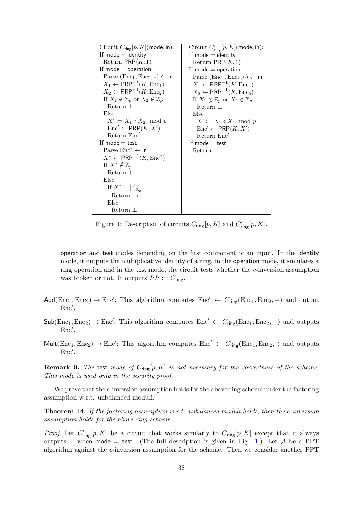| Circuit $C_{\rm ring}[p, K]$ (mode, in):                         | Circuit $C'_{\text{ring}}[p, K]$ (mode, in):                     |
|------------------------------------------------------------------|------------------------------------------------------------------|
| If mode $=$ identity                                             | If mode $=$ identity                                             |
| Return $PRP(K,1)$                                                | Return $PRP(K,1)$                                                |
| If mode $=$ operation                                            | If mode $=$ operation                                            |
| Parse $(\text{Enc}_1, \text{Enc}_2, \circ) \leftarrow \text{in}$ | Parse $(\text{Enc}_1, \text{Enc}_2, \circ) \leftarrow \text{in}$ |
| $X_1 \leftarrow \textsf{PRP}^{-1}(K, \text{Enc}_1)$              | $X_1 \leftarrow \textsf{PRP}^{-1}(K, \text{Enc}_1)$              |
| $X_2 \leftarrow \text{PRP}^{-1}(K, \text{Enc}_2)$                | $X_2 \leftarrow \textsf{PRP}^{-1}(K, \text{Enc}_2)$              |
| If $X_1 \notin \mathbb{Z}_p$ or $X_2 \notin \mathbb{Z}_p$        | If $X_1 \notin \mathbb{Z}_p$ or $X_2 \notin \mathbb{Z}_p$        |
| Return $\perp$                                                   | Return $\perp$                                                   |
| Else                                                             | Else                                                             |
| $X' := X_1 \circ X_2 \mod p$                                     | $X' := X_1 \circ X_2 \mod p$                                     |
| $Enc' \leftarrow \text{PRP}(K, X')$                              | $Enc' \leftarrow \text{PRP}(K, X')$                              |
| Return Enc'                                                      | Return Enc'                                                      |
| If mode $=$ test                                                 | If mode $=$ test                                                 |
| Parse $Enc^* \leftarrow in$                                      | Return $\perp$                                                   |
| $X^* \leftarrow \text{PRP}^{-1}(K, \text{Enc}^*)$                |                                                                  |
| If $X^* \notin \mathbb{Z}_p$                                     |                                                                  |
| Return 1                                                         |                                                                  |
| Else                                                             |                                                                  |
| If $X^*=[c]_{\mathbb{Z}_n}^{-1}$                                 |                                                                  |
| Return true                                                      |                                                                  |
| Else                                                             |                                                                  |
| Return $\perp$                                                   |                                                                  |

Figure 1: Description of circuits  $C_{\text{ring}}[p, K]$  and  $C'_{\text{ring}}[p, K]$ .

<span id="page-37-0"></span>operation and test modes depending on the first component of an input. In the identity mode, it outputs the multiplicative identity of a ring, in the operation mode, it simulates a ring operation and in the test mode, the circuit tests whether the c-inversion assumption was broken or not. It outputs  $PP := \tilde{C}_{\text{ring}}$ .

- $\text{Add}(\text{Enc}_1, \text{Enc}_2) \to \text{Enc}'$ : This algorithm computes  $\text{Enc}' \leftarrow \tilde{C}_{\text{ring}}(\text{Enc}_1, \text{Enc}_2, +)$  and output  $Enc'.$
- $\text{Sub}(\text{Enc}_1, \text{Enc}_2) \to \text{Enc}'$ : This algorithm computes  $\text{Enc}' \leftarrow \tilde{C}_{\text{ring}}(\text{Enc}_1, \text{Enc}_2, -)$  and outputs  $Enc'.$
- Mult(Enc<sub>1</sub>, Enc<sub>2</sub>)  $\rightarrow$  Enc': This algorithm computes Enc'  $\leftarrow \tilde{C}_{ring}(\text{Enc}_1, \text{Enc}_2, \cdot)$  and outputs  $Enc'.$

**Remark 9.** The test mode of  $C_{\text{ring}}[p, K]$  is not necessary for the correctness of the scheme. This mode is used only in the security proof.

We prove that the *c*-inversion assumption holds for the above ring scheme under the factoring assumption w.r.t. unbalanced moduli.

<span id="page-37-1"></span>**Theorem 14.** If the factoring assumption w.r.t. unbalanced moduli holds, then the c-inversion assumption holds for the above ring scheme.

*Proof.* Let  $C'_{\text{ring}}[p,K]$  be a circuit that works similarly to  $C_{\text{ring}}[p,K]$  except that it always outputs  $\perp$  when mode = test. (The full description is given in Fig. [1.](#page-37-0)) Let A be a PPT algorithm against the c-inversion assumption for the scheme. Then we consider another PPT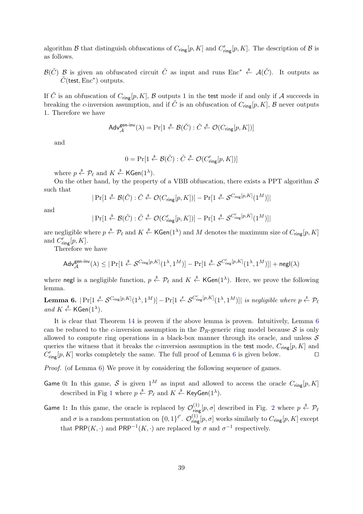algorithm  $\beta$  that distinguish obfuscations of  $C_{\text{ring}}[p, K]$  and  $C'_{\text{ring}}[p, K]$ . The description of  $\beta$  is as follows.

 $\mathcal{B}(\tilde{C})$  B is given an obfuscated circuit  $\tilde{C}$  as input and runs Enc<sup>\*</sup>  $\stackrel{\$}{\leftarrow} \mathcal{A}(\tilde{C})$ . It outputs as  $\tilde{C}$ (test, Enc<sup>\*</sup>) outputs.

If C is an obfuscation of  $C_{\text{ring}}[p, K]$ , B outputs 1 in the test mode if and only if A succeeds in breaking the c-inversion assumption, and if C is an obfuscation of  $C_{\text{ring}}[p, K]$ , B never outputs 1. Therefore we have

$$
\mathsf{Adv}_{\mathcal{A}}^{\mathsf{gen-inv}}(\lambda) = \Pr[1 \stackrel{\hspace{0.1em}\mathsf{\scriptscriptstyle\$}}{\leftarrow} \mathcal{B}(\tilde{C}) : \tilde{C} \stackrel{\hspace{0.1em}\mathsf{\scriptscriptstyle\$}}{\leftarrow} \mathcal{O}(C_{\mathsf{ring}}[p,K])]
$$

and

$$
0 = \Pr[1 \stackrel{\$}{\leftarrow} \mathcal{B}(\tilde{C}) : \tilde{C} \stackrel{\$}{\leftarrow} \mathcal{O}(C'_{\mathsf{ring}}[p, K])]
$$

where  $p \stackrel{\$}{\leftarrow} \mathcal{P}_{\ell}$  and  $K \stackrel{\$}{\leftarrow}$  KGen(1<sup> $\lambda$ </sup>).

On the other hand, by the property of a VBB obfuscation, there exists a PPT algorithm  $\mathcal S$ such that

$$
|\Pr[1 \stackrel{\$}{\leftarrow} \mathcal{B}(\tilde{C}) : \tilde{C} \stackrel{\$}{\leftarrow} \mathcal{O}(C_{\text{ring}}[p,K])] - \Pr[1 \stackrel{\$}{\leftarrow} \mathcal{S}^{C_{\text{ring}}[p,K]}(1^M)]
$$

and

$$
|\Pr[1 \stackrel{\$}{\leftarrow} \mathcal{B}(\tilde{C}) : \tilde{C} \stackrel{\$}{\leftarrow} \mathcal{O}(C'_{\text{ring}}[p,K])] - \Pr[1 \stackrel{\$}{\leftarrow} \mathcal{S}^{C'_{\text{ring}}[p,K]}(1^M)]
$$

are negligible where  $p \stackrel{\$}{\leftarrow} \mathcal{P}_{\ell}$  and  $K \stackrel{\$}{\leftarrow}$  KGen(1<sup> $\lambda$ </sup>) and M denotes the maximum size of  $C_{\text{ring}}[p, K]$ and  $C'_{\mathsf{ring}}[p,K]$ .

Therefore we have

$$
\mathsf{Adv}_{\mathcal{A}}^{\mathsf{gen-inv}}(\lambda) \leq |\Pr[1 \stackrel{\hspace{0.1em}\mathsf{\scriptscriptstyle\$}}{\leftarrow} \mathcal{S}^{C_{\mathsf{ring}}[p,K]}(1^{\lambda},1^M)] - \Pr[1 \stackrel{\hspace{0.1em}\mathsf{\scriptscriptstyle\$}}{\leftarrow} \mathcal{S}^{C'_{\mathsf{ring}}[p,K]}(1^{\lambda},1^M)]| + \mathsf{negl}(\lambda)
$$

where negl is a negligible function,  $p \stackrel{s}{\leftarrow} \mathcal{P}_{\ell}$  and  $K \stackrel{s}{\leftarrow}$  KGen(1<sup> $\lambda$ </sup>). Here, we prove the following lemma.

<span id="page-38-0"></span>**Lemma 6.**  $|\Pr[1 \stackrel{\$}{\leftarrow} \mathcal{S}^{C_{\text{ring}}[p,K]}(1^{\lambda},1^M)] - \Pr[1 \stackrel{\$}{\leftarrow} \mathcal{S}^{C'_{\text{ring}}[p,K]}(1^{\lambda},1^M)]|$  is negligible where  $p \stackrel{\$}{\leftarrow} \mathcal{P}_{\ell}$ and  $K \stackrel{\hspace{0.1em}\mathsf{\scriptscriptstyle\$}}{\leftarrow}$  KGen $(1^{\lambda})$ .

It is clear that Theorem [14](#page-37-1) is proven if the above lemma is proven. Intuitively, Lemma [6](#page-38-0) can be reduced to the c-inversion assumption in the  $\mathcal{D}_R$ -generic ring model because S is only allowed to compute ring operations in a black-box manner through its oracle, and unless  $S$ queries the witness that it breaks the c-inversion assumption in the test mode,  $C_{\text{ring}}[p, K]$  and  $C'_{\text{ring}}[p, K]$  works completely the same. The full proof of Lemma [6](#page-38-0) is given below.

Proof. (of Lemma [6\)](#page-38-0) We prove it by considering the following sequence of games.

- Game 0: In this game,  $\bar{\mathcal{S}}$  is given  $1^M$  as input and allowed to access the oracle  $C_{\text{ring}}[p, K]$ described in Fig [1](#page-37-0) where  $p \overset{\hspace{0.1em}\mathsf{\scriptscriptstyle\$}}{\leftarrow} \mathcal{P}_\ell$  and  $K \overset{\hspace{0.1em}\mathsf{\scriptscriptstyle\$}}{\leftarrow}$  KeyGen(1<sup> $\lambda$ </sup>).
- Game 1: In this game, the oracle is replaced by  $\mathcal{O}_{ring}^{(1)}[p,\sigma]$  described in Fig. [2](#page-39-1) where  $p \stackrel{\$}{\leftarrow} \mathcal{P}_{\ell}$ and  $\sigma$  is a random permutation on  $\{0,1\}^{\ell'}$ .  $\mathcal{O}_{\mathsf{ring}}^{(1)}[p,\sigma]$  works similarly to  $C_{\mathsf{ring}}[p,K]$  except that PRP(K, ·) and PRP<sup>-1</sup>(K, ·) are replaced by  $\sigma$  and  $\sigma^{-1}$  respectively.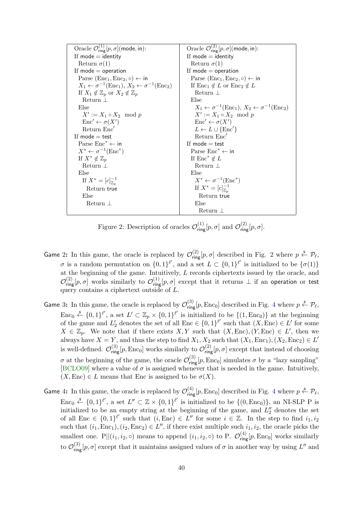<span id="page-39-0"></span>

| Oracle $\mathcal{O}_{\text{ring}}^{(1)}[p, \sigma]$ (mode, in):                      | Oracle $\mathcal{O}_{\text{ring}}^{(2)}[p, \sigma]$ (mode, in):                      |
|--------------------------------------------------------------------------------------|--------------------------------------------------------------------------------------|
| If mode $=$ identity                                                                 | If mode $=$ identity                                                                 |
| Return $\sigma(1)$                                                                   | Return $\sigma(1)$                                                                   |
| If mode $=$ operation                                                                | If mode $=$ operation                                                                |
| Parse $(Enc_1, Enc_2, \circ) \leftarrow in$                                          | Parse $(Enc_1, Enc_2, \circ) \leftarrow in$                                          |
| $X_1 \leftarrow \sigma^{-1}(\text{Enc}_1), X_2 \leftarrow \sigma^{-1}(\text{Enc}_2)$ | If $\text{Enc}_1 \notin L$ or $\text{Enc}_2 \notin L$                                |
| If $X_1 \notin \mathbb{Z}_p$ or $X_2 \notin \mathbb{Z}_p$                            | Return $\perp$                                                                       |
| Return $\perp$                                                                       | Else                                                                                 |
| Else                                                                                 | $X_1 \leftarrow \sigma^{-1}(\text{Enc}_1), X_2 \leftarrow \sigma^{-1}(\text{Enc}_2)$ |
| $X' := X_1 \circ X_2 \mod p$                                                         | $X' := X_1 \circ X_2 \mod p$                                                         |
| $\text{Enc}' \leftarrow \sigma(X')$                                                  | $\text{Enc}' \leftarrow \sigma(X')$                                                  |
| Return Enc'                                                                          | $L \leftarrow L \cup {\text{Enc'}}$                                                  |
| If mode $=$ test                                                                     | Return Enc'                                                                          |
| Parse $Enc^* \leftarrow in$                                                          | If mode $=$ test                                                                     |
| $X^* \leftarrow \sigma^{-1}(\text{Enc}^*)$                                           | Parse $Enc^* \leftarrow in$                                                          |
| If $X^* \notin \mathbb{Z}_p$                                                         | If $Enc^* \notin L$                                                                  |
| Return $\perp$                                                                       | Return $\perp$                                                                       |
| Else                                                                                 | Else                                                                                 |
| If $X^*=[c]_{\mathbb{Z}_n}^{-1}$                                                     | $X^* \leftarrow \sigma^{-1}(\text{Enc}^*)$                                           |
| Return true                                                                          | If $X^*=[c]_{\mathbb{Z}_n}^{-1}$                                                     |
| Else                                                                                 | Return true                                                                          |
| Return $\perp$                                                                       | Else                                                                                 |
|                                                                                      | Return $\perp$                                                                       |

Figure 2: Description of oracles  $\mathcal{O}_{\text{ring}}^{(1)}[p,\sigma]$  and  $\mathcal{O}_{\text{ring}}^{(2)}[p,\sigma]$ .

- <span id="page-39-1"></span>Game [2](#page-39-1): In this game, the oracle is replaced by  $\mathcal{O}_{ring}^{(2)}[p,\sigma]$  described in Fig. 2 where  $p \stackrel{\$}{\leftarrow} \mathcal{P}_{\ell}$ ,  $\sigma$  is a random permutation on  $\{0,1\}^{\ell'}$ , and a set  $L \subset \{0,1\}^{\ell'}$  is initialized to be  $\{\sigma(1)\}$ at the beginning of the game. Intuitively, L records ciphertexts issued by the oracle, and  $\mathcal{O}^{(2)}_{\rm ring}[p,\sigma]$  works similarly to  $\mathcal{O}^{(1)}_{\rm ring}[p,\sigma]$  except that it returns  $\perp$  if an operation or test query contains a ciphertext outside of L.
- Game 3: In this game, the oracle is replaced by  $\mathcal{O}_{ring}^{(3)}[p,\text{Enc}_0]$  described in Fig. [4](#page-41-0) where  $p \overset{\$}{\leftarrow} \mathcal{P}_{\ell}$ , Enc<sub>0</sub>  $\stackrel{\$}{\leftarrow}$  {0, 1}<sup> $\ell'$ </sup>, a set  $L' \subset \mathbb{Z}_p \times \{0,1\}^{\ell'}$  is initialized to be  $\{(1,Enc_0)\}\)$  at the beginning of the game and  $L'_2$  denotes the set of all  $\text{Enc} \in \{0,1\}^{\ell'}$  such that  $(X,\text{Enc}) \in L'$  for some  $X \in \mathbb{Z}_p$ . We note that if there exists X, Y such that  $(X, \text{Enc}), (Y, \text{Enc}) \in L'$ , then we always have  $X = Y$ , and thus the step to find  $X_1, X_2$  such that  $(X_1, \text{Enc}_1), (X_2, \text{Enc}_2) \in L'$ is well-defined.  $\mathcal{O}_{\text{ring}}^{(3)}[p,\text{Enc}_0]$  works similarly to  $\mathcal{O}_{\text{ring}}^{(2)}[p,\sigma]$  except that instead of choosing σ at the beginning of the game, the oracle  $\mathcal{O}_{\text{ring}}^{(3)}[p,\text{Enc}_0]$  simulates σ by a "lazy sampling" [\[BCLO09\]](#page-32-7) where a value of  $\sigma$  is assigned whenever that is needed in the game. Intuitively,  $(X, \text{Enc}) \in L$  means that Enc is assigned to be  $\sigma(X)$ .
- Game [4](#page-41-0): In this game, the oracle is replaced by  $\mathcal{O}_{ring}^{(4)}[p,\text{Enc}_0]$  described in Fig. 4 where  $p \overset{\$}{\leftarrow} \mathcal{P}_{\ell}$ , Enc<sub>0</sub>  $\xi$  {0, 1}<sup> $\ell'$ </sup>, a set  $L'' \subset \mathbb{Z} \times \{0,1\}^{\ell'}$  is initialized to be {(0, Enc<sub>0</sub>)}, an NI-SLP P is initialized to be an empty string at the beginning of the game, and  $L_2''$  denotes the set of all Enc  $\in \{0,1\}^{\ell'}$  such that  $(i, \text{Enc}) \in L''$  for some  $i \in \mathbb{Z}$ . In the step to find  $i_1, i_2$ such that  $(i_1, Enc_1), (i_2, Enc_2) \in L''$ , if there exist multiple such  $i_1, i_2$ , the oracle picks the smallest one. P $||(i_1, i_2, \circ)$  means to append  $(i_1, i_2, \circ)$  to P.  $\mathcal{O}_{\text{ring}}^{(4)}[p, \text{Enc}_0]$  works similarly to  $\mathcal{O}_{\text{ring}}^{(3)}[p, \sigma]$  except that it maintains assigned values of  $\sigma$  in another way by using  $L''$  and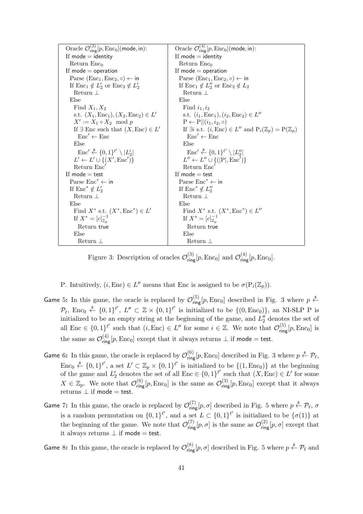| Oracle $\mathcal{O}^{(3)}_{\text{ring}}[p,\text{Enc}_0](\text{mode},\text{in})$ : | Oracle $\mathcal{O}_{\text{ring}}^{(4)}[p,\text{Enc}_0](\text{mode},\text{in})$ :       |
|-----------------------------------------------------------------------------------|-----------------------------------------------------------------------------------------|
| If mode $=$ identity                                                              | If mode $=$ identity                                                                    |
| Return $Enc_0$                                                                    | Return $Enc_0$                                                                          |
| If mode $=$ operation                                                             | If mode $=$ operation                                                                   |
| Parse $(\text{Enc}_1, \text{Enc}_2, \circ) \leftarrow \text{in}$                  | Parse $(\text{Enc}_1, \text{Enc}_2, \circ) \leftarrow \text{in}$                        |
| If $\text{Enc}_1 \notin L'_2$ or $\text{Enc}_2 \notin L'_2$                       | If $\text{Enc}_1 \notin L_2''$ or $\text{Enc}_2 \notin L_2$                             |
| Return $\perp$                                                                    | Return $\perp$                                                                          |
| Else                                                                              | Else                                                                                    |
| Find $X_1, X_2$                                                                   | Find $i_1, i_2$                                                                         |
| s.t. $(X_1, \text{Enc}_1), (X_2, \text{Enc}_2) \in L'$                            | s.t. $(i_1, \text{Enc}_1), (i_2, \text{Enc}_2) \in L''$                                 |
| $X' := X_1 \circ X_2 \mod p$                                                      | $P \leftarrow P  (i_1, i_2, \circ)$                                                     |
| If $\exists$ Enc such that $(X, \text{Enc}) \in L'$                               | If $\exists i$ s.t. $(i, \text{Enc}) \in L''$ and $P_i(\mathbb{Z}_p) = P(\mathbb{Z}_p)$ |
| $Enc' \leftarrow Enc$                                                             | $Enc' \leftarrow Enc$                                                                   |
| Else                                                                              | Else                                                                                    |
| $\text{Enc}' \stackrel{\$}{\leftarrow} \{0,1\}^{\ell'} \setminus  L'_2 $          | $\text{Enc}' \stackrel{\$}{\leftarrow} \{0,1\}^{\ell'} \setminus  L''_2 $               |
| $L' \leftarrow L' \cup \{(X', \text{Enc}')\}$                                     | $L'' \leftarrow L'' \cup \{( P , Enc'\}\}$                                              |
| Return Enc'                                                                       | Return Enc'                                                                             |
| If mode $=$ test                                                                  | If mode $=$ test                                                                        |
| Parse $Enc^* \leftarrow in$                                                       | Parse $Enc^* \leftarrow in$                                                             |
| If Enc <sup>*</sup> $\notin L'_2$                                                 | If $Enc^* \notin L_2''$                                                                 |
| Return $\perp$                                                                    | Return $\perp$                                                                          |
| Else                                                                              | Else                                                                                    |
| Find $X^*$ s.t. $(X^*, \text{Enc}^*) \in L'$                                      | Find $X^*$ s.t. $(X^*, \text{Enc}^*) \in L''$                                           |
| If $X^*=[c]_{\mathbb{Z}_n}^{-1}$                                                  | If $X^*=[c]_{\mathbb{Z}_p}^{-1}$                                                        |
| Return true                                                                       | Return true                                                                             |
| Else                                                                              | Else                                                                                    |
| Return $\perp$                                                                    | Return $\perp$                                                                          |

Figure 3: Description of oracles  $\mathcal{O}_{\text{ring}}^{(3)}[p,\text{Enc}_0]$  and  $\mathcal{O}_{\text{ring}}^{(4)}[p,\text{Enc}_0]$ .

- <span id="page-40-0"></span>P. Intuitively,  $(i, Enc) \in L''$  means that Enc is assigned to be  $\sigma(P_i(\mathbb{Z}_p)).$
- Game 5: In this game, the oracle is replaced by  $\mathcal{O}_{ring}^{(5)}[p,\text{Enc}_0]$  described in Fig. [3](#page-40-0) where  $p \overset{\$}{\leftarrow}$  $\mathcal{P}_{\ell}$ , Enc<sub>0</sub>  $\stackrel{\$}{\leftarrow}$  {0, 1}<sup> $\ell'$ </sup>,  $L'' \subset \mathbb{Z} \times \{0,1\}^{\ell'}$  is initialized to be {(0, Enc<sub>0</sub>)}, an NI-SLP P is initialized to be an empty string at the beginning of the game, and  $L_2''$  denotes the set of all Enc  $\in \{0,1\}^{\ell'}$  such that  $(i, \text{Enc}) \in L''$  for some  $i \in \mathbb{Z}$ . We note that  $\mathcal{O}_{\text{ring}}^{(5)}[p, \text{Enc}_0]$  is the same as  $\mathcal{O}^{(4)}_{\text{ring}}[p,\text{Enc}_0]$  except that it always returns  $\perp$  if mode = test.
- Game 6: In this game, the oracle is replaced by  $\mathcal{O}_{ring}^{(6)}[p,\text{Enc}_0]$  described in Fig. [3](#page-40-0) where  $p \overset{\$}{\leftarrow} \mathcal{P}_{\ell}$ , Enc<sub>0</sub>  $\xi$  {0, 1}<sup>e'</sup>, a set  $L' \subset \mathbb{Z}_p \times \{0,1\}^{\ell'}$  is initialized to be  $\{(1,Enc_0)\}\$  at the beginning of the game and  $L'_2$  denotes the set of all  $\text{Enc} \in \{0,1\}^{\ell'}$  such that  $(X,\text{Enc}) \in L'$  for some  $X \in \mathbb{Z}_p$ . We note that  $\mathcal{O}_{\text{ring}}^{(6)}[p,\text{Enc}_0]$  is the same as  $\mathcal{O}_{\text{ring}}^{(3)}[p,\text{Enc}_0]$  except that it always returns  $\bot$  if mode = test.
- Game 7: In this game, the oracle is replaced by  $\mathcal{O}_{\text{ring}}^{(7)}[p,\sigma]$  described in Fig. [5](#page-42-0) where  $p \overset{\$}{\leftarrow} \mathcal{P}_{\ell}, \sigma$ is a random permutation on  $\{0,1\}^{\ell'}$ , and a set  $L \subset \{0,1\}^{\ell'}$  is initialized to be  $\{\sigma(1)\}$  at the beginning of the game. We note that  $\mathcal{O}_{\text{ring}}^{(7)}[p,\sigma]$  is the same as  $\mathcal{O}_{\text{ring}}^{(2)}[p,\sigma]$  except that it always returns  $\perp$  if mode = test.

Game 8: In this game, the oracle is replaced by  $\mathcal{O}_{ring}^{(8)}[p,\sigma]$  described in Fig. [5](#page-42-0) where  $p \stackrel{\$}{\leftarrow} \mathcal{P}_{\ell}$  and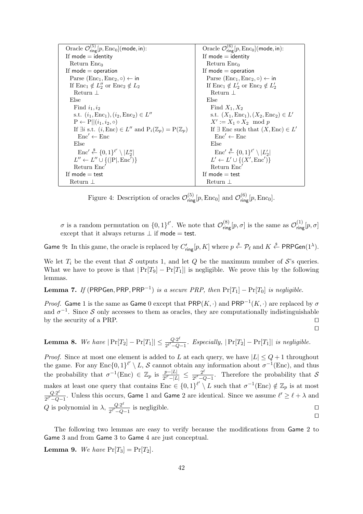| Oracle $\mathcal{O}_{\text{ring}}^{(5)}[p,\text{Enc}_0](\text{mode},\text{in})$ :       | Oracle $\mathcal{O}_{\text{ring}}^{(6)}[p,\text{Enc}_0](\text{mode},\text{in})$ : |
|-----------------------------------------------------------------------------------------|-----------------------------------------------------------------------------------|
| If mode $=$ identity                                                                    | If mode $=$ identity                                                              |
| Return $Enc_0$                                                                          | Return $Enc_0$                                                                    |
| If mode $=$ operation                                                                   | If mode $=$ operation                                                             |
| Parse $(\text{Enc}_1, \text{Enc}_2, \circ) \leftarrow \text{in}$                        | Parse $(\text{Enc}_1, \text{Enc}_2, \circ) \leftarrow \text{in}$                  |
| If Enc <sub>1</sub> $\notin L''_2$ or Enc <sub>2</sub> $\notin L_2$                     | If Enc <sub>1</sub> $\notin L'_2$ or Enc <sub>2</sub> $\notin L'_2$               |
| Return $\perp$                                                                          | Return $\perp$                                                                    |
| Else                                                                                    | Else                                                                              |
| Find $i_1, i_2$                                                                         | Find $X_1, X_2$                                                                   |
| s.t. $(i_1, \text{Enc}_1), (i_2, \text{Enc}_2) \in L''$                                 | s.t. $(X_1, \text{Enc}_1), (X_2, \text{Enc}_2) \in L'$                            |
| $P \leftarrow P  (i_1, i_2, \circ)$                                                     | $X' := X_1 \circ X_2 \mod p$                                                      |
| If $\exists i$ s.t. $(i, \text{Enc}) \in L''$ and $P_i(\mathbb{Z}_p) = P(\mathbb{Z}_p)$ | If $\exists$ Enc such that $(X, \text{Enc}) \in L'$                               |
| $Enc' \leftarrow Enc$                                                                   | $Enc' \leftarrow Enc$                                                             |
| Else                                                                                    | Else                                                                              |
| $\text{Enc}' \stackrel{\$}{\leftarrow} \{0,1\}^{\ell'} \setminus  L''_2 $               | $\text{Enc}' \xleftarrow{\$} \{0,1\}^{\ell'} \setminus  L'_2 $                    |
| $L'' \leftarrow L'' \cup \{( P , Enc'\}\}$                                              | $L' \leftarrow L' \cup \{(X', \text{Enc}')\}$                                     |
| Return Enc'                                                                             | Return Enc'                                                                       |
| If mode $=$ test                                                                        | If mode $=$ test                                                                  |
| Return $\perp$                                                                          | Return $\perp$                                                                    |

Figure 4: Description of oracles  $\mathcal{O}_{\text{ring}}^{(5)}[p,\text{Enc}_0]$  and  $\mathcal{O}_{\text{ring}}^{(6)}[p,\text{Enc}_0]$ .

<span id="page-41-0"></span> $\sigma$  is a random permutation on  $\{0,1\}^{\ell'}$ . We note that  $\mathcal{O}_{\sf ring}^{(8)}[p,\sigma]$  is the same as  $\mathcal{O}_{\sf ring}^{(1)}[p,\sigma]$ except that it always returns  $\bot$  if mode = test.

Game 9: In this game, the oracle is replaced by  $C'_{\text{ring}}[p, K]$  where  $p \overset{\$}{\leftarrow} \mathcal{P}_{\ell}$  and  $K \overset{\$}{\leftarrow} \textsf{PRPGen}(1^{\lambda})$ .

We let  $T_i$  be the event that S outputs 1, and let Q be the maximum number of S's queries. What we have to prove is that  $|\Pr[T_9] - \Pr[T_1]|$  is negligible. We prove this by the following lemmas.

<span id="page-41-1"></span>**Lemma 7.** If (PRPGen, PRP, PRP<sup>-1</sup>) is a secure PRP, then  $Pr[T_1] - Pr[T_0]$  is negligible.

*Proof.* Game 1 is the same as Game 0 except that  $PRP(K, \cdot)$  and  $PRP^{-1}(K, \cdot)$  are replaced by  $\sigma$ and  $\sigma^{-1}$ . Since S only accesses to them as oracles, they are computationally indistinguishable by the security of a PRP.  $\Box$ 

 $\Box$ 

**Lemma 8.** We have 
$$
|\Pr[T_2] - \Pr[T_1]| \leq \frac{Q \cdot 2^{\ell}}{2^{\ell'} - Q - 1}
$$
. Especially,  $|\Pr[T_2] - \Pr[T_1]|$  is negligible.

*Proof.* Since at most one element is added to L at each query, we have  $|L| \leq Q+1$  throughout the game. For any  $\text{Enc}\{0,1\}^{\ell'} \setminus L$ , S cannot obtain any information about  $\sigma^{-1}(\text{Enc})$ , and thus the probability that  $\sigma^{-1}(\text{Enc}) \in \mathbb{Z}_p$  is  $\frac{p-|L|}{2^{\ell'}-|L|} \leq \frac{2^{\ell}}{2^{\ell'}-C}$  $\frac{2^{c}}{2^{l'}-Q-1}$ . Therefore the probability that S makes at least one query that contains Enc  $\in \{0,1\}^{\ell'} \setminus L$  such that  $\sigma^{-1}(\text{Enc}) \notin \mathbb{Z}_p$  is at most  $Q\smash\cdot 2^\ell$  $\frac{Q \cdot 2^{\ell}}{2^{\ell'}-Q-1}$ . Unless this occurs, Game 1 and Game 2 are identical. Since we assume  $\ell' \ge \ell + \lambda$  and Q is polynomial in  $\lambda$ ,  $\frac{Q \cdot 2^{\ell}}{Q}$  $\frac{Q \cdot 2^{\mathcal{C}}}{2^{\ell'} - Q - 1}$  is negligible.  $\Box$ 

The following two lemmas are easy to verify because the modifications from Game 2 to Game 3 and from Game 3 to Game 4 are just conceptual.

**Lemma 9.** We have  $Pr[T_3] = Pr[T_2]$ .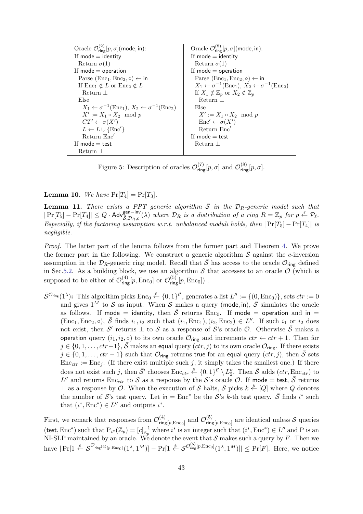| Oracle $\mathcal{O}_{\text{ring}}^{(2)}[p, \sigma]$ (mode, in):                      | Oracle $\mathcal{O}_{\text{ring}}^{(8)}[p, \sigma]$ (mode, in):                      |
|--------------------------------------------------------------------------------------|--------------------------------------------------------------------------------------|
| If mode $=$ identity                                                                 | If mode $=$ identity                                                                 |
| Return $\sigma(1)$                                                                   | Return $\sigma(1)$                                                                   |
| If mode $=$ operation                                                                | If mode $=$ operation                                                                |
| Parse $(Enc_1, Enc_2, \circ) \leftarrow in$                                          | Parse (Enc <sub>1</sub> , Enc <sub>2</sub> , $\circ$ ) $\leftarrow$ in               |
| If $\text{Enc}_1 \notin L$ or $\text{Enc}_2 \notin L$                                | $X_1 \leftarrow \sigma^{-1}(\text{Enc}_1), X_2 \leftarrow \sigma^{-1}(\text{Enc}_2)$ |
| Return $\perp$                                                                       | If $X_1 \notin \mathbb{Z}_p$ or $X_2 \notin \mathbb{Z}_p$                            |
| Else                                                                                 | Return $\perp$                                                                       |
| $X_1 \leftarrow \sigma^{-1}(\text{Enc}_1), X_2 \leftarrow \sigma^{-1}(\text{Enc}_2)$ | Else                                                                                 |
| $X' := X_1 \circ X_2 \mod p$                                                         | $X' := X_1 \circ X_2 \mod p$                                                         |
| $CT' \leftarrow \sigma(X')$                                                          | $\text{Enc}' \leftarrow \sigma(X')$                                                  |
| $L \leftarrow L \cup {\text{Enc}' }$                                                 | Return Enc'                                                                          |
| Return Enc'                                                                          | If mode $=$ test                                                                     |
| If mode $=$ test                                                                     | Return $\perp$                                                                       |
| Return $\perp$                                                                       |                                                                                      |

Figure 5: Description of oracles  $\mathcal{O}_{\text{ring}}^{(7)}[p,\sigma]$  and  $\mathcal{O}_{\text{ring}}^{(8)}[p,\sigma]$ .

<span id="page-42-0"></span>**Lemma 10.** We have  $Pr[T_4] = Pr[T_3]$ .

<span id="page-42-1"></span>**Lemma 11.** There exists a PPT generic algorithm  $\overline{S}$  in the  $\mathcal{D}_R$ -generic model such that  $|\Pr[T_5] - \Pr[T_4]| \leq Q \cdot \mathsf{Adv}_{\bar{\mathcal{S}}, \mathcal{D}_R, c}^{\mathsf{gen}-\mathsf{inv}}(\lambda)$  where  $\mathcal{D}_R$  is a distribution of a ring  $R = \mathbb{Z}_p$  for  $p \stackrel{s}{\leftarrow} \mathcal{P}_\ell$ . Especially, if the factoring assumption w.r.t. unbalanced moduli holds, then  $|Pr[T_5] - Pr[T_4]|$  is negligible.

Proof. The latter part of the lemma follows from the former part and Theorem [4.](#page-16-0) We prove the former part in the following. We construct a generic algorithm  $S$  against the c-inversion assumption in the  $\mathcal{D}_R$ -generic ring model. Recall that  $\bar{\mathcal{S}}$  has access to the oracle  $\mathcal{O}_{\text{ring}}$  defined in Sec[.5.2.](#page-15-1) As a building block, we use an algorithm  $S$  that accesses to an oracle  $O$  (which is supposed to be either of  $\mathcal{O}_{\text{ring}}^{(4)}[p,\text{Enc}_0]$  or  $\mathcal{O}_{\text{ring}}^{(5)}[p,\text{Enc}_0]$ ).

 $\bar{\mathcal{S}}^{\mathcal{O}_{\text{ring}}}(1^{\lambda})$ : This algorithm picks Enc<sub>0</sub>  $\xleftarrow{\$} \{0,1\}^{\ell'}$ , generates a list  $L'' := \{(0, \text{Enc}_0)\}\$ , sets  $ctr := 0$ and gives  $1^{\overline{M}}$  to S as input. When S makes a query (mode, in),  $\overline{S}$  simulates the oracle as follows. If mode = identity, then  $\overline{S}$  returns Enc<sub>0</sub>. If mode = operation and in =  $(Enc_1, Enc_2, \circ), \overline{\mathcal{S}}$  finds  $i_1, i_2$  such that  $(i_1, Enc_1), (i_2, Enc_2) \in L''$ . If such  $i_1$  or  $i_2$  does not exist, then S' returns  $\perp$  to S as a response of S's oracle  $\mathcal O$ . Otherwise  $\overline{\mathcal S}$  makes a operation query  $(i_1, i_2, \circ)$  to its own oracle  $\mathcal{O}_{\text{ring}}$  and increments  $ctr \leftarrow ctr + 1$ . Then for  $j \in \{0, 1, \ldots, ctr-1\}, \overline{S}$  makes an equal query  $(ctr, j)$  to its own oracle  $\mathcal{O}_{ring}$ . If there exists  $j \in \{0, 1, \ldots, ctr - 1\}$  such that  $\mathcal{O}_{\text{ring}}$  returns true for an equal query  $(ctr, j)$ , then  $\overline{S}$  sets  $Enc_{ctr} := Enc_j$ . (If there exist multiple such j, it simply takes the smallest one.) If there does not exist such j, then  $\bar{S}'$  chooses  $\text{Enc}_{ctr} \overset{\$}{\leftarrow} \{0,1\}^{\ell'} \setminus L''_2$ . Then  $\bar{S}$  adds  $(\text{ctr}, \text{Enc}_{ctr})$  to L'' and returns Enc<sub>ctr</sub> to S as a response by the S's oracle  $\mathcal{O}$ . If mode = test,  $\overline{\mathcal{S}}$  returns ⊥ as a response by  $\mathcal O$ . When the execution of  $\mathcal S$  halts,  $\overline{\mathcal S}$  picks  $k \stackrel{\$}{\leftarrow} [Q]$  where  $Q$  denotes the number of S's test query. Let  $\mathsf{in} = \text{Enc}^*$  be the S's k-th test query.  $\overline{S}$  finds i<sup>\*</sup> such that  $(i^*, \text{Enc}^*) \in L''$  and outputs  $i^*$ .

First, we remark that responses from  $\mathcal{O}_{\text{ring}}^{(4)}$  $\lim_{n\rightarrow\infty}[p,\text{Enc}_0]$  and  $\mathcal{O}^{(5)}_{\text{ring}}$  $\lim_{\text{ring}[p,\text{Enc}_0]}$  are identical unless S queries (test, Enc<sup>\*</sup>) such that  $P_{i^*}(\mathbb{Z}_p) = [c]_{\mathbb{Z}_p}^{-1}$  where  $i^*$  is an integer such that  $(i^*, \text{Enc}^*) \in L''$  and P is an NI-SLP maintained by an oracle. We denote the event that  $S$  makes such a query by  $F$ . Then we have  $|\Pr[1 \stackrel{\$}{\leftarrow} \mathcal{S}^{\mathcal{O}_{\text{ring}}(4)}[p,Enc_0]}(1^{\lambda},1^M)] - \Pr[1 \stackrel{\$}{\leftarrow} \mathcal{S}^{\mathcal{O}_{\text{ring}}^{(5)}[p,Enc_0]}(1^{\lambda},1^M)]| \leq \Pr[F]$ . Here, we notice